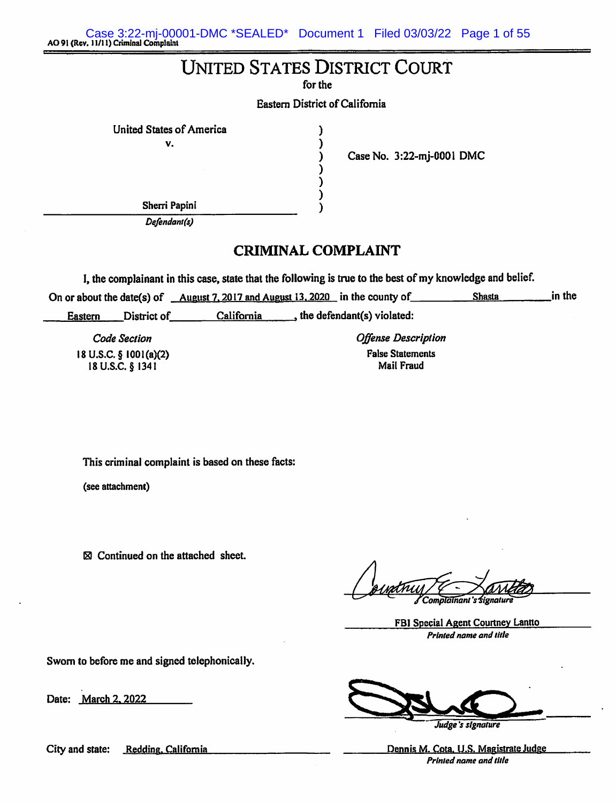Case 3:22-mj-00001-DMC \*SEALED\* Document 1 Filed 03/03/22 Page 1 of 55<br>AO 91 (Rev. 11/11) Criminal Complaint

# **UNITED STATES DISTRICT COURT**

for the

**Eastern District of California** 

λ

United States of America  $\mathbf{v}$ .

I  $\lambda$ ) λ

Case No. 3:22-mj-0001 DMC

Sherri Papini Defendant(s)

# **CRIMINAL COMPLAINT**

I, the complainant in this case, state that the following is true to the best of my knowledge and belief.

in the On or about the date(s) of <u>August 7, 2017 and August 13, 2020</u> in the county of **Shasta** 

District of  $California$ , the defendant(s) violated: Eastern

**Code Section** 18 U.S.C.  $\S$  1001(a)(2) 18 U.S.C. § 1341

**Offense Description False Statements** Mail Fraud

This criminal complaint is based on these facts:

(see attachment)

 $\boxtimes$  Continued on the attached sheet.

Complainant's signatur

FBI Special Agent Courtney Lantto Printed name and title

Sworn to before me and signed telephonically.

Date: March 2, 2022

City and state: Redding, California

Judge's signature

Dennis M. Cota, U.S. Magistrate Judge Printed name and title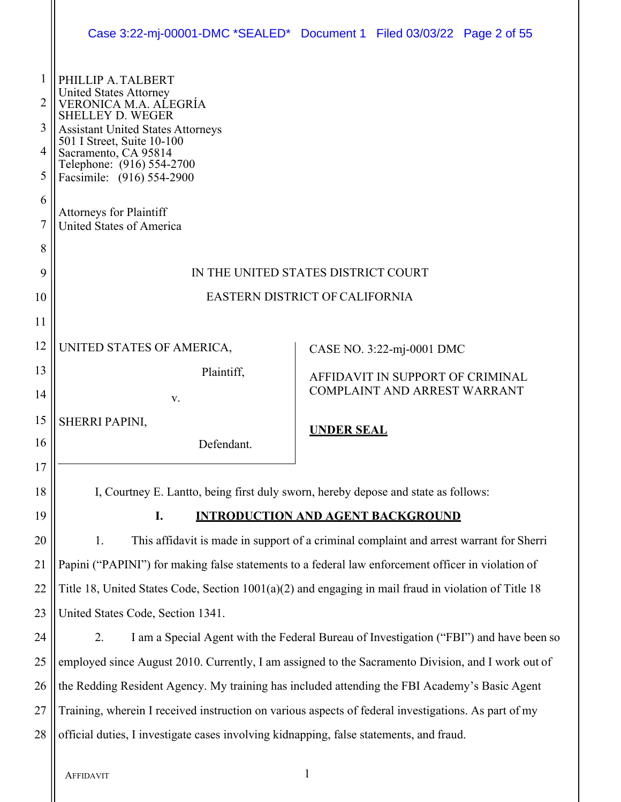|             |                                                                                                                                                     | Case 3:22-mj-00001-DMC *SEALED* Document 1 Filed 03/03/22 Page 2 of 55                                 |  |  |  |
|-------------|-----------------------------------------------------------------------------------------------------------------------------------------------------|--------------------------------------------------------------------------------------------------------|--|--|--|
|             |                                                                                                                                                     |                                                                                                        |  |  |  |
| 1<br>2<br>3 | PHILLIP A. TALBERT<br><b>United States Attorney</b><br>VERONICA M.A. AĽEGRÍA<br><b>SHELLEY D. WEGER</b><br><b>Assistant United States Attorneys</b> |                                                                                                        |  |  |  |
| 4           | 501 I Street, Suite 10-100                                                                                                                          |                                                                                                        |  |  |  |
| 5           | Sacramento, CA 95814<br>Telephone: (916) 554-2700<br>Facsimile: (916) 554-2900                                                                      |                                                                                                        |  |  |  |
| 6           |                                                                                                                                                     |                                                                                                        |  |  |  |
| 7           | <b>Attorneys for Plaintiff</b><br><b>United States of America</b>                                                                                   |                                                                                                        |  |  |  |
| 8           |                                                                                                                                                     |                                                                                                        |  |  |  |
| 9           |                                                                                                                                                     | IN THE UNITED STATES DISTRICT COURT                                                                    |  |  |  |
| 10          | EASTERN DISTRICT OF CALIFORNIA                                                                                                                      |                                                                                                        |  |  |  |
| 11          |                                                                                                                                                     |                                                                                                        |  |  |  |
| 12          | UNITED STATES OF AMERICA,                                                                                                                           | CASE NO. 3:22-mj-0001 DMC                                                                              |  |  |  |
| 13          | Plaintiff,<br>AFFIDAVIT IN SUPPORT OF CRIMINAL                                                                                                      |                                                                                                        |  |  |  |
| 14          | V.                                                                                                                                                  | COMPLAINT AND ARREST WARRANT                                                                           |  |  |  |
| 15          | SHERRI PAPINI,                                                                                                                                      | <b>UNDER SEAL</b>                                                                                      |  |  |  |
| 16          | Defendant.                                                                                                                                          |                                                                                                        |  |  |  |
| 17          |                                                                                                                                                     |                                                                                                        |  |  |  |
| 18          | I, Courtney E. Lantto, being first duly sworn, hereby depose and state as follows:                                                                  |                                                                                                        |  |  |  |
| 19          | I.                                                                                                                                                  | <b>INTRODUCTION AND AGENT BACKGROUND</b>                                                               |  |  |  |
| 20          | This affidavit is made in support of a criminal complaint and arrest warrant for Sherri<br>1.                                                       |                                                                                                        |  |  |  |
| 21          | Papini ("PAPINI") for making false statements to a federal law enforcement officer in violation of                                                  |                                                                                                        |  |  |  |
| 22          |                                                                                                                                                     | Title 18, United States Code, Section $1001(a)(2)$ and engaging in mail fraud in violation of Title 18 |  |  |  |
| 23          | United States Code, Section 1341.                                                                                                                   |                                                                                                        |  |  |  |
| 24          | I am a Special Agent with the Federal Bureau of Investigation ("FBI") and have been so<br>2.                                                        |                                                                                                        |  |  |  |
| 25          | employed since August 2010. Currently, I am assigned to the Sacramento Division, and I work out of                                                  |                                                                                                        |  |  |  |
| 26          | the Redding Resident Agency. My training has included attending the FBI Academy's Basic Agent                                                       |                                                                                                        |  |  |  |
| 27          |                                                                                                                                                     | Training, wherein I received instruction on various aspects of federal investigations. As part of my   |  |  |  |
| 28          | official duties, I investigate cases involving kidnapping, false statements, and fraud.                                                             |                                                                                                        |  |  |  |
|             |                                                                                                                                                     |                                                                                                        |  |  |  |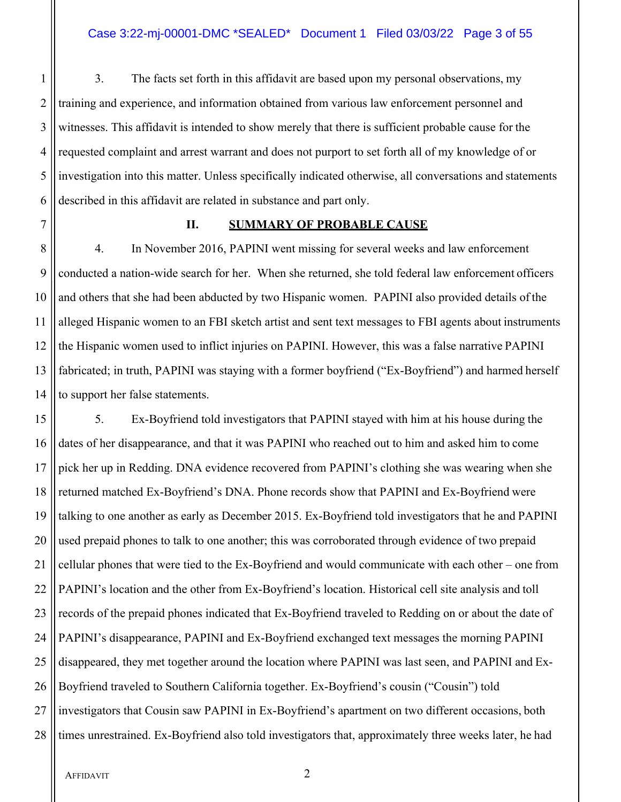1 3. The facts set forth in this affidavit are based upon my personal observations, my 2 || training and experience, and information obtained from various law enforcement personnel and 3 Witnesses. This affidavit is intended to show merely that there is sufficient probable cause for the 4 requested complaint and arrest warrant and does not purport to set forth all of my knowledge of or 5 investigation into this matter. Unless specifically indicated otherwise, all conversations and statements 6 described in this affidavit are related in substance and part only.

# 7 **II. SUMMARY OF PROBABLE CAUSE**

8 4. In November 2016, PAPINI went missing for several weeks and law enforcement 9 conducted a nation-wide search for her. When she returned, she told federal law enforcement officers 10 and others that she had been abducted by two Hispanic women. PAPINI also provided details of the 11 || alleged Hispanic women to an FBI sketch artist and sent text messages to FBI agents about instruments 12 the Hispanic women used to inflict injuries on PAPINI. However, this was a false narrative PAPINI 13 fabricated; in truth, PAPINI was staying with a former boyfriend ("Ex-Boyfriend") and harmed herself 14 || to support her false statements.

15 || 5. Ex-Boyfriend told investigators that PAPINI stayed with him at his house during the 16 dates of her disappearance, and that it was PAPINI who reached out to him and asked him to come 17 pick her up in Redding. DNA evidence recovered from PAPINI's clothing she was wearing when she 18 Teturned matched Ex-Boyfriend's DNA. Phone records show that PAPINI and Ex-Boyfriend were 19 talking to one another as early as December 2015. Ex-Boyfriend told investigators that he and PAPINI 20 || used prepaid phones to talk to one another; this was corroborated through evidence of two prepaid 21  $\parallel$  cellular phones that were tied to the Ex-Boyfriend and would communicate with each other – one from 22 PAPINI's location and the other from Ex-Boyfriend's location. Historical cell site analysis and toll 23 || records of the prepaid phones indicated that Ex-Boyfriend traveled to Redding on or about the date of 24 | PAPINI's disappearance, PAPINI and Ex-Boyfriend exchanged text messages the morning PAPINI 25 disappeared, they met together around the location where PAPINI was last seen, and PAPINI and Ex-26 Boyfriend traveled to Southern California together. Ex-Boyfriend's cousin ("Cousin") told 27 || investigators that Cousin saw PAPINI in Ex-Boyfriend's apartment on two different occasions, both 28 times unrestrained. Ex-Boyfriend also told investigators that, approximately three weeks later, he had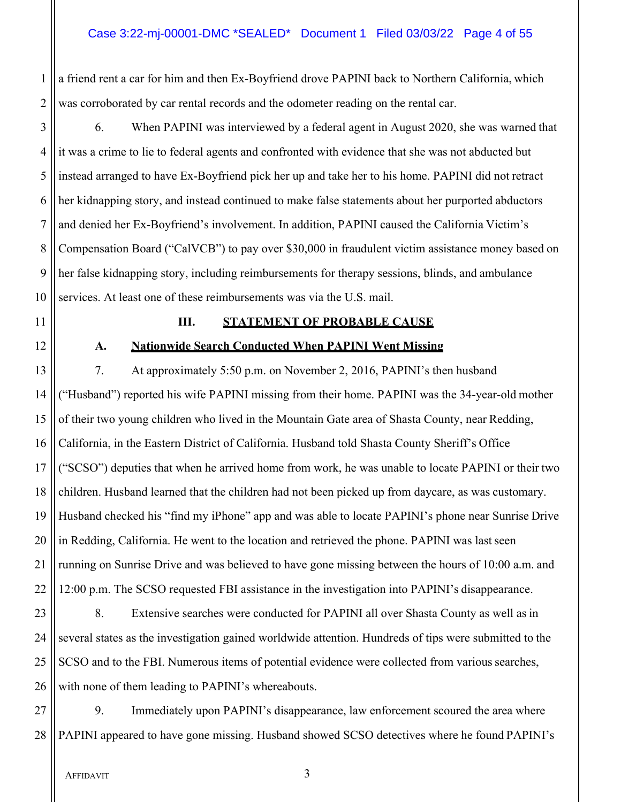1 a friend rent a car for him and then Ex-Boyfriend drove PAPINI back to Northern California, which 2 was corroborated by car rental records and the odometer reading on the rental car.

3 | 6. When PAPINI was interviewed by a federal agent in August 2020, she was warned that it was a crime to lie to federal agents and confronted with evidence that she was not abducted but instead arranged to have Ex-Boyfriend pick her up and take her to his home. PAPINI did not retract her kidnapping story, and instead continued to make false statements about her purported abductors and denied her Ex-Boyfriend's involvement. In addition, PAPINI caused the California Victim's Compensation Board ("CalVCB") to pay over \$30,000 in fraudulent victim assistance money based on her false kidnapping story, including reimbursements for therapy sessions, blinds, and ambulance 10 Services. At least one of these reimbursements was via the U.S. mail.

# 11 **III. STATEMENT OF PROBABLE CAUSE**

# 12 **A. Nationwide Search Conducted When PAPINI Went Missing**

13 | 7. At approximately 5:50 p.m. on November 2, 2016, PAPINI's then husband 14 ("Husband") reported his wife PAPINI missing from their home. PAPINI was the 34-year-old mother 15 of their two young children who lived in the Mountain Gate area of Shasta County, near Redding, 16 California, in the Eastern District of California. Husband told Shasta County Sheriff's Office 17 ("SCSO") deputies that when he arrived home from work, he was unable to locate PAPINI or their two 18 children. Husband learned that the children had not been picked up from daycare, as was customary. 19 Husband checked his "find my iPhone" app and was able to locate PAPINI's phone near Sunrise Drive  $20$  || in Redding, California. He went to the location and retrieved the phone. PAPINI was last seen 21 || running on Sunrise Drive and was believed to have gone missing between the hours of 10:00 a.m. and  $22 \parallel 12:00$  p.m. The SCSO requested FBI assistance in the investigation into PAPINI's disappearance.

23 || 8. Extensive searches were conducted for PAPINI all over Shasta County as well as in 24 Several states as the investigation gained worldwide attention. Hundreds of tips were submitted to the 25 SCSO and to the FBI. Numerous items of potential evidence were collected from various searches, 26 with none of them leading to PAPINI's whereabouts.

27 9. Immediately upon PAPINI's disappearance, law enforcement scoured the area where 28 || PAPINI appeared to have gone missing. Husband showed SCSO detectives where he found PAPINI's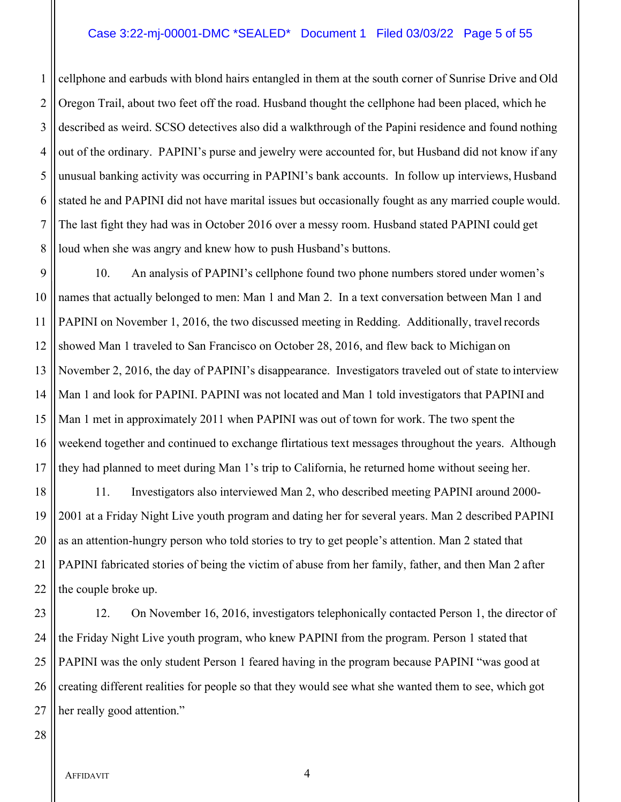#### Case 3:22-mj-00001-DMC \*SEALED\* Document 1 Filed 03/03/22 Page 5 of 55

1 cellphone and earbuds with blond hairs entangled in them at the south corner of Sunrise Drive and Old 2 || Oregon Trail, about two feet off the road. Husband thought the cellphone had been placed, which he 3 described as weird. SCSO detectives also did a walkthrough of the Papini residence and found nothing 4 || out of the ordinary. PAPINI's purse and jewelry were accounted for, but Husband did not know if any 5 unusual banking activity was occurring in PAPINI's bank accounts. In follow up interviews, Husband 6 S istated he and PAPINI did not have marital issues but occasionally fought as any married couple would. 7 The last fight they had was in October 2016 over a messy room. Husband stated PAPINI could get 8 || loud when she was angry and knew how to push Husband's buttons.

9 10. An analysis of PAPINI's cellphone found two phone numbers stored under women's 10 names that actually belonged to men: Man 1 and Man 2. In a text conversation between Man 1 and 11 PAPINI on November 1, 2016, the two discussed meeting in Redding. Additionally, travel records 12 Showed Man 1 traveled to San Francisco on October 28, 2016, and flew back to Michigan on 13 November 2, 2016, the day of PAPINI's disappearance. Investigators traveled out of state to interview 14 Man 1 and look for PAPINI. PAPINI was not located and Man 1 told investigators that PAPINI and 15 Man 1 met in approximately 2011 when PAPINI was out of town for work. The two spent the 16 weekend together and continued to exchange flirtatious text messages throughout the years. Although 17 If they had planned to meet during Man 1's trip to California, he returned home without seeing her.

 11. Investigators also interviewed Man 2, who described meeting PAPINI around 2000- 2001 at a Friday Night Live youth program and dating her for several years. Man 2 described PAPINI 20 || as an attention-hungry person who told stories to try to get people's attention. Man 2 stated that PAPINI fabricated stories of being the victim of abuse from her family, father, and then Man 2 after  $\parallel$  the couple broke up.

23 || 12. On November 16, 2016, investigators telephonically contacted Person 1, the director of 24 the Friday Night Live youth program, who knew PAPINI from the program. Person 1 stated that 25 || PAPINI was the only student Person 1 feared having in the program because PAPINI "was good at 26 creating different realities for people so that they would see what she wanted them to see, which got 27 || her really good attention."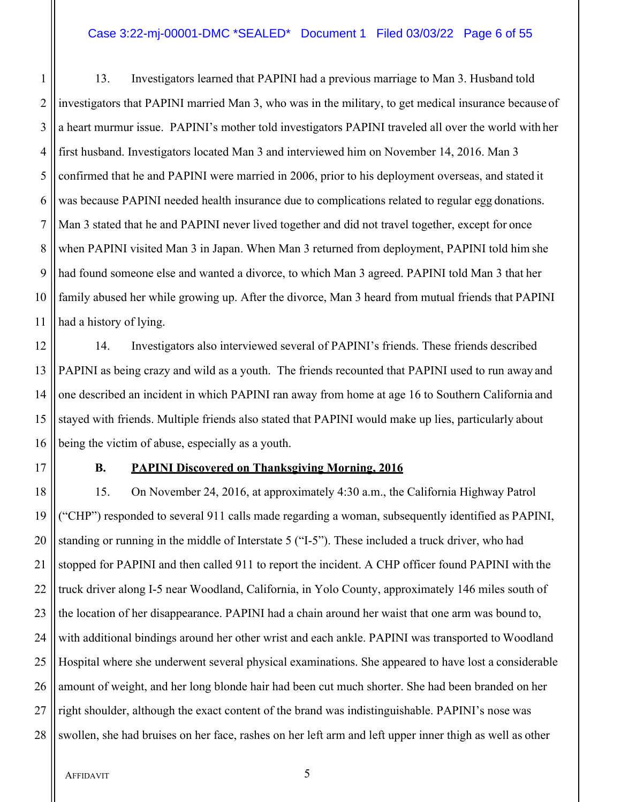#### Case 3:22-mj-00001-DMC \*SEALED\* Document 1 Filed 03/03/22 Page 6 of 55

 13. Investigators learned that PAPINI had a previous marriage to Man 3. Husband told investigators that PAPINI married Man 3, who was in the military, to get medical insurance because of 3 || a heart murmur issue. PAPINI's mother told investigators PAPINI traveled all over the world with her first husband. Investigators located Man 3 and interviewed him on November 14, 2016. Man 3 5 confirmed that he and PAPINI were married in 2006, prior to his deployment overseas, and stated it was because PAPINI needed health insurance due to complications related to regular egg donations. Man 3 stated that he and PAPINI never lived together and did not travel together, except for once when PAPINI visited Man 3 in Japan. When Man 3 returned from deployment, PAPINI told him she had found someone else and wanted a divorce, to which Man 3 agreed. PAPINI told Man 3 that her family abused her while growing up. After the divorce, Man 3 heard from mutual friends that PAPINI had a history of lying.

12 14. Investigators also interviewed several of PAPINI's friends. These friends described 13 PAPINI as being crazy and wild as a youth. The friends recounted that PAPINI used to run away and 14 || one described an incident in which PAPINI ran away from home at age 16 to Southern California and 15 Stayed with friends. Multiple friends also stated that PAPINI would make up lies, particularly about 16 || being the victim of abuse, especially as a youth.

## 17 **B. PAPINI Discovered on Thanksgiving Morning, 2016**

18 15. On November 24, 2016, at approximately 4:30 a.m., the California Highway Patrol 19 ("CHP") responded to several 911 calls made regarding a woman, subsequently identified as PAPINI, 20  $\parallel$  standing or running in the middle of Interstate 5 ("I-5"). These included a truck driver, who had 21 Stopped for PAPINI and then called 911 to report the incident. A CHP officer found PAPINI with the 22 || truck driver along I-5 near Woodland, California, in Yolo County, approximately 146 miles south of 23 the location of her disappearance. PAPINI had a chain around her waist that one arm was bound to, 24 With additional bindings around her other wrist and each ankle. PAPINI was transported to Woodland 25 Hospital where she underwent several physical examinations. She appeared to have lost a considerable 26 amount of weight, and her long blonde hair had been cut much shorter. She had been branded on her  $27$   $\parallel$  right shoulder, although the exact content of the brand was indistinguishable. PAPINI's nose was 28 Swollen, she had bruises on her face, rashes on her left arm and left upper inner thigh as well as other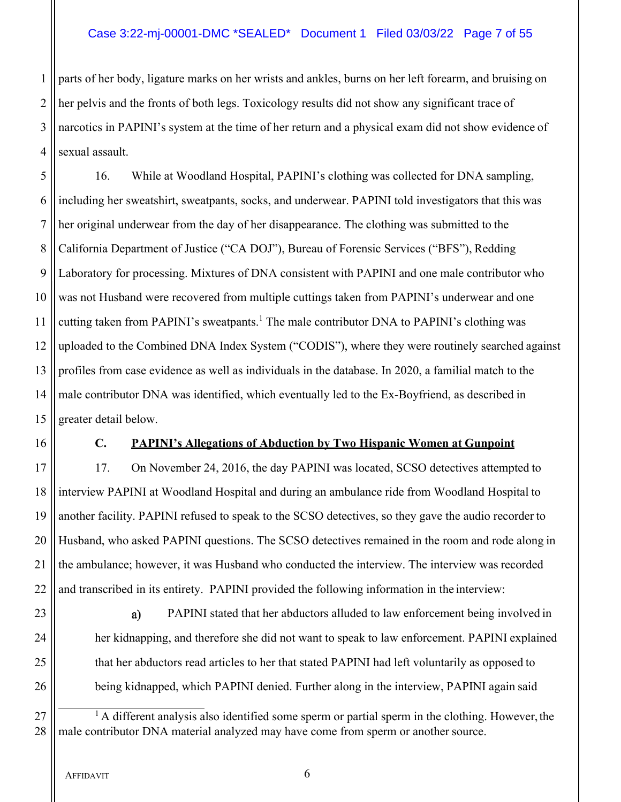# Case 3:22-mj-00001-DMC \*SEALED\* Document 1 Filed 03/03/22 Page 7 of 55

 parts of her body, ligature marks on her wrists and ankles, burns on her left forearm, and bruising on her pelvis and the fronts of both legs. Toxicology results did not show any significant trace of narcotics in PAPINI's system at the time of her return and a physical exam did not show evidence of 4 Sexual assault.

 16. While at Woodland Hospital, PAPINI's clothing was collected for DNA sampling, including her sweatshirt, sweatpants, socks, and underwear. PAPINI told investigators that this was her original underwear from the day of her disappearance. The clothing was submitted to the 8 California Department of Justice ("CA DOJ"), Bureau of Forensic Services ("BFS"), Redding Laboratory for processing. Mixtures of DNA consistent with PAPINI and one male contributor who 10 Was not Husband were recovered from multiple cuttings taken from PAPINI's underwear and one 11 || cutting taken from PAPINI's sweatpants.<sup>1</sup> The male contributor DNA to PAPINI's clothing was uploaded to the Combined DNA Index System ("CODIS"), where they were routinely searched against profiles from case evidence as well as individuals in the database. In 2020, a familial match to the male contributor DNA was identified, which eventually led to the Ex-Boyfriend, as described in 15 || greater detail below.

## 16 **C. PAPINI's Allegations of Abduction by Two Hispanic Women at Gunpoint**

17 | 17. On November 24, 2016, the day PAPINI was located, SCSO detectives attempted to interview PAPINI at Woodland Hospital and during an ambulance ride from Woodland Hospital to another facility. PAPINI refused to speak to the SCSO detectives, so they gave the audio recorder to Husband, who asked PAPINI questions. The SCSO detectives remained in the room and rode along in 21 If the ambulance; however, it was Husband who conducted the interview. The interview was recorded || and transcribed in its entirety. PAPINI provided the following information in the interview:

23 || a) PAPINI stated that her abductors alluded to law enforcement being involved in 24 | her kidnapping, and therefore she did not want to speak to law enforcement. PAPINI explained 25  $\parallel$  that her abductors read articles to her that stated PAPINI had left voluntarily as opposed to 26 **being kidnapped, which PAPINI denied. Further along in the interview, PAPINI again said** 

 $27$   $\parallel$  <sup>1</sup> A different analysis also identified some sperm or partial sperm in the clothing. However, the 28 || male contributor DNA material analyzed may have come from sperm or another source.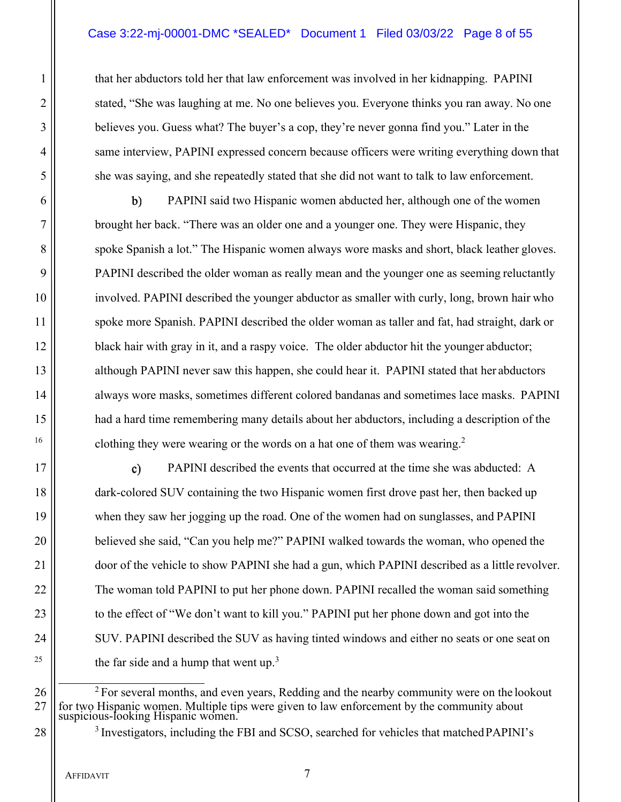# Case 3:22-mj-00001-DMC \*SEALED\* Document 1 Filed 03/03/22 Page 8 of 55

1 that her abductors told her that law enforcement was involved in her kidnapping. PAPINI 2 || stated, "She was laughing at me. No one believes you. Everyone thinks you ran away. No one 3 **believes you.** Guess what? The buyer's a cop, they're never gonna find you." Later in the 4 | same interview, PAPINI expressed concern because officers were writing everything down that 5 she was saying, and she repeatedly stated that she did not want to talk to law enforcement.

6 PAPINI said two Hispanic women abducted her, although one of the women 7 | brought her back. "There was an older one and a younger one. They were Hispanic, they 8 spoke Spanish a lot." The Hispanic women always wore masks and short, black leather gloves. 9 **PAPINI** described the older woman as really mean and the younger one as seeming reluctantly 10 involved. PAPINI described the younger abductor as smaller with curly, long, brown hair who 11 spoke more Spanish. PAPINI described the older woman as taller and fat, had straight, dark or 12 black hair with gray in it, and a raspy voice. The older abductor hit the younger abductor; 13 || although PAPINI never saw this happen, she could hear it. PAPINI stated that her abductors 14 | always wore masks, sometimes different colored bandanas and sometimes lace masks. PAPINI 15 had a hard time remembering many details about her abductors, including a description of the <sup>16</sup> clothing they were wearing or the words on a hat one of them was wearing.<sup>2</sup>

17 || c) PAPINI described the events that occurred at the time she was abducted: A 18  $\parallel$  dark-colored SUV containing the two Hispanic women first drove past her, then backed up 19 when they saw her jogging up the road. One of the women had on sunglasses, and PAPINI 20 **believed she said, "Can you help me?" PAPINI** walked towards the woman, who opened the 21 | door of the vehicle to show PAPINI she had a gun, which PAPINI described as a little revolver. 22 | The woman told PAPINI to put her phone down. PAPINI recalled the woman said something 23 | to the effect of "We don't want to kill you." PAPINI put her phone down and got into the 24 | SUV. PAPINI described the SUV as having tinted windows and either no seats or one seat on <sup>25</sup>  $\parallel$  the far side and a hump that went up.<sup>3</sup>

 $26 \parallel$  <sup>2</sup> For several months, and even years, Redding and the nearby community were on the lookout  $27$  for two Hispanic women. Multiple tips were given to law enforcement by the community about suspicious-looking Hispanic women.

 $28$   $\parallel$  <sup>3</sup> Investigators, including the FBI and SCSO, searched for vehicles that matched PAPINI's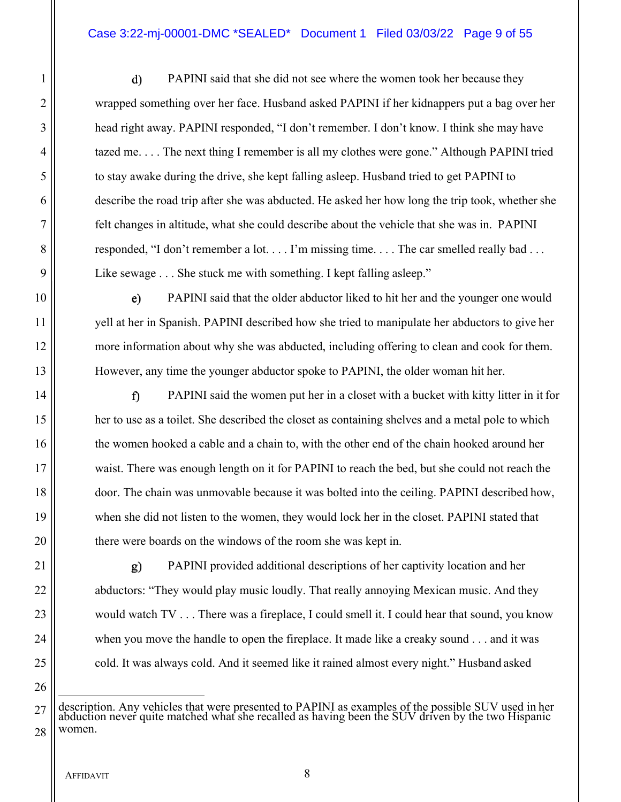# Case 3:22-mj-00001-DMC \*SEALED\* Document 1 Filed 03/03/22 Page 9 of 55

1 | d) PAPINI said that she did not see where the women took her because they 2 wrapped something over her face. Husband asked PAPINI if her kidnappers put a bag over her 3 head right away. PAPINI responded, "I don't remember. I don't know. I think she may have 4  $\parallel$  tazed me.... The next thing I remember is all my clothes were gone." Although PAPINI tried 5 to stay awake during the drive, she kept falling asleep. Husband tried to get PAPINI to 6 describe the road trip after she was abducted. He asked her how long the trip took, whether she 7 felt changes in altitude, what she could describe about the vehicle that she was in. PAPINI 8 || responded, "I don't remember a lot... I'm missing time... The car smelled really bad... 9 ||<br>Like sewage . . . She stuck me with something. I kept falling asleep."

**PAPINI** said that the older abductor liked to hit her and the younger one would yell at her in Spanish. PAPINI described how she tried to manipulate her abductors to give her more information about why she was abducted, including offering to clean and cook for them. However, any time the younger abductor spoke to PAPINI, the older woman hit her.

14 || **exteriber 14 || PAPINI** said the women put her in a closet with a bucket with kitty litter in it for 15 her to use as a toilet. She described the closet as containing shelves and a metal pole to which 16 the women hooked a cable and a chain to, with the other end of the chain hooked around her 17 waist. There was enough length on it for PAPINI to reach the bed, but she could not reach the 18 door. The chain was unmovable because it was bolted into the ceiling. PAPINI described how, 19 when she did not listen to the women, they would lock her in the closet. PAPINI stated that 20 || there were boards on the windows of the room she was kept in.

21 || g) PAPINI provided additional descriptions of her captivity location and her 22 **abductors: "They would play music loudly. That really annoying Mexican music. And they** 23  $\parallel$  would watch TV . . . There was a fireplace, I could smell it. I could hear that sound, you know 24 when you move the handle to open the fireplace. It made like a creaky sound . . . and it was 25 | cold. It was always cold. And it seemed like it rained almost every night." Husband asked

 $27$  description. Any vehicles that were presented to PAPINI as examples of the possible SUV used in her abduction never quite matched what she recalled as having been the SUV driven by the two Hispanic  $28$  Women.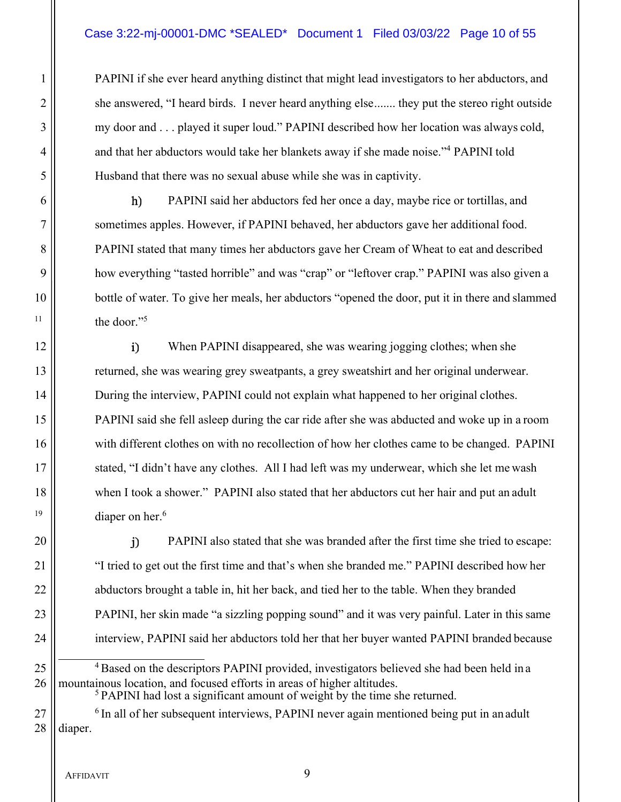# Case 3:22-mj-00001-DMC \*SEALED\* Document 1 Filed 03/03/22 Page 10 of 55

1 PAPINI if she ever heard anything distinct that might lead investigators to her abductors, and 2 || she answered, "I heard birds. I never heard anything else ....... they put the stereo right outside 3 || my door and ... played it super loud." PAPINI described how her location was always cold,  $4 \parallel$  and that her abductors would take her blankets away if she made noise." PAPINI told 5 Husband that there was no sexual abuse while she was in captivity.

6 || h) PAPINI said her abductors fed her once a day, maybe rice or tortillas, and sometimes apples. However, if PAPINI behaved, her abductors gave her additional food. PAPINI stated that many times her abductors gave her Cream of Wheat to eat and described how everything "tasted horrible" and was "crap" or "leftover crap." PAPINI was also given a bottle of water. To give her meals, her abductors "opened the door, put it in there and slammed the door."<sup>5</sup>

12 When PAPINI disappeared, she was wearing jogging clothes; when she 13 **returned, she was wearing grey sweatpants, a grey sweatshirt and her original underwear.** 14 | During the interview, PAPINI could not explain what happened to her original clothes. 15 PAPINI said she fell asleep during the car ride after she was abducted and woke up in a room 16 with different clothes on with no recollection of how her clothes came to be changed. PAPINI 17 || stated, "I didn't have any clothes. All I had left was my underwear, which she let me wash 18 when I took a shower." PAPINI also stated that her abductors cut her hair and put an adult <sup>19</sup> diaper on her.<sup>6</sup>

20 || i) PAPINI also stated that she was branded after the first time she tried to escape: 21 | "I tried to get out the first time and that's when she branded me." PAPINI described how her 22 | abductors brought a table in, hit her back, and tied her to the table. When they branded 23 **PAPINI**, her skin made "a sizzling popping sound" and it was very painful. Later in this same 24 | interview, PAPINI said her abductors told her that her buyer wanted PAPINI branded because

25  $\parallel$  <sup>4</sup> Based on the descriptors PAPINI provided, investigators believed she had been held in a 26 || mountainous location, and focused efforts in areas of higher altitudes.

<sup>5</sup> PAPINI had lost a significant amount of weight by the time she returned.

 $27$   $\parallel$  <sup>6</sup> In all of her subsequent interviews, PAPINI never again mentioned being put in an adult  $28$  | diaper.

AFFIDAVIT 9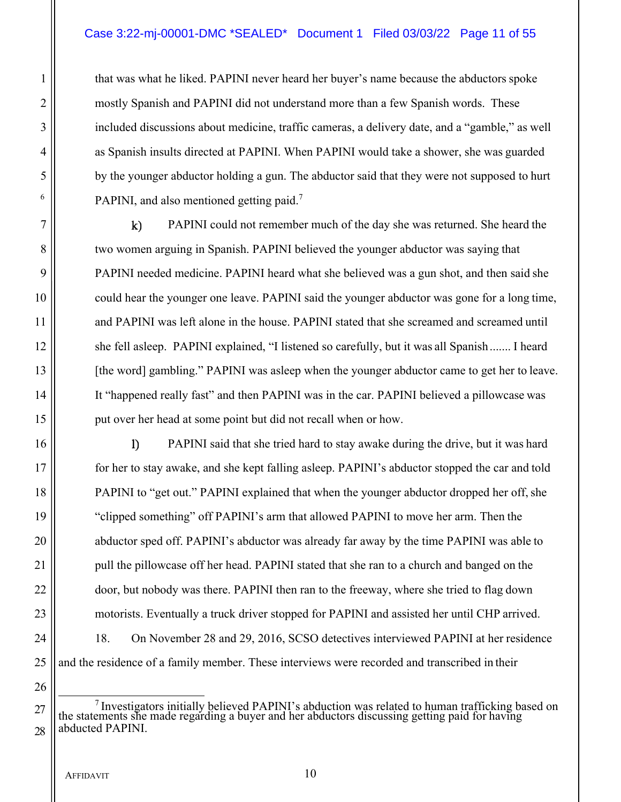1 that was what he liked. PAPINI never heard her buyer's name because the abductors spoke 2 **mostly Spanish and PAPINI** did not understand more than a few Spanish words. These 3 included discussions about medicine, traffic cameras, a delivery date, and a "gamble," as well 4 as Spanish insults directed at PAPINI. When PAPINI would take a shower, she was guarded 5 by the younger abductor holding a gun. The abductor said that they were not supposed to hurt  $\lceil 6 \rceil$  PAPINI, and also mentioned getting paid.<sup>7</sup>

 $7 \parallel$  k) PAPINI could not remember much of the day she was returned. She heard the 8 || two women arguing in Spanish. PAPINI believed the younger abductor was saying that 9 PAPINI needed medicine. PAPINI heard what she believed was a gun shot, and then said she 10 could hear the younger one leave. PAPINI said the younger abductor was gone for a long time, 11 and PAPINI was left alone in the house. PAPINI stated that she screamed and screamed until 12 she fell asleep. PAPINI explained, "I listened so carefully, but it was all Spanish ....... I heard 13 | [the word] gambling." PAPINI was asleep when the younger abductor came to get her to leave. 14 It "happened really fast" and then PAPINI was in the car. PAPINI believed a pillowcase was 15 || put over her head at some point but did not recall when or how.

16 || PAPINI said that she tried hard to stay awake during the drive, but it was hard for her to stay awake, and she kept falling asleep. PAPINI's abductor stopped the car and told **PAPINI** to "get out." PAPINI explained that when the younger abductor dropped her off, she "clipped something" off PAPINI's arm that allowed PAPINI to move her arm. Then the **abductor sped off. PAPINI's abductor was already far away by the time PAPINI was able to** 21 | pull the pillowcase off her head. PAPINI stated that she ran to a church and banged on the  $\parallel$  door, but nobody was there. PAPINI then ran to the freeway, where she tried to flag down motorists. Eventually a truck driver stopped for PAPINI and assisted her until CHP arrived. 24 | 18. On November 28 and 29, 2016, SCSO detectives interviewed PAPINI at her residence || and the residence of a family member. These interviews were recorded and transcribed in their

 $27$  the statements she made regarding a buyer and her abduction was related to human trafficking based on the statements she made regarding a buyer and her abductors discussing getting paid for having  $28$  || abducted PAPINI.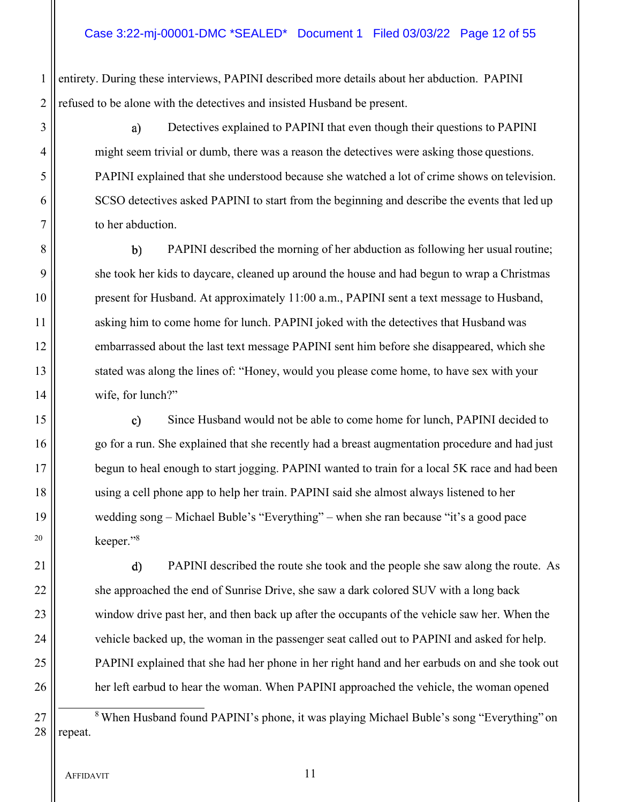1 entirety. During these interviews, PAPINI described more details about her abduction. PAPINI 2 || refused to be alone with the detectives and insisted Husband be present.

3 || a) Detectives explained to PAPINI that even though their questions to PAPINI 4  $\parallel$  might seem trivial or dumb, there was a reason the detectives were asking those questions. 5 PAPINI explained that she understood because she watched a lot of crime shows on television. 6 SCSO detectives asked PAPINI to start from the beginning and describe the events that led up 7 | to her abduction.

8 || b) PAPINI described the morning of her abduction as following her usual routine; 9 || she took her kids to daycare, cleaned up around the house and had begun to wrap a Christmas 10 present for Husband. At approximately 11:00 a.m., PAPINI sent a text message to Husband, 11 || asking him to come home for lunch. PAPINI joked with the detectives that Husband was 12 embarrassed about the last text message PAPINI sent him before she disappeared, which she 13 || stated was along the lines of: "Honey, would you please come home, to have sex with your 14 | wife, for lunch?"

15  $\parallel$  c) Since Husband would not be able to come home for lunch, PAPINI decided to 16 go for a run. She explained that she recently had a breast augmentation procedure and had just 17 || begun to heal enough to start jogging. PAPINI wanted to train for a local 5K race and had been 18 using a cell phone app to help her train. PAPINI said she almost always listened to her 19 wedding song – Michael Buble's "Everything" – when she ran because "it's a good pace  $\log 20$  keeper."<sup>8</sup>

21 | d) PAPINI described the route she took and the people she saw along the route. As 22 | she approached the end of Sunrise Drive, she saw a dark colored SUV with a long back 23 window drive past her, and then back up after the occupants of the vehicle saw her. When the 24  $\parallel$  vehicle backed up, the woman in the passenger seat called out to PAPINI and asked for help. 25 PAPINI explained that she had her phone in her right hand and her earbuds on and she took out 26 **h** her left earbud to hear the woman. When PAPINI approached the vehicle, the woman opened

27 | <br><sup>8</sup> When Husband found PAPINI's phone, it was playing Michael Buble's song "Everything" on  $28$  | repeat.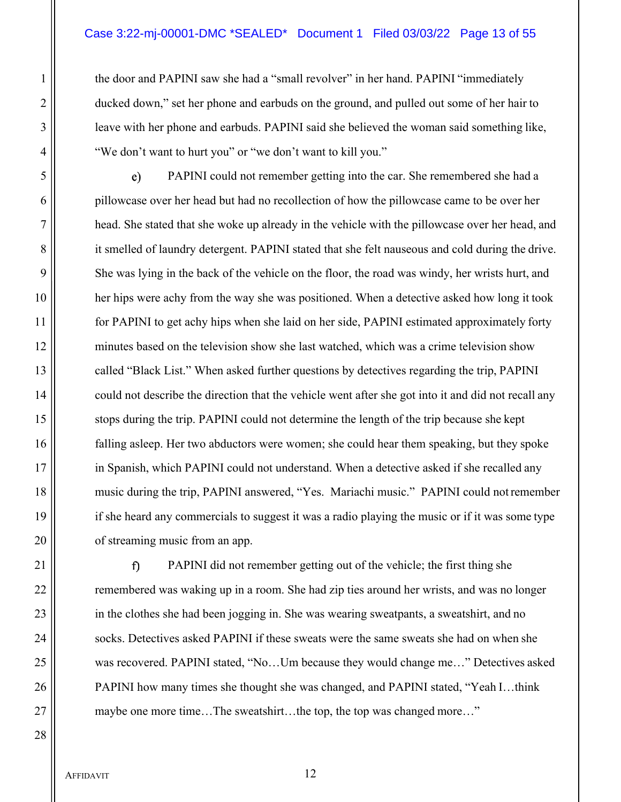1 the door and PAPINI saw she had a "small revolver" in her hand. PAPINI "immediately 2 ||<br>
2 || ducked down," set her phone and earbuds on the ground, and pulled out some of her hair to 3 || leave with her phone and earbuds. PAPINI said she believed the woman said something like, 4  $\parallel$  "We don't want to hurt you" or "we don't want to kill you."

5 || e) PAPINI could not remember getting into the car. She remembered she had a 6 pillowcase over her head but had no recollection of how the pillowcase came to be over her 7 head. She stated that she woke up already in the vehicle with the pillowcase over her head, and 8 it smelled of laundry detergent. PAPINI stated that she felt nauseous and cold during the drive. 9 She was lying in the back of the vehicle on the floor, the road was windy, her wrists hurt, and 10 her hips were achy from the way she was positioned. When a detective asked how long it took 11 | for PAPINI to get achy hips when she laid on her side, PAPINI estimated approximately forty 12 minutes based on the television show she last watched, which was a crime television show 13 called "Black List." When asked further questions by detectives regarding the trip, PAPINI 14 could not describe the direction that the vehicle went after she got into it and did not recall any 15 stops during the trip. PAPINI could not determine the length of the trip because she kept 16 falling asleep. Her two abductors were women; she could hear them speaking, but they spoke 17 in Spanish, which PAPINI could not understand. When a detective asked if she recalled any 18 music during the trip, PAPINI answered, "Yes. Mariachi music." PAPINI could not remember 19 if she heard any commercials to suggest it was a radio playing the music or if it was some type 20 **o** of streaming music from an app.

21 || **c f p PAPINI** did not remember getting out of the vehicle; the first thing she 22 || remembered was waking up in a room. She had zip ties around her wrists, and was no longer 23 in the clothes she had been jogging in. She was wearing sweatpants, a sweatshirt, and no 24 | socks. Detectives asked PAPINI if these sweats were the same sweats she had on when she 25 was recovered. PAPINI stated, "No...Um because they would change me..." Detectives asked 26 | PAPINI how many times she thought she was changed, and PAPINI stated, "Yeah I...think 27 || maybe one more time...The sweatshirt...the top, the top was changed more..."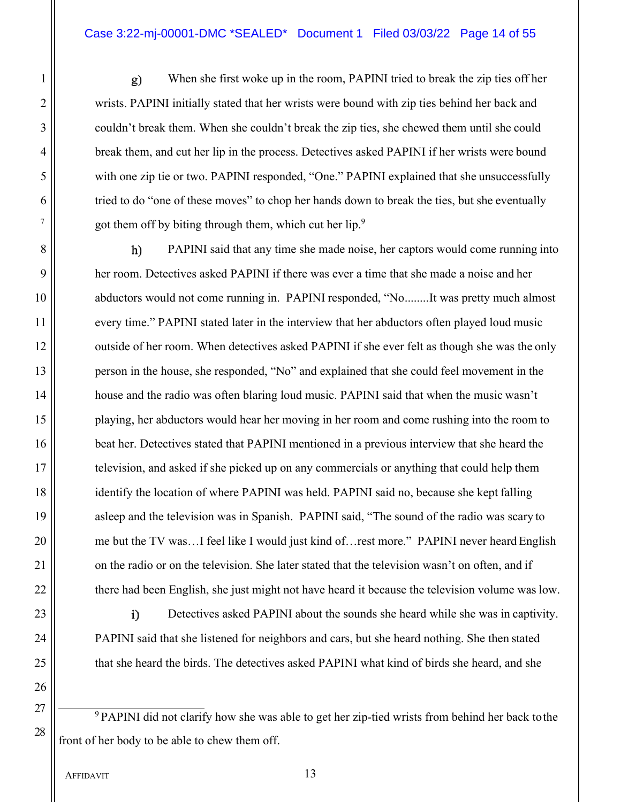1 When she first woke up in the room, PAPINI tried to break the zip ties off her 2 wrists. PAPINI initially stated that her wrists were bound with zip ties behind her back and 3 || couldn't break them. When she couldn't break the zip ties, she chewed them until she could 4 | break them, and cut her lip in the process. Detectives asked PAPINI if her wrists were bound 5 with one zip tie or two. PAPINI responded, "One." PAPINI explained that she unsuccessfully 6 tried to do "one of these moves" to chop her hands down to break the ties, but she eventually <sup>7</sup>  $\parallel$  got them off by biting through them, which cut her lip.<sup>9</sup>

8 || **h**) PAPINI said that any time she made noise, her captors would come running into 9 her room. Detectives asked PAPINI if there was ever a time that she made a noise and her 10 || abductors would not come running in. PAPINI responded, "No .........It was pretty much almost 11 every time." PAPINI stated later in the interview that her abductors often played loud music 12 || outside of her room. When detectives asked PAPINI if she ever felt as though she was the only 13 || person in the house, she responded, "No" and explained that she could feel movement in the 14 | house and the radio was often blaring loud music. PAPINI said that when the music wasn't 15 || playing, her abductors would hear her moving in her room and come rushing into the room to 16 **beat her.** Detectives stated that PAPINI mentioned in a previous interview that she heard the 17 television, and asked if she picked up on any commercials or anything that could help them 18 || identify the location of where PAPINI was held. PAPINI said no, because she kept falling 19 asleep and the television was in Spanish. PAPINI said, "The sound of the radio was scary to 20 || me but the TV was...I feel like I would just kind of... rest more." PAPINI never heard English 21 | on the radio or on the television. She later stated that the television wasn't on often, and if 22  $\parallel$  there had been English, she just might not have heard it because the television volume was low.

23 || i) Detectives asked PAPINI about the sounds she heard while she was in captivity. 24 | PAPINI said that she listened for neighbors and cars, but she heard nothing. She then stated 25 | that she heard the birds. The detectives asked PAPINI what kind of birds she heard, and she

 $27 \parallel \frac{9 \text{ PAPINI}}{20}$  PAPINI did not clarify how she was able to get her zip-tied wrists from behind her back to the front of her body to be able to chew them off.

26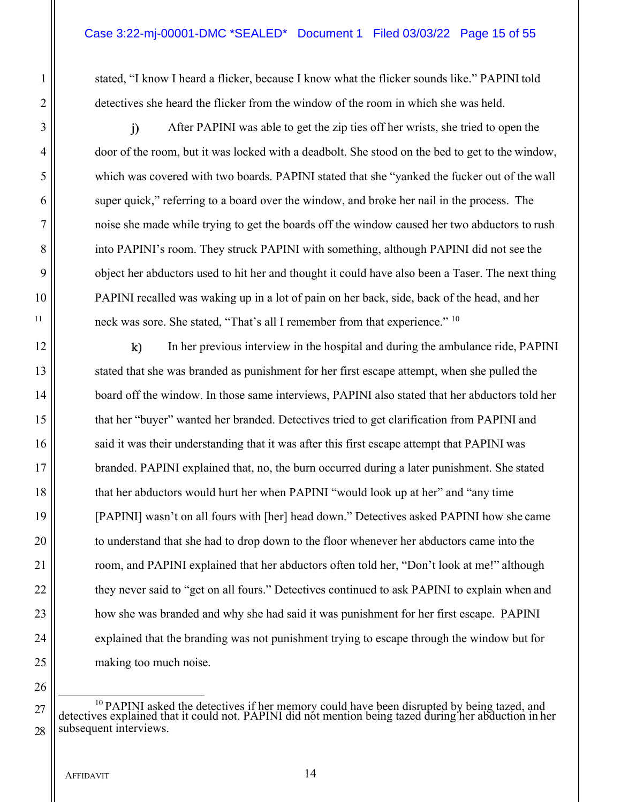1 stated, "I know I heard a flicker, because I know what the flicker sounds like." PAPINI told 2 **detectives she heard the flicker from the window of the room in which she was held.** 

3 || i) After PAPINI was able to get the zip ties off her wrists, she tried to open the 4 door of the room, but it was locked with a deadbolt. She stood on the bed to get to the window, 5 which was covered with two boards. PAPINI stated that she "yanked the fucker out of the wall 6 super quick," referring to a board over the window, and broke her nail in the process. The 7 noise she made while trying to get the boards off the window caused her two abductors to rush 8 into PAPINI's room. They struck PAPINI with something, although PAPINI did not see the 9 | object her abductors used to hit her and thought it could have also been a Taser. The next thing 10 PAPINI recalled was waking up in a lot of pain on her back, side, back of the head, and her <sup>11</sup>  $\parallel$  neck was sore. She stated, "That's all I remember from that experience." <sup>10</sup>

12 || k) In her previous interview in the hospital and during the ambulance ride, PAPINI 13 stated that she was branded as punishment for her first escape attempt, when she pulled the 14 | board off the window. In those same interviews, PAPINI also stated that her abductors told her 15 that her "buyer" wanted her branded. Detectives tried to get clarification from PAPINI and 16 ||
said it was their understanding that it was after this first escape attempt that PAPINI was 17 branded. PAPINI explained that, no, the burn occurred during a later punishment. She stated 18 || that her abductors would hurt her when PAPINI "would look up at her" and "any time 19 [PAPINI] wasn't on all fours with [her] head down." Detectives asked PAPINI how she came 20 || to understand that she had to drop down to the floor whenever her abductors came into the 21 | room, and PAPINI explained that her abductors often told her, "Don't look at me!" although 22  $\parallel$  they never said to "get on all fours." Detectives continued to ask PAPINI to explain when and 23 **how** she was branded and why she had said it was punishment for her first escape. PAPINI 24 explained that the branding was not punishment trying to escape through the window but for 25 || making too much noise.

 $27 \parallel$  detectives explained that it could not. PAPINI did not mention being tazed during her abduction in her abduction in her  $28$  subsequent interviews.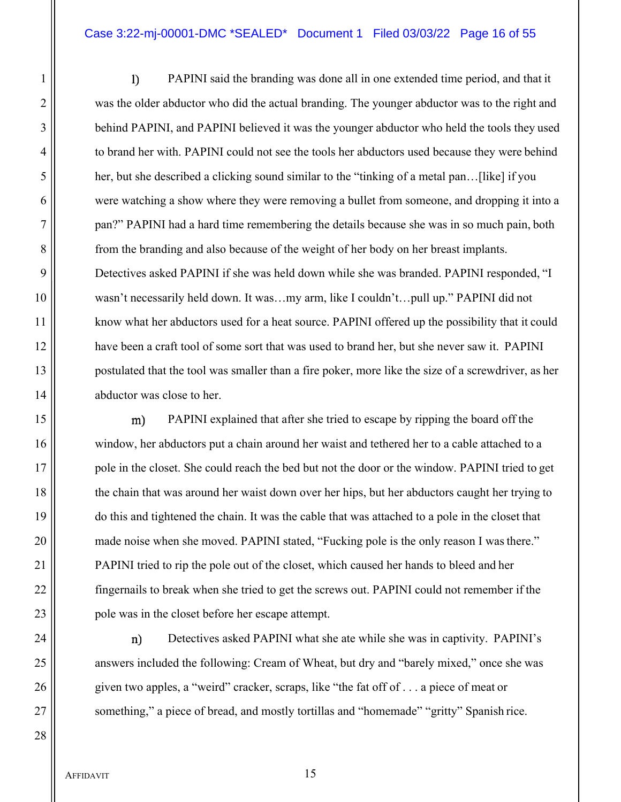#### Case 3:22-mj-00001-DMC \*SEALED\* Document 1 Filed 03/03/22 Page 16 of 55

1 PAPINI said the branding was done all in one extended time period, and that it 2 was the older abductor who did the actual branding. The younger abductor was to the right and **behind PAPINI**, and PAPINI believed it was the younger abductor who held the tools they used to brand her with. PAPINI could not see the tools her abductors used because they were behind her, but she described a clicking sound similar to the "tinking of a metal pan…[like] if you 6 were watching a show where they were removing a bullet from someone, and dropping it into a pan?" PAPINI had a hard time remembering the details because she was in so much pain, both **from the branding and also because of the weight of her body on her breast implants.**  Detectives asked PAPINI if she was held down while she was branded. PAPINI responded, "I wasn't necessarily held down. It was…my arm, like I couldn't…pull up." PAPINI did not know what her abductors used for a heat source. PAPINI offered up the possibility that it could have been a craft tool of some sort that was used to brand her, but she never saw it. PAPINI postulated that the tool was smaller than a fire poker, more like the size of a screwdriver, as her 14 | abductor was close to her.

15 || m) PAPINI explained that after she tried to escape by ripping the board off the 16 window, her abductors put a chain around her waist and tethered her to a cable attached to a 17 pole in the closet. She could reach the bed but not the door or the window. PAPINI tried to get 18 || the chain that was around her waist down over her hips, but her abductors caught her trying to 19 do this and tightened the chain. It was the cable that was attached to a pole in the closet that 20 || made noise when she moved. PAPINI stated, "Fucking pole is the only reason I was there." 21 | PAPINI tried to rip the pole out of the closet, which caused her hands to bleed and her 22 fingernails to break when she tried to get the screws out. PAPINI could not remember if the 23 || pole was in the closet before her escape attempt.

24 || m) Detectives asked PAPINI what she ate while she was in captivity. PAPINI's 25 answers included the following: Cream of Wheat, but dry and "barely mixed," once she was 26 given two apples, a "weird" cracker, scraps, like "the fat off of . . . a piece of meat or 27 || something," a piece of bread, and mostly tortillas and "homemade" "gritty" Spanish rice.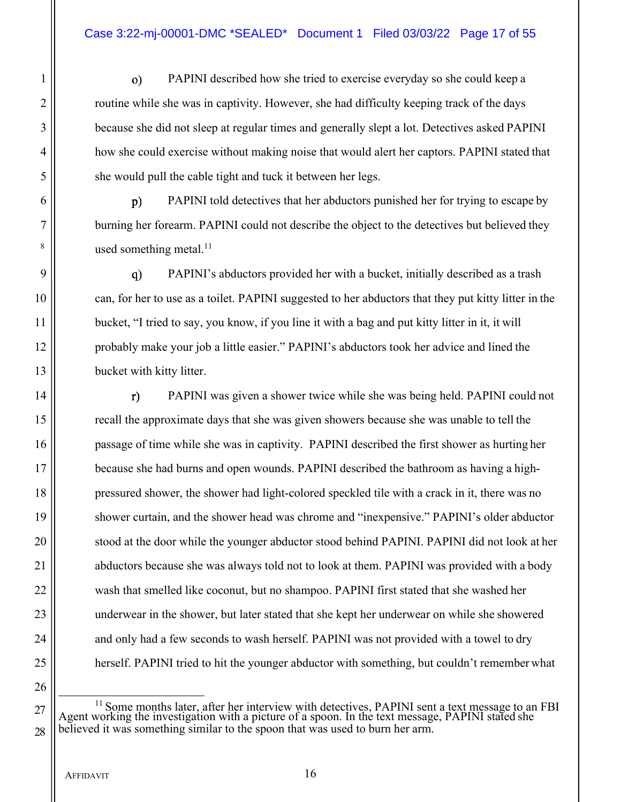1 PAPINI described how she tried to exercise everyday so she could keep a 2 || solutine while she was in captivity. However, she had difficulty keeping track of the days 3 **because she did not sleep at regular times and generally slept a lot. Detectives asked PAPINI** 4 how she could exercise without making noise that would alert her captors. PAPINI stated that 5 || she would pull the cable tight and tuck it between her legs.

6 || p) PAPINI told detectives that her abductors punished her for trying to escape by 7 burning her forearm. PAPINI could not describe the object to the detectives but believed they  $\vert$ <sup>8</sup> used something metal.<sup>11</sup>

9 PAPINI's abductors provided her with a bucket, initially described as a trash 10 can, for her to use as a toilet. PAPINI suggested to her abductors that they put kitty litter in the 11 | bucket, "I tried to say, you know, if you line it with a bag and put kitty litter in it, it will 12 | probably make your job a little easier." PAPINI's abductors took her advice and lined the 13 bucket with kitty litter.

14 || **T** PAPINI was given a shower twice while she was being held. PAPINI could not 15 recall the approximate days that she was given showers because she was unable to tell the 16 **passage of time while she was in captivity. PAPINI described the first shower as hurting her** 17 because she had burns and open wounds. PAPINI described the bathroom as having a high-18 || pressured shower, the shower had light-colored speckled tile with a crack in it, there was no 19 shower curtain, and the shower head was chrome and "inexpensive." PAPINI's older abductor 20 || stood at the door while the younger abductor stood behind PAPINI. PAPINI did not look at her 21 | abductors because she was always told not to look at them. PAPINI was provided with a body 22 wash that smelled like coconut, but no shampoo. PAPINI first stated that she washed her 23 underwear in the shower, but later stated that she kept her underwear on while she showered 24 || and only had a few seconds to wash herself. PAPINI was not provided with a towel to dry 25 herself. PAPINI tried to hit the younger abductor with something, but couldn't remember what

 $27 \parallel$  Agent working the investigation with a picture of a spoon. In the text message, PAPINI stated she and FBI Agent working the investigation with a picture of a spoon. In the text message, PAPINI stated she  $28 \parallel$  believed it was something similar to the spoon that was used to burn her arm.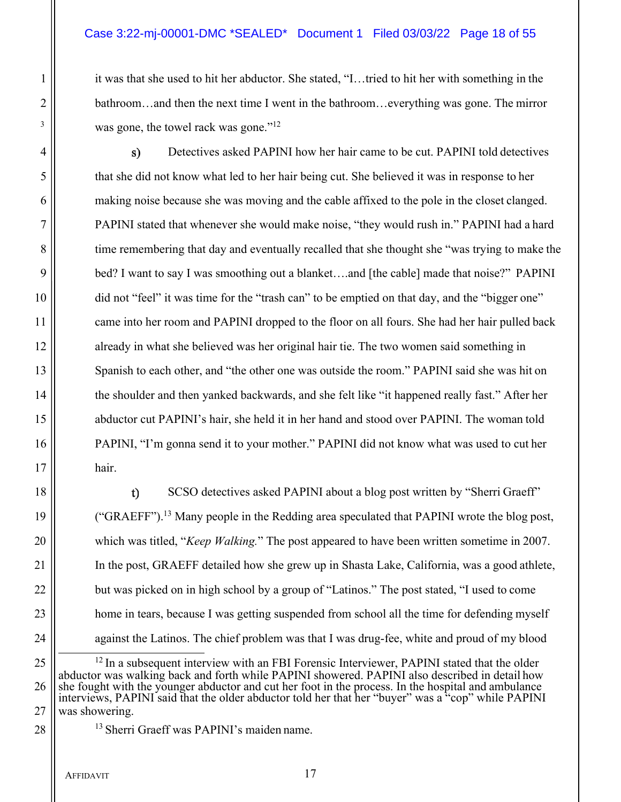# Case 3:22-mj-00001-DMC \*SEALED\* Document 1 Filed 03/03/22 Page 18 of 55

1 it was that she used to hit her abductor. She stated, "I...tried to hit her with something in the 2 **bathroom…and then the next time I went in the bathroom…everything was gone. The mirror**  $\mathbb{R}^3$  was gone, the towel rack was gone."<sup>12</sup>

4 Detectives asked PAPINI how her hair came to be cut. PAPINI told detectives 5 that she did not know what led to her hair being cut. She believed it was in response to her 6 making noise because she was moving and the cable affixed to the pole in the closet clanged. 7 PAPINI stated that whenever she would make noise, "they would rush in." PAPINI had a hard 8 time remembering that day and eventually recalled that she thought she "was trying to make the 9 bed? I want to say I was smoothing out a blanket….and [the cable] made that noise?" PAPINI 10 did not "feel" it was time for the "trash can" to be emptied on that day, and the "bigger one" 11 came into her room and PAPINI dropped to the floor on all fours. She had her hair pulled back 12 already in what she believed was her original hair tie. The two women said something in 13 Spanish to each other, and "the other one was outside the room." PAPINI said she was hit on 14  $\parallel$  the shoulder and then yanked backwards, and she felt like "it happened really fast." After her 15 abductor cut PAPINI's hair, she held it in her hand and stood over PAPINI. The woman told 16 **PAPINI, "I'm gonna send it to your mother." PAPINI did not know what was used to cut her**  $17$  hair.

18 || sCSO detectives asked PAPINI about a blog post written by "Sherri Graeff" 19  $\parallel$  ("GRAEFF").<sup>13</sup> Many people in the Redding area speculated that PAPINI wrote the blog post, 20 which was titled, "*Keep Walking.*" The post appeared to have been written sometime in 2007. 21 In the post, GRAEFF detailed how she grew up in Shasta Lake, California, was a good athlete, 22 **but was picked on in high school by a group of "Latinos."** The post stated, "I used to come 23 | home in tears, because I was getting suspended from school all the time for defending myself 24 || against the Latinos. The chief problem was that I was drug-fee, white and proud of my blood

 $25$   $\parallel$  <sup>12</sup> In a subsequent interview with an FBI Forensic Interviewer, PAPINI stated that the older abductor was walking back and forth while PAPINI showered. PAPINI also described in detail how 26 she fought with the younger abductor and cut her foot in the process. In the hospital and ambulance interviews, PAPINI said that the older abductor told her that her "buyer" was a "cop" while PAPINI 27 was showering.

28 || <sup>13</sup> Sherri Graeff was PAPINI's maiden name.

AFFIDAVIT 17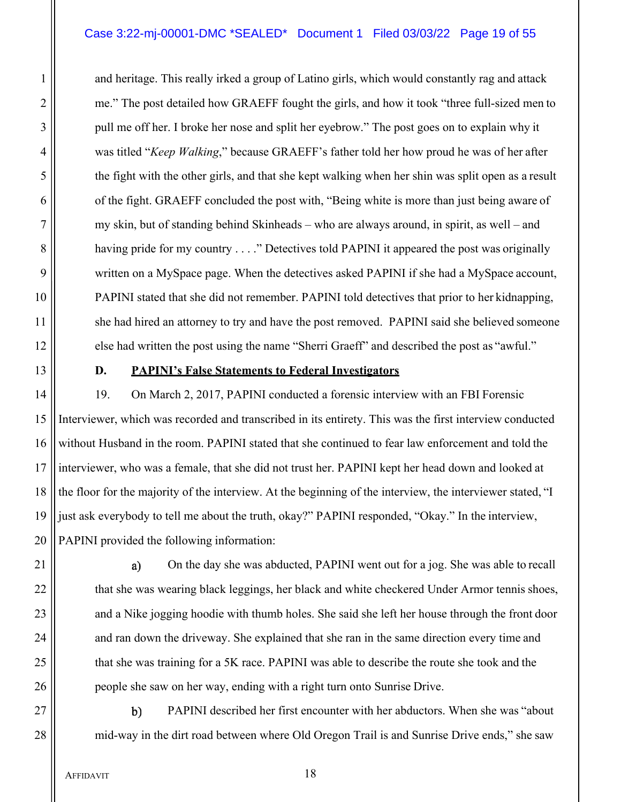# Case 3:22-mj-00001-DMC \*SEALED\* Document 1 Filed 03/03/22 Page 19 of 55

1 and heritage. This really irked a group of Latino girls, which would constantly rag and attack 2 || me." The post detailed how GRAEFF fought the girls, and how it took "three full-sized men to 3 || pull me off her. I broke her nose and split her eyebrow." The post goes on to explain why it 4 was titled "*Keep Walking*," because GRAEFF's father told her how proud he was of her after 5 the fight with the other girls, and that she kept walking when her shin was split open as a result 6 of the fight. GRAEFF concluded the post with, "Being white is more than just being aware of 7 my skin, but of standing behind Skinheads – who are always around, in spirit, as well – and 8 | having pride for my country . . . ." Detectives told PAPINI it appeared the post was originally 9 written on a MySpace page. When the detectives asked PAPINI if she had a MySpace account, 10 PAPINI stated that she did not remember. PAPINI told detectives that prior to her kidnapping, 11 | she had hired an attorney to try and have the post removed. PAPINI said she believed someone 12 else had written the post using the name "Sherri Graeff" and described the post as "awful."

## 13 **D. PAPINI's False Statements to Federal Investigators**

14 | 19. On March 2, 2017, PAPINI conducted a forensic interview with an FBI Forensic 15 Interviewer, which was recorded and transcribed in its entirety. This was the first interview conducted 16 without Husband in the room. PAPINI stated that she continued to fear law enforcement and told the 17 interviewer, who was a female, that she did not trust her. PAPINI kept her head down and looked at 18 the floor for the majority of the interview. At the beginning of the interview, the interviewer stated, "I 19 just ask everybody to tell me about the truth, okay?" PAPINI responded, "Okay." In the interview, 20 || PAPINI provided the following information:

21 || a) On the day she was abducted, PAPINI went out for a jog. She was able to recall 22  $\parallel$  that she was wearing black leggings, her black and white checkered Under Armor tennis shoes, 23 and a Nike jogging hoodie with thumb holes. She said she left her house through the front door 24 and ran down the driveway. She explained that she ran in the same direction every time and 25 that she was training for a 5K race. PAPINI was able to describe the route she took and the 26 **people she saw on her way, ending with a right turn onto Sunrise Drive.** 

27 **b** PAPINI described her first encounter with her abductors. When she was "about" 28 mid-way in the dirt road between where Old Oregon Trail is and Sunrise Drive ends," she saw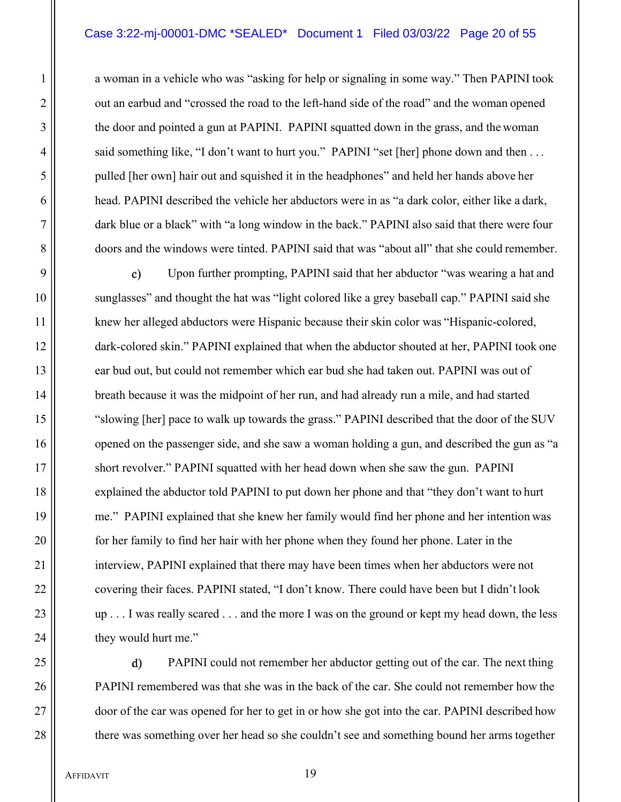# Case 3:22-mj-00001-DMC \*SEALED\* Document 1 Filed 03/03/22 Page 20 of 55

1 a woman in a vehicle who was "asking for help or signaling in some way." Then PAPINI took 2 || out an earbud and "crossed the road to the left-hand side of the road" and the woman opened 3 || the door and pointed a gun at PAPINI. PAPINI squatted down in the grass, and the woman 4 | said something like, "I don't want to hurt you." PAPINI "set [her] phone down and then ... 5 pulled [her own] hair out and squished it in the headphones" and held her hands above her 6 head. PAPINI described the vehicle her abductors were in as "a dark color, either like a dark, 7 dark blue or a black" with "a long window in the back." PAPINI also said that there were four 8 doors and the windows were tinted. PAPINI said that was "about all" that she could remember.

9 || c) Upon further prompting, PAPINI said that her abductor "was wearing a hat and 10 || sunglasses" and thought the hat was "light colored like a grey baseball cap." PAPINI said she 11 | knew her alleged abductors were Hispanic because their skin color was "Hispanic-colored, 12 dark-colored skin." PAPINI explained that when the abductor shouted at her, PAPINI took one 13 ear bud out, but could not remember which ear bud she had taken out. PAPINI was out of 14 breath because it was the midpoint of her run, and had already run a mile, and had started 15 "slowing [her] pace to walk up towards the grass." PAPINI described that the door of the SUV 16 opened on the passenger side, and she saw a woman holding a gun, and described the gun as "a 17  $\parallel$  short revolver." PAPINI squatted with her head down when she saw the gun. PAPINI 18 explained the abductor told PAPINI to put down her phone and that "they don't want to hurt 19 me." PAPINI explained that she knew her family would find her phone and her intention was 20 **for heath and is a starting to find her hair with her phone when they found her phone.** Later in the 21 | interview, PAPINI explained that there may have been times when her abductors were not 22 | covering their faces. PAPINI stated, "I don't know. There could have been but I didn't look  $23$  || up . . . I was really scared . . . and the more I was on the ground or kept my head down, the less 24  $\parallel$  they would hurt me."

25 || d) PAPINI could not remember her abductor getting out of the car. The next thing PAPINI remembered was that she was in the back of the car. She could not remember how the  $\parallel$  door of the car was opened for her to get in or how she got into the car. PAPINI described how  $\parallel$  there was something over her head so she couldn't see and something bound her arms together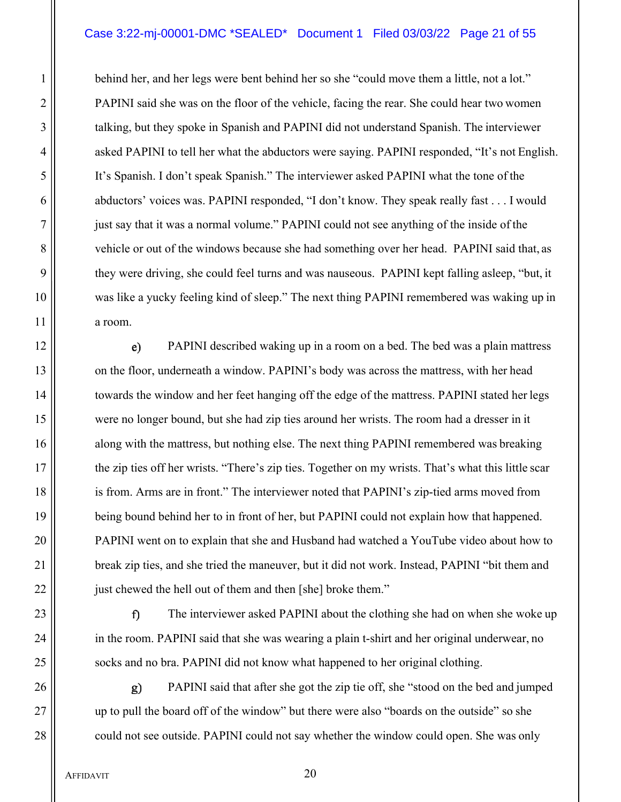#### Case 3:22-mj-00001-DMC \*SEALED\* Document 1 Filed 03/03/22 Page 21 of 55

1 | behind her, and her legs were bent behind her so she "could move them a little, not a lot." 2 ||<br>
PAPINI said she was on the floor of the vehicle, facing the rear. She could hear two women 3 || talking, but they spoke in Spanish and PAPINI did not understand Spanish. The interviewer 4 ||
asked PAPINI to tell her what the abductors were saying. PAPINI responded, "It's not English. 5 It's Spanish. I don't speak Spanish." The interviewer asked PAPINI what the tone of the 6 abductors' voices was. PAPINI responded, "I don't know. They speak really fast . . . I would 7 just say that it was a normal volume." PAPINI could not see anything of the inside of the 8 vehicle or out of the windows because she had something over her head. PAPINI said that, as 9 they were driving, she could feel turns and was nauseous. PAPINI kept falling asleep, "but, it 10 was like a yucky feeling kind of sleep." The next thing PAPINI remembered was waking up in 11 a room.

12 || e) PAPINI described waking up in a room on a bed. The bed was a plain mattress 13 **on** the floor, underneath a window. PAPINI's body was across the mattress, with her head 14 | towards the window and her feet hanging off the edge of the mattress. PAPINI stated her legs 15 were no longer bound, but she had zip ties around her wrists. The room had a dresser in it 16 along with the mattress, but nothing else. The next thing PAPINI remembered was breaking 17  $\parallel$  the zip ties off her wrists. "There's zip ties. Together on my wrists. That's what this little scar 18 is from. Arms are in front." The interviewer noted that PAPINI's zip-tied arms moved from 19 **being bound behind her to in front of her, but PAPINI** could not explain how that happened. 20 PAPINI went on to explain that she and Husband had watched a YouTube video about how to 21 | break zip ties, and she tried the maneuver, but it did not work. Instead, PAPINI "bit them and 22 || just chewed the hell out of them and then [she] broke them."

23 || **The interviewer asked PAPINI about the clothing she had on when she woke up** 24 || in the room. PAPINI said that she was wearing a plain t-shirt and her original underwear, no 25 || socks and no bra. PAPINI did not know what happened to her original clothing.

26 PAPINI said that after she got the zip tie off, she "stood on the bed and jumped 27 up to pull the board off of the window" but there were also "boards on the outside" so she 28 could not see outside. PAPINI could not say whether the window could open. She was only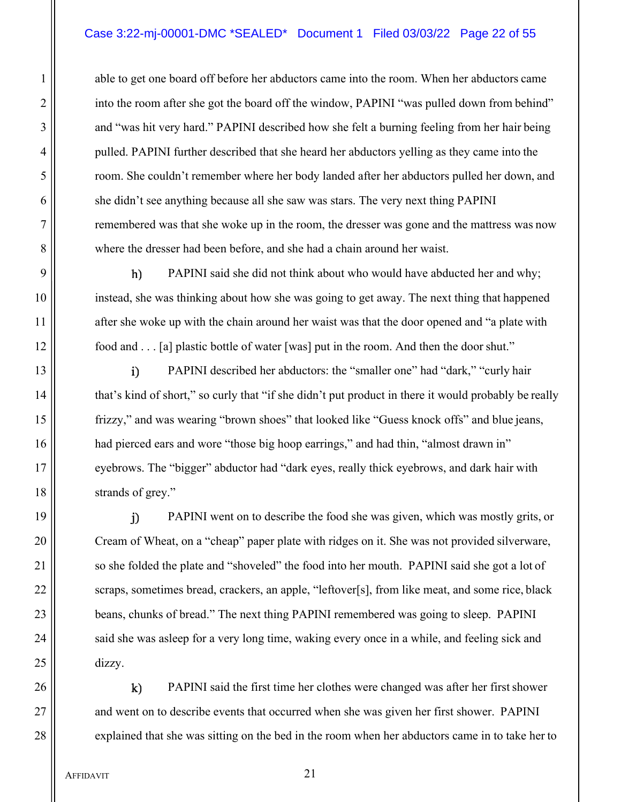# Case 3:22-mj-00001-DMC \*SEALED\* Document 1 Filed 03/03/22 Page 22 of 55

1 able to get one board off before her abductors came into the room. When her abductors came 2 || into the room after she got the board off the window, PAPINI "was pulled down from behind" 3 || and "was hit very hard." PAPINI described how she felt a burning feeling from her hair being 4 pulled. PAPINI further described that she heard her abductors yelling as they came into the 5 || state of the couldn't remember where her body landed after her abductors pulled her down, and 6 she didn't see anything because all she saw was stars. The very next thing PAPINI 7 || remembered was that she woke up in the room, the dresser was gone and the mattress was now 8 where the dresser had been before, and she had a chain around her waist.

9 || **b** PAPINI said she did not think about who would have abducted her and why; 10 instead, she was thinking about how she was going to get away. The next thing that happened 11 || after she woke up with the chain around her waist was that the door opened and "a plate with 12 | food and . . . [a] plastic bottle of water [was] put in the room. And then the door shut."

13 || **PAPINI** described her abductors: the "smaller one" had "dark," "curly hair 14 | that's kind of short," so curly that "if she didn't put product in there it would probably be really 15 frizzy," and was wearing "brown shoes" that looked like "Guess knock offs" and blue jeans, 16 || had pierced ears and wore "those big hoop earrings," and had thin, "almost drawn in" 17 eyebrows. The "bigger" abductor had "dark eyes, really thick eyebrows, and dark hair with 18 strands of grey."

19 PAPINI went on to describe the food she was given, which was mostly grits, or 20 | Cream of Wheat, on a "cheap" paper plate with ridges on it. She was not provided silverware, 21 | so she folded the plate and "shoveled" the food into her mouth. PAPINI said she got a lot of 22 | scraps, sometimes bread, crackers, an apple, "leftover[s], from like meat, and some rice, black 23 **beans, chunks of bread.**" The next thing PAPINI remembered was going to sleep. PAPINI 24 || said she was asleep for a very long time, waking every once in a while, and feeling sick and  $25$   $\parallel$  dizzy.

26 || k) PAPINI said the first time her clothes were changed was after her first shower 27 || and went on to describe events that occurred when she was given her first shower. PAPINI 28 explained that she was sitting on the bed in the room when her abductors came in to take her to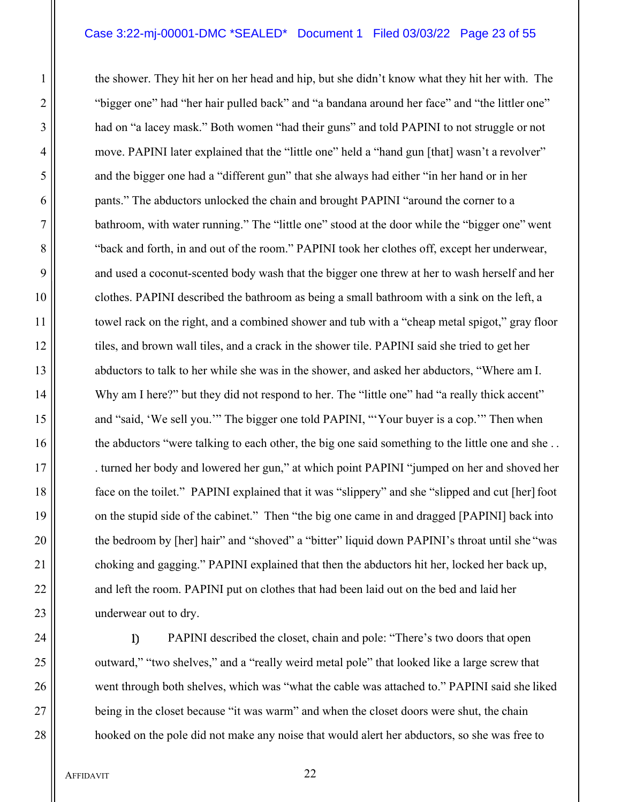#### Case 3:22-mj-00001-DMC \*SEALED\* Document 1 Filed 03/03/22 Page 23 of 55

1 the shower. They hit her on her head and hip, but she didn't know what they hit her with. The 2 ||<br>2 \| bigger one" had "her hair pulled back" and "a bandana around her face" and "the littler one" 3 | had on "a lacey mask." Both women "had their guns" and told PAPINI to not struggle or not 4 move. PAPINI later explained that the "little one" held a "hand gun [that] wasn't a revolver" 5 || and the bigger one had a "different gun" that she always had either "in her hand or in her 6 || pants." The abductors unlocked the chain and brought PAPINI "around the corner to a 7 bathroom, with water running." The "little one" stood at the door while the "bigger one" went 8  $\parallel$  "back and forth, in and out of the room." PAPINI took her clothes off, except her underwear, 9 || and used a coconut-scented body wash that the bigger one threw at her to wash herself and her 10 clothes. PAPINI described the bathroom as being a small bathroom with a sink on the left, a 11 | towel rack on the right, and a combined shower and tub with a "cheap metal spigot," gray floor 12 tiles, and brown wall tiles, and a crack in the shower tile. PAPINI said she tried to get her 13 || abductors to talk to her while she was in the shower, and asked her abductors, "Where am I. 14 Why am I here?" but they did not respond to her. The "little one" had "a really thick accent" 15 || and "said, 'We sell you.'" The bigger one told PAPINI, "'Your buyer is a cop.'" Then when 16 the abductors "were talking to each other, the big one said something to the little one and she... 17  $\parallel$  . turned her body and lowered her gun," at which point PAPINI "jumped on her and shoved her 18 face on the toilet." PAPINI explained that it was "slippery" and she "slipped and cut [her] foot 19 on the stupid side of the cabinet." Then "the big one came in and dragged [PAPINI] back into 20  $\parallel$  the bedroom by [her] hair" and "shoved" a "bitter" liquid down PAPINI's throat until she "was 21 choking and gagging." PAPINI explained that then the abductors hit her, locked her back up, 22 || and left the room. PAPINI put on clothes that had been laid out on the bed and laid her 23 | underwear out to dry.

24 || PAPINI described the closet, chain and pole: "There's two doors that open 25 outward," "two shelves," and a "really weird metal pole" that looked like a large screw that 26 went through both shelves, which was "what the cable was attached to." PAPINI said she liked 27 **being in the closet because "it was warm" and when the closet doors were shut, the chain** 28 || hooked on the pole did not make any noise that would alert her abductors, so she was free to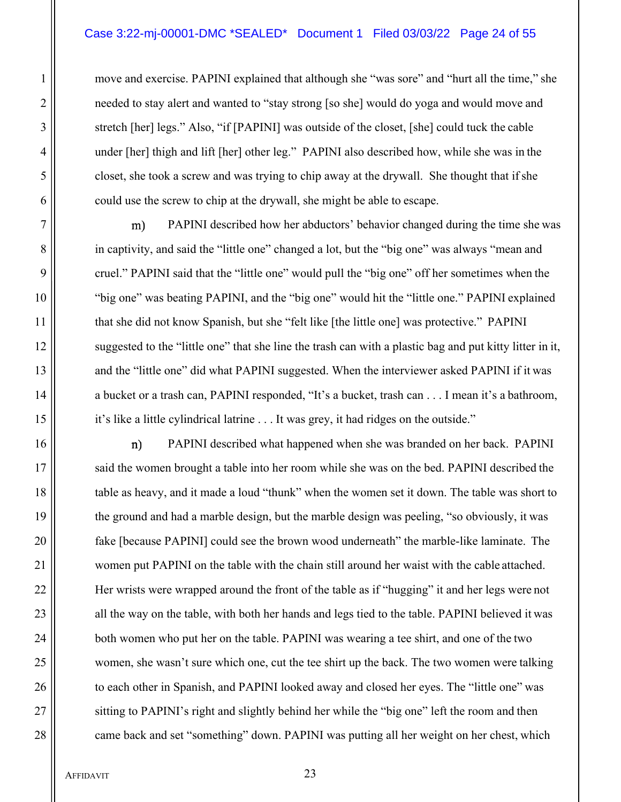1 move and exercise. PAPINI explained that although she "was sore" and "hurt all the time," she 2 ||<br>
2 || energied to stay alert and wanted to "stay strong [so she] would do yoga and would move and 3 || stretch [her] legs." Also, "if [PAPINI] was outside of the closet, [she] could tuck the cable 4 under [her] thigh and lift [her] other leg." PAPINI also described how, while she was in the 5 closet, she took a screw and was trying to chip away at the drywall. She thought that if she  $6 \parallel$  could use the screw to chip at the drywall, she might be able to escape.

7 || m) PAPINI described how her abductors' behavior changed during the time she was 8 in captivity, and said the "little one" changed a lot, but the "big one" was always "mean and 9 || cruel." PAPINI said that the "little one" would pull the "big one" off her sometimes when the 10 "big one" was beating PAPINI, and the "big one" would hit the "little one." PAPINI explained 11 | that she did not know Spanish, but she "felt like [the little one] was protective." PAPINI 12 ||
suggested to the "little one" that she line the trash can with a plastic bag and put kitty litter in it, 13 || and the "little one" did what PAPINI suggested. When the interviewer asked PAPINI if it was 14 | a bucket or a trash can, PAPINI responded, "It's a bucket, trash can . . . I mean it's a bathroom, 15 | it's like a little cylindrical latrine . . . It was grey, it had ridges on the outside."

16 || **n** PAPINI described what happened when she was branded on her back. PAPINI 17  $\parallel$  said the women brought a table into her room while she was on the bed. PAPINI described the 18 || table as heavy, and it made a loud "thunk" when the women set it down. The table was short to 19 the ground and had a marble design, but the marble design was peeling, "so obviously, it was 20 **fake [because PAPINI]** could see the brown wood underneath" the marble-like laminate. The 21 women put PAPINI on the table with the chain still around her waist with the cable attached. 22 Her wrists were wrapped around the front of the table as if "hugging" it and her legs were not 23 || all the way on the table, with both her hands and legs tied to the table. PAPINI believed it was 24 **both women who put her on the table. PAPINI** was wearing a tee shirt, and one of the two 25 women, she wasn't sure which one, cut the tee shirt up the back. The two women were talking 26 || to each other in Spanish, and PAPINI looked away and closed her eyes. The "little one" was 27 || sitting to PAPINI's right and slightly behind her while the "big one" left the room and then 28 | came back and set "something" down. PAPINI was putting all her weight on her chest, which

AFFIDAVIT 23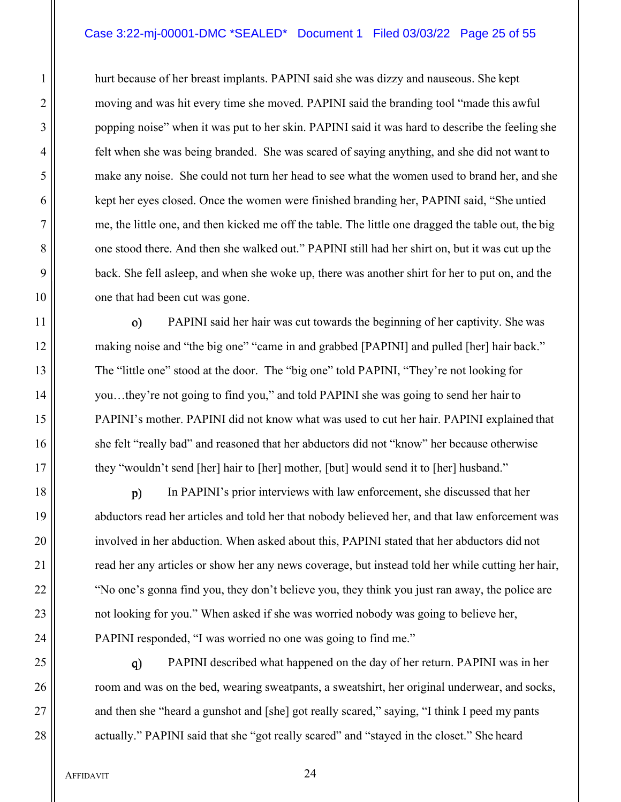# Case 3:22-mj-00001-DMC \*SEALED\* Document 1 Filed 03/03/22 Page 25 of 55

1 hurt because of her breast implants. PAPINI said she was dizzy and nauseous. She kept 2 ||<br>2 || moving and was hit every time she moved. PAPINI said the branding tool "made this awful 3 || popping noise" when it was put to her skin. PAPINI said it was hard to describe the feeling she 4 felt when she was being branded. She was scared of saying anything, and she did not want to 5 make any noise. She could not turn her head to see what the women used to brand her, and she 6 | kept her eyes closed. Once the women were finished branding her, PAPINI said, "She untied 7 me, the little one, and then kicked me off the table. The little one dragged the table out, the big 8 one stood there. And then she walked out." PAPINI still had her shirt on, but it was cut up the 9 back. She fell asleep, and when she woke up, there was another shirt for her to put on, and the 10 || one that had been cut was gone.

11 PAPINI said her hair was cut towards the beginning of her captivity. She was 12 making noise and "the big one" "came in and grabbed [PAPINI] and pulled [her] hair back." 13 The "little one" stood at the door. The "big one" told PAPINI, "They're not looking for 14 you...they're not going to find you," and told PAPINI she was going to send her hair to 15 PAPINI's mother. PAPINI did not know what was used to cut her hair. PAPINI explained that 16 she felt "really bad" and reasoned that her abductors did not "know" her because otherwise 17 they "wouldn't send [her] hair to [her] mother, [but] would send it to [her] husband."

18 || p) In PAPINI's prior interviews with law enforcement, she discussed that her 19 abductors read her articles and told her that nobody believed her, and that law enforcement was 20 || involved in her abduction. When asked about this, PAPINI stated that her abductors did not 21 | read her any articles or show her any news coverage, but instead told her while cutting her hair, 22 | "No one's gonna find you, they don't believe you, they think you just ran away, the police are 23 | not looking for you." When asked if she was worried nobody was going to believe her, 24 PAPINI responded, "I was worried no one was going to find me."

25 || q) PAPINI described what happened on the day of her return. PAPINI was in her 26 **room** and was on the bed, wearing sweatpants, a sweatshirt, her original underwear, and socks, 27 || and then she "heard a gunshot and [she] got really scared," saying, "I think I peed my pants 28 actually." PAPINI said that she "got really scared" and "stayed in the closet." She heard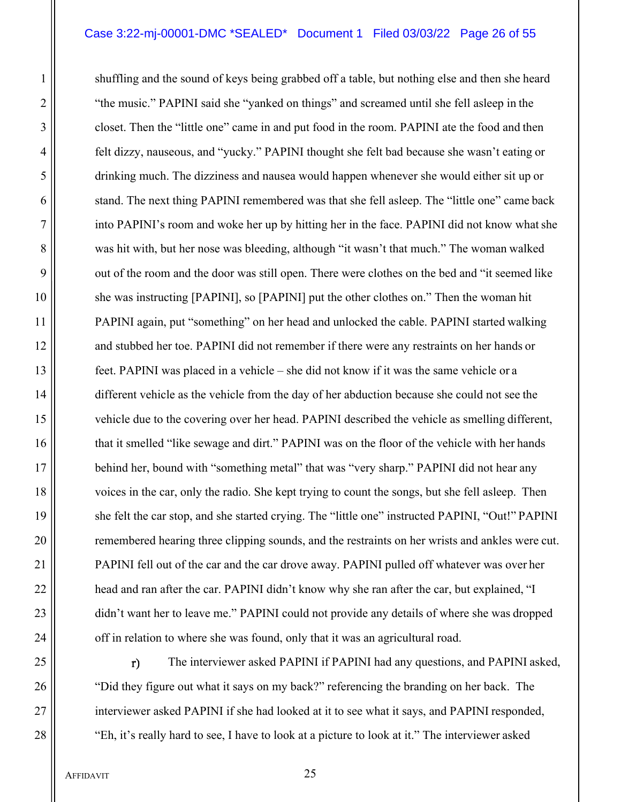# Case 3:22-mj-00001-DMC \*SEALED\* Document 1 Filed 03/03/22 Page 26 of 55

1 || shuffling and the sound of keys being grabbed off a table, but nothing else and then she heard 2 ||<br>
"the music." PAPINI said she "yanked on things" and screamed until she fell asleep in the 3 closet. Then the "little one" came in and put food in the room. PAPINI ate the food and then 4 felt dizzy, nauseous, and "yucky." PAPINI thought she felt bad because she wasn't eating or 5 drinking much. The dizziness and nausea would happen whenever she would either sit up or 6 stand. The next thing PAPINI remembered was that she fell asleep. The "little one" came back 7 into PAPINI's room and woke her up by hitting her in the face. PAPINI did not know what she 8 was hit with, but her nose was bleeding, although "it wasn't that much." The woman walked 9 || out of the room and the door was still open. There were clothes on the bed and "it seemed like 10 she was instructing [PAPINI], so [PAPINI] put the other clothes on." Then the woman hit 11 PAPINI again, put "something" on her head and unlocked the cable. PAPINI started walking 12 || and stubbed her toe. PAPINI did not remember if there were any restraints on her hands or 13 feet. PAPINI was placed in a vehicle – she did not know if it was the same vehicle or a 14 different vehicle as the vehicle from the day of her abduction because she could not see the 15 vehicle due to the covering over her head. PAPINI described the vehicle as smelling different, 16  $\parallel$  that it smelled "like sewage and dirt." PAPINI was on the floor of the vehicle with her hands 17 behind her, bound with "something metal" that was "very sharp." PAPINI did not hear any 18 voices in the car, only the radio. She kept trying to count the songs, but she fell asleep. Then 19 she felt the car stop, and she started crying. The "little one" instructed PAPINI, "Out!" PAPINI 20 || remembered hearing three clipping sounds, and the restraints on her wrists and ankles were cut. 21 | PAPINI fell out of the car and the car drove away. PAPINI pulled off whatever was over her 22 | head and ran after the car. PAPINI didn't know why she ran after the car, but explained, "I 23 didn't want her to leave me." PAPINI could not provide any details of where she was dropped  $24$  |  $\sigma$  off in relation to where she was found, only that it was an agricultural road.

 $25$   $\parallel$  The interviewer asked PAPINI if PAPINI had any questions, and PAPINI asked, 26 **The Studies of Studies** "Did they figure out what it says on my back?" referencing the branding on her back. The 27 || interviewer asked PAPINI if she had looked at it to see what it says, and PAPINI responded, 28 "Eh, it's really hard to see, I have to look at a picture to look at it." The interviewer asked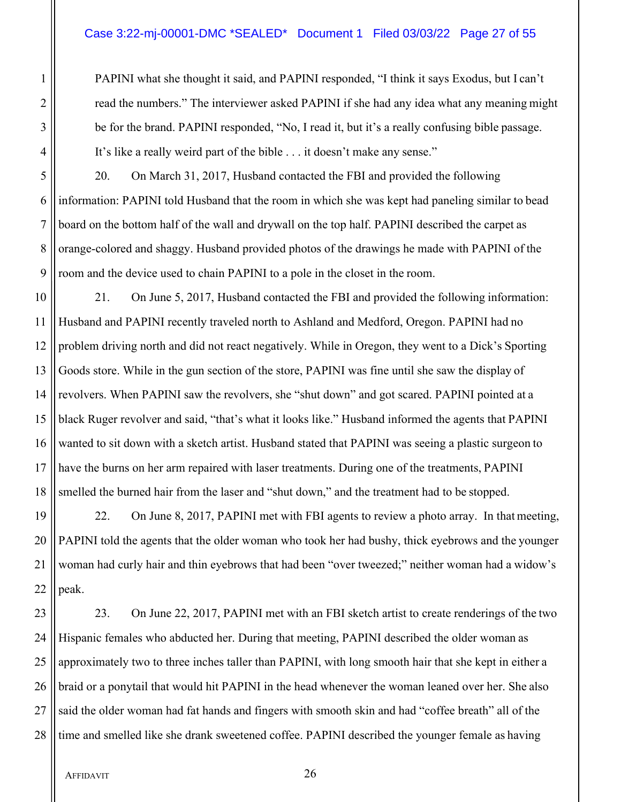## Case 3:22-mj-00001-DMC \*SEALED\* Document 1 Filed 03/03/22 Page 27 of 55

1 PAPINI what she thought it said, and PAPINI responded, "I think it says Exodus, but I can't 2 || sead the numbers." The interviewer asked PAPINI if she had any idea what any meaning might 3 || be for the brand. PAPINI responded, "No, I read it, but it's a really confusing bible passage. 4 It's like a really weird part of the bible . . . it doesn't make any sense."

5 20. On March 31, 2017, Husband contacted the FBI and provided the following 6 information: PAPINI told Husband that the room in which she was kept had paneling similar to bead 7 board on the bottom half of the wall and drywall on the top half. PAPINI described the carpet as 8 || orange-colored and shaggy. Husband provided photos of the drawings he made with PAPINI of the 9 || room and the device used to chain PAPINI to a pole in the closet in the room.

10 | 21. On June 5, 2017, Husband contacted the FBI and provided the following information: 11 Husband and PAPINI recently traveled north to Ashland and Medford, Oregon. PAPINI had no 12 || problem driving north and did not react negatively. While in Oregon, they went to a Dick's Sporting 13 Goods store. While in the gun section of the store, PAPINI was fine until she saw the display of 14 || revolvers. When PAPINI saw the revolvers, she "shut down" and got scared. PAPINI pointed at a 15 black Ruger revolver and said, "that's what it looks like." Husband informed the agents that PAPINI 16 wanted to sit down with a sketch artist. Husband stated that PAPINI was seeing a plastic surgeon to 17 have the burns on her arm repaired with laser treatments. During one of the treatments, PAPINI 18 S smelled the burned hair from the laser and "shut down," and the treatment had to be stopped.

19 22. On June 8, 2017, PAPINI met with FBI agents to review a photo array. In that meeting, 20 PAPINI told the agents that the older woman who took her had bushy, thick eyebrows and the younger 21 woman had curly hair and thin eyebrows that had been "over tweezed;" neither woman had a widow's  $22$  | peak.

23 23. On June 22, 2017, PAPINI met with an FBI sketch artist to create renderings of the two 24 Hispanic females who abducted her. During that meeting, PAPINI described the older woman as 25 || approximately two to three inches taller than PAPINI, with long smooth hair that she kept in either a 26 || braid or a ponytail that would hit PAPINI in the head whenever the woman leaned over her. She also 27 Said the older woman had fat hands and fingers with smooth skin and had "coffee breath" all of the 28 I time and smelled like she drank sweetened coffee. PAPINI described the younger female as having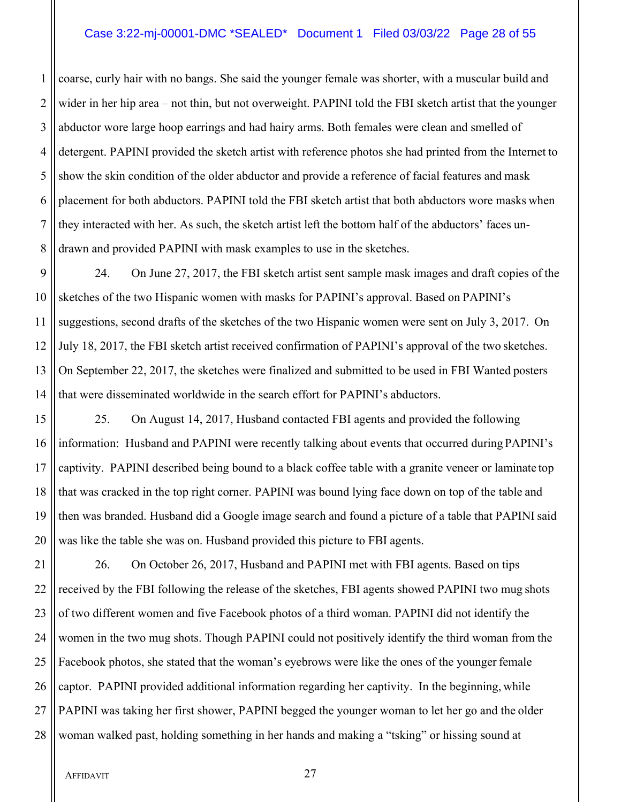#### Case 3:22-mj-00001-DMC \*SEALED\* Document 1 Filed 03/03/22 Page 28 of 55

1 coarse, curly hair with no bangs. She said the younger female was shorter, with a muscular build and  $2 \parallel$  wider in her hip area – not thin, but not overweight. PAPINI told the FBI sketch artist that the younger 3 || abductor wore large hoop earrings and had hairy arms. Both females were clean and smelled of 4 detergent. PAPINI provided the sketch artist with reference photos she had printed from the Internet to 5 S show the skin condition of the older abductor and provide a reference of facial features and mask 6 placement for both abductors. PAPINI told the FBI sketch artist that both abductors wore masks when  $7$  || they interacted with her. As such, the sketch artist left the bottom half of the abductors' faces un-8 drawn and provided PAPINI with mask examples to use in the sketches.

9 24. On June 27, 2017, the FBI sketch artist sent sample mask images and draft copies of the 10 Sketches of the two Hispanic women with masks for PAPINI's approval. Based on PAPINI's 11 Suggestions, second drafts of the sketches of the two Hispanic women were sent on July 3, 2017. On 12 July 18, 2017, the FBI sketch artist received confirmation of PAPINI's approval of the two sketches. 13 On September 22, 2017, the sketches were finalized and submitted to be used in FBI Wanted posters 14 || that were disseminated worldwide in the search effort for PAPINI's abductors.

 25. On August 14, 2017, Husband contacted FBI agents and provided the following information: Husband and PAPINI were recently talking about events that occurred during PAPINI's 17 Captivity. PAPINI described being bound to a black coffee table with a granite veneer or laminate top 18 If that was cracked in the top right corner. PAPINI was bound lying face down on top of the table and then was branded. Husband did a Google image search and found a picture of a table that PAPINI said || was like the table she was on. Husband provided this picture to FBI agents.

21 | 26. On October 26, 2017, Husband and PAPINI met with FBI agents. Based on tips 22 received by the FBI following the release of the sketches, FBI agents showed PAPINI two mug shots  $23$  || of two different women and five Facebook photos of a third woman. PAPINI did not identify the 24 Women in the two mug shots. Though PAPINI could not positively identify the third woman from the 25 Facebook photos, she stated that the woman's eyebrows were like the ones of the younger female  $26$  captor. PAPINI provided additional information regarding her captivity. In the beginning, while 27 || PAPINI was taking her first shower, PAPINI begged the younger woman to let her go and the older 28 || woman walked past, holding something in her hands and making a "tsking" or hissing sound at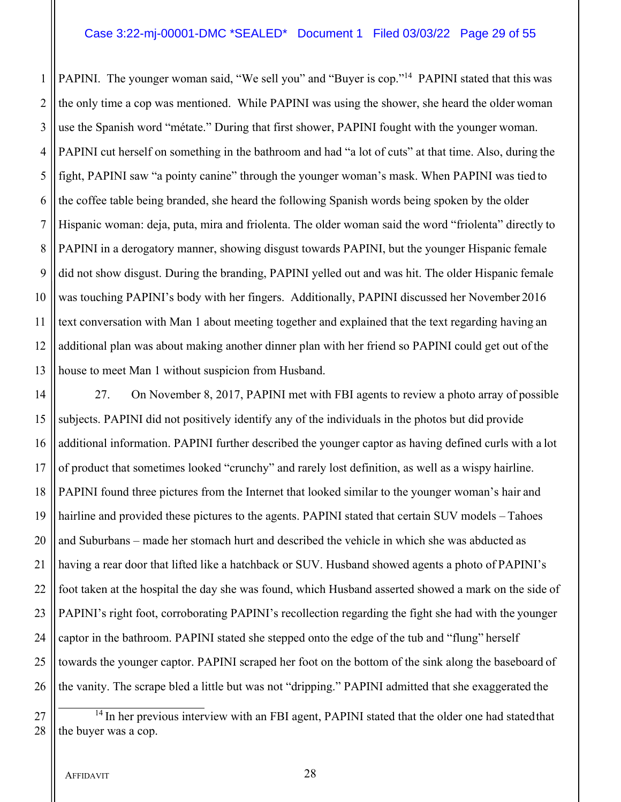#### Case 3:22-mj-00001-DMC \*SEALED\* Document 1 Filed 03/03/22 Page 29 of 55

1 PAPINI. The younger woman said, "We sell you" and "Buyer is cop."<sup>14</sup> PAPINI stated that this was 2 If the only time a cop was mentioned. While PAPINI was using the shower, she heard the older woman 3 || use the Spanish word "métate." During that first shower, PAPINI fought with the younger woman. PAPINI cut herself on something in the bathroom and had "a lot of cuts" at that time. Also, during the fight, PAPINI saw "a pointy canine" through the younger woman's mask. When PAPINI was tied to  $6 \parallel$  the coffee table being branded, she heard the following Spanish words being spoken by the older Hispanic woman: deja, puta, mira and friolenta. The older woman said the word "friolenta" directly to PAPINI in a derogatory manner, showing disgust towards PAPINI, but the younger Hispanic female did not show disgust. During the branding, PAPINI yelled out and was hit. The older Hispanic female was touching PAPINI's body with her fingers. Additionally, PAPINI discussed her November 2016 11 I text conversation with Man 1 about meeting together and explained that the text regarding having an additional plan was about making another dinner plan with her friend so PAPINI could get out of the house to meet Man 1 without suspicion from Husband.

14 | 27. On November 8, 2017, PAPINI met with FBI agents to review a photo array of possible 15 Subjects. PAPINI did not positively identify any of the individuals in the photos but did provide 16 additional information. PAPINI further described the younger captor as having defined curls with a lot 17 || of product that sometimes looked "crunchy" and rarely lost definition, as well as a wispy hairline. 18 PAPINI found three pictures from the Internet that looked similar to the younger woman's hair and 19 hairline and provided these pictures to the agents. PAPINI stated that certain SUV models – Tahoes 20  $\parallel$  and Suburbans – made her stomach hurt and described the vehicle in which she was abducted as 21 having a rear door that lifted like a hatchback or SUV. Husband showed agents a photo of PAPINI's 22 || foot taken at the hospital the day she was found, which Husband asserted showed a mark on the side of 23 PAPINI's right foot, corroborating PAPINI's recollection regarding the fight she had with the younger 24  $\parallel$  captor in the bathroom. PAPINI stated she stepped onto the edge of the tub and "flung" herself 25 || towards the younger captor. PAPINI scraped her foot on the bottom of the sink along the baseboard of 26 If the vanity. The scrape bled a little but was not "dripping." PAPINI admitted that she exaggerated the

 $27$   $\parallel$  <sup>14</sup> In her previous interview with an FBI agent, PAPINI stated that the older one had stated that 28  $\parallel$  the buyer was a cop.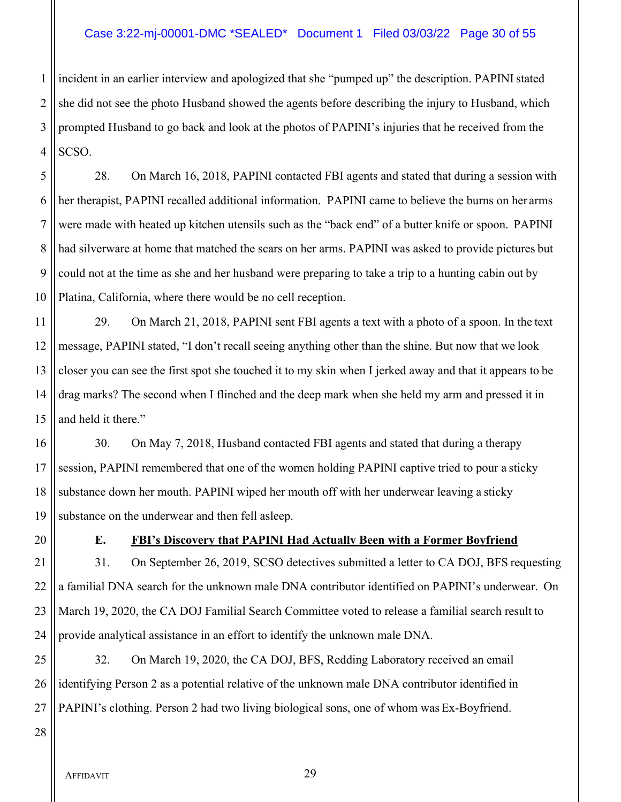# Case 3:22-mj-00001-DMC \*SEALED\* Document 1 Filed 03/03/22 Page 30 of 55

1 incident in an earlier interview and apologized that she "pumped up" the description. PAPINI stated 2 She did not see the photo Husband showed the agents before describing the injury to Husband, which 3 || prompted Husband to go back and look at the photos of PAPINI's injuries that he received from the  $4$  SCSO.

 28. On March 16, 2018, PAPINI contacted FBI agents and stated that during a session with her therapist, PAPINI recalled additional information. PAPINI came to believe the burns on her arms were made with heated up kitchen utensils such as the "back end" of a butter knife or spoon. PAPINI had silverware at home that matched the scars on her arms. PAPINI was asked to provide pictures but 9 could not at the time as she and her husband were preparing to take a trip to a hunting cabin out by Platina, California, where there would be no cell reception.

 29. On March 21, 2018, PAPINI sent FBI agents a text with a photo of a spoon. In the text message, PAPINI stated, "I don't recall seeing anything other than the shine. But now that we look 13 closer you can see the first spot she touched it to my skin when I jerked away and that it appears to be drag marks? The second when I flinched and the deep mark when she held my arm and pressed it in  $\parallel$  and held it there."

16 30. On May 7, 2018, Husband contacted FBI agents and stated that during a therapy 17 Session, PAPINI remembered that one of the women holding PAPINI captive tried to pour a sticky 18 Substance down her mouth. PAPINI wiped her mouth off with her underwear leaving a sticky 19 Substance on the underwear and then fell asleep.

# 20 **E. FBI's Discovery that PAPINI Had Actually Been with a Former Boyfriend**

21 | 31. On September 26, 2019, SCSO detectives submitted a letter to CA DOJ, BFS requesting  $22$  || a familial DNA search for the unknown male DNA contributor identified on PAPINI's underwear. On 23 March 19, 2020, the CA DOJ Familial Search Committee voted to release a familial search result to 24 provide analytical assistance in an effort to identify the unknown male DNA.

25  $\parallel$  32. On March 19, 2020, the CA DOJ, BFS, Redding Laboratory received an email 26 || identifying Person 2 as a potential relative of the unknown male DNA contributor identified in 27 || PAPINI's clothing. Person 2 had two living biological sons, one of whom was Ex-Boyfriend.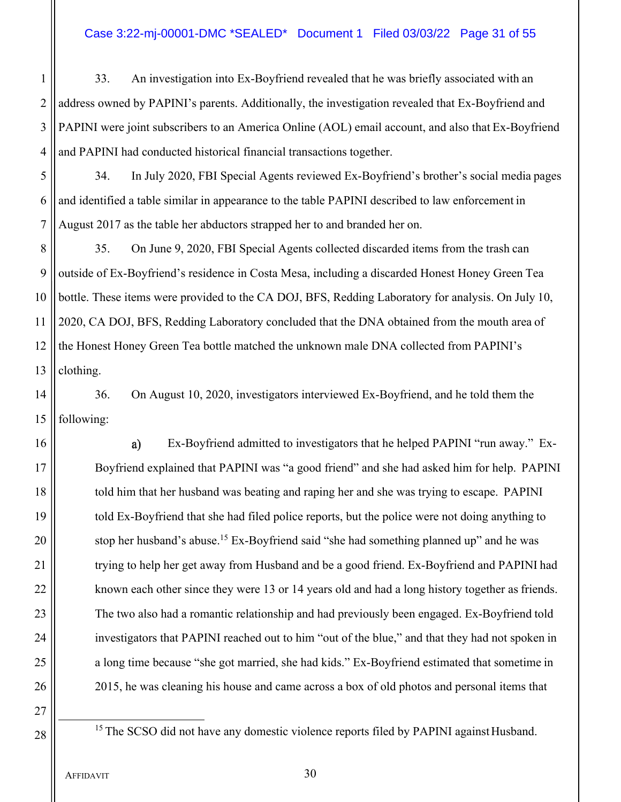# Case 3:22-mj-00001-DMC \*SEALED\* Document 1 Filed 03/03/22 Page 31 of 55

1 33. An investigation into Ex-Boyfriend revealed that he was briefly associated with an 2 || address owned by PAPINI's parents. Additionally, the investigation revealed that Ex-Boyfriend and 3 PAPINI were joint subscribers to an America Online (AOL) email account, and also that Ex-Boyfriend 4 || and PAPINI had conducted historical financial transactions together.

- 5 34. In July 2020, FBI Special Agents reviewed Ex-Boyfriend's brother's social media pages  $6 \parallel$  and identified a table similar in appearance to the table PAPINI described to law enforcement in 7 August 2017 as the table her abductors strapped her to and branded her on.
- 8 35. On June 9, 2020, FBI Special Agents collected discarded items from the trash can 9 || outside of Ex-Boyfriend's residence in Costa Mesa, including a discarded Honest Honey Green Tea 10 bottle. These items were provided to the CA DOJ, BFS, Redding Laboratory for analysis. On July 10, 11 2020, CA DOJ, BFS, Redding Laboratory concluded that the DNA obtained from the mouth area of 12 the Honest Honey Green Tea bottle matched the unknown male DNA collected from PAPINI's 13  $\parallel$  clothing.

14  $\parallel$  36. On August 10, 2020, investigators interviewed Ex-Boyfriend, and he told them the  $15$  | following:

16 || a) Ex-Boyfriend admitted to investigators that he helped PAPINI "run away." Ex-17 Boyfriend explained that PAPINI was "a good friend" and she had asked him for help. PAPINI 18  $\parallel$  told him that her husband was beating and raping her and she was trying to escape. PAPINI 19 told Ex-Boyfriend that she had filed police reports, but the police were not doing anything to 20  $\parallel$  stop her husband's abuse.<sup>15</sup> Ex-Boyfriend said "she had something planned up" and he was 21 | trying to help her get away from Husband and be a good friend. Ex-Boyfriend and PAPINI had 22 | known each other since they were 13 or 14 years old and had a long history together as friends. 23 The two also had a romantic relationship and had previously been engaged. Ex-Boyfriend told 24 | investigators that PAPINI reached out to him "out of the blue," and that they had not spoken in 25 a long time because "she got married, she had kids." Ex-Boyfriend estimated that sometime in 26 2015, he was cleaning his house and came across a box of old photos and personal items that

27

 $28$   $\parallel$  <sup>15</sup> The SCSO did not have any domestic violence reports filed by PAPINI against Husband.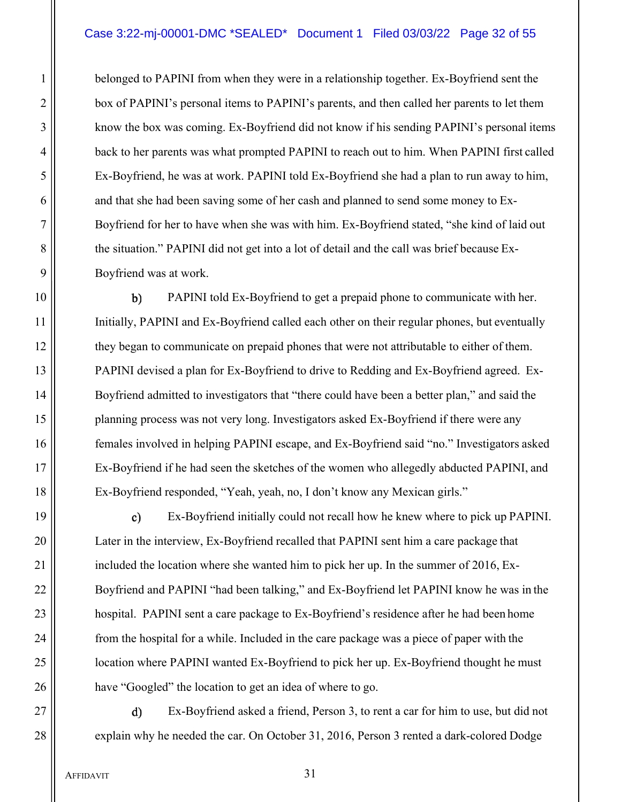1 **belonged to PAPINI** from when they were in a relationship together. Ex-Boyfriend sent the 2 | box of PAPINI's personal items to PAPINI's parents, and then called her parents to let them 3 || know the box was coming. Ex-Boyfriend did not know if his sending PAPINI's personal items 4 | back to her parents was what prompted PAPINI to reach out to him. When PAPINI first called 5 Ex-Boyfriend, he was at work. PAPINI told Ex-Boyfriend she had a plan to run away to him,  $6 \parallel$  and that she had been saving some of her cash and planned to send some money to Ex-7 Boyfriend for her to have when she was with him. Ex-Boyfriend stated, "she kind of laid out 8 the situation." PAPINI did not get into a lot of detail and the call was brief because Ex-9 || Boyfriend was at work.

10 || b) PAPINI told Ex-Boyfriend to get a prepaid phone to communicate with her. 11 | Initially, PAPINI and Ex-Boyfriend called each other on their regular phones, but eventually 12 they began to communicate on prepaid phones that were not attributable to either of them. 13 PAPINI devised a plan for Ex-Boyfriend to drive to Redding and Ex-Boyfriend agreed. Ex-14 | Boyfriend admitted to investigators that "there could have been a better plan," and said the 15 || planning process was not very long. Investigators asked Ex-Boyfriend if there were any 16 || females involved in helping PAPINI escape, and Ex-Boyfriend said "no." Investigators asked 17 Ex-Boyfriend if he had seen the sketches of the women who allegedly abducted PAPINI, and 18 Ex-Boyfriend responded, "Yeah, yeah, no, I don't know any Mexican girls."

19 || c) Ex-Boyfriend initially could not recall how he knew where to pick up PAPINI. 20 | Later in the interview, Ex-Boyfriend recalled that PAPINI sent him a care package that 21 | included the location where she wanted him to pick her up. In the summer of 2016, Ex-22 | Boyfriend and PAPINI "had been talking," and Ex-Boyfriend let PAPINI know he was in the 23 | hospital. PAPINI sent a care package to Ex-Boyfriend's residence after he had been home 24 | from the hospital for a while. Included in the care package was a piece of paper with the 25 | location where PAPINI wanted Ex-Boyfriend to pick her up. Ex-Boyfriend thought he must 26 | have "Googled" the location to get an idea of where to go.

27 || **c** a) Ex-Boyfriend asked a friend, Person 3, to rent a car for him to use, but did not 28 explain why he needed the car. On October 31, 2016, Person 3 rented a dark-colored Dodge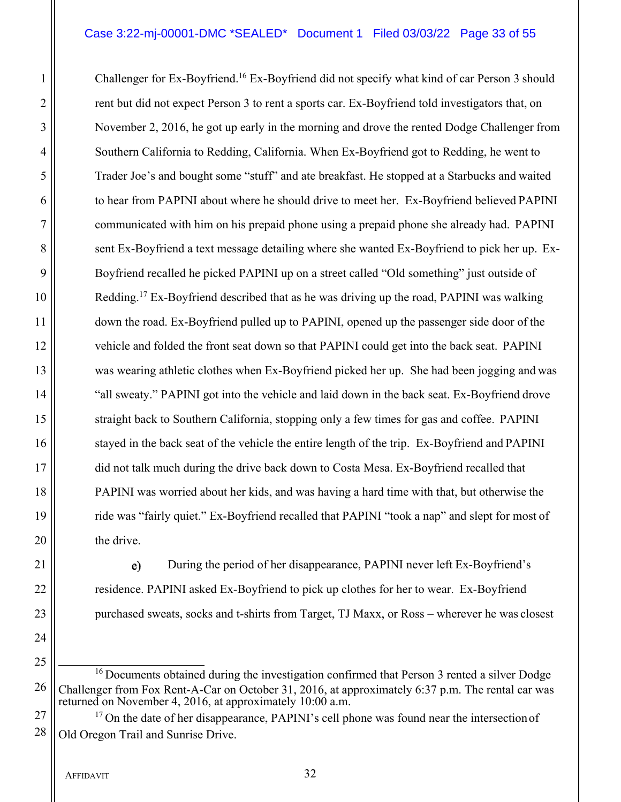# Case 3:22-mj-00001-DMC \*SEALED\* Document 1 Filed 03/03/22 Page 33 of 55

1 Challenger for Ex-Boyfriend.<sup>16</sup> Ex-Boyfriend did not specify what kind of car Person 3 should 2 || rent but did not expect Person 3 to rent a sports car. Ex-Boyfriend told investigators that, on 3 November 2, 2016, he got up early in the morning and drove the rented Dodge Challenger from 4 Southern California to Redding, California. When Ex-Boyfriend got to Redding, he went to 5 Trader Joe's and bought some "stuff" and ate breakfast. He stopped at a Starbucks and waited 6 | to hear from PAPINI about where he should drive to meet her. Ex-Boyfriend believed PAPINI 7 communicated with him on his prepaid phone using a prepaid phone she already had. PAPINI 8 sent Ex-Boyfriend a text message detailing where she wanted Ex-Boyfriend to pick her up. Ex-9 ||<br>Boyfriend recalled he picked PAPINI up on a street called "Old something" just outside of 10 || Redding.<sup>17</sup> Ex-Boyfriend described that as he was driving up the road, PAPINI was walking 11  $\parallel$  down the road. Ex-Boyfriend pulled up to PAPINI, opened up the passenger side door of the 12 vehicle and folded the front seat down so that PAPINI could get into the back seat. PAPINI 13 was wearing athletic clothes when Ex-Boyfriend picked her up. She had been jogging and was 14 | "all sweaty." PAPINI got into the vehicle and laid down in the back seat. Ex-Boyfriend drove 15 Straight back to Southern California, stopping only a few times for gas and coffee. PAPINI 16 stayed in the back seat of the vehicle the entire length of the trip. Ex-Boyfriend and PAPINI 17 did not talk much during the drive back down to Costa Mesa. Ex-Boyfriend recalled that 18 PAPINI was worried about her kids, and was having a hard time with that, but otherwise the 19 ride was "fairly quiet." Ex-Boyfriend recalled that PAPINI "took a nap" and slept for most of 20 | the drive.

21 | e) During the period of her disappearance, PAPINI never left Ex-Boyfriend's 22 | residence. PAPINI asked Ex-Boyfriend to pick up clothes for her to wear. Ex-Boyfriend 23 | purchased sweats, socks and t-shirts from Target, TJ Maxx, or Ross – wherever he was closest

24

 $16$  Documents obtained during the investigation confirmed that Person 3 rented a silver Dodge 26 Challenger from Fox Rent-A-Car on October 31, 2016, at approximately 6:37 p.m. The rental car was returned on November 4, 2016, at approximately 10:00 a.m.

 $27 \parallel$  <sup>17</sup> On the date of her disappearance, PAPINI's cell phone was found near the intersection of  $28$  | Old Oregon Trail and Sunrise Drive.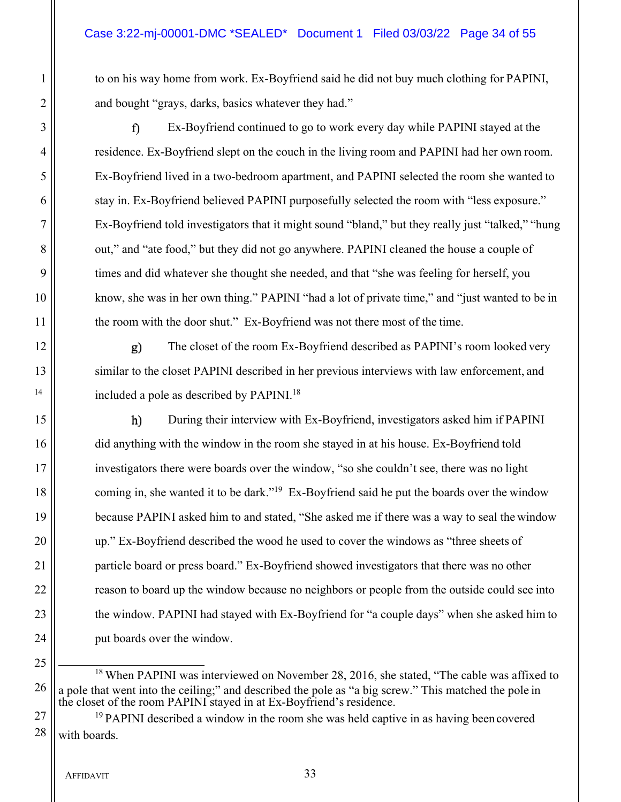1 to on his way home from work. Ex-Boyfriend said he did not buy much clothing for PAPINI, 2 | and bought "grays, darks, basics whatever they had."

3 || f) Ex-Boyfriend continued to go to work every day while PAPINI stayed at the 4 | residence. Ex-Boyfriend slept on the couch in the living room and PAPINI had her own room. 5 Ex-Boyfriend lived in a two-bedroom apartment, and PAPINI selected the room she wanted to 6 stay in. Ex-Boyfriend believed PAPINI purposefully selected the room with "less exposure." 7 Ex-Boyfriend told investigators that it might sound "bland," but they really just "talked," "hung 8 out," and "ate food," but they did not go anywhere. PAPINI cleaned the house a couple of 9  $\parallel$  times and did whatever she thought she needed, and that "she was feeling for herself, you 10 || know, she was in her own thing." PAPINI "had a lot of private time," and "just wanted to be in 11 | the room with the door shut." Ex-Boyfriend was not there most of the time.

12  $\parallel$  **g**) The closet of the room Ex-Boyfriend described as PAPINI's room looked very 13 || similar to the closet PAPINI described in her previous interviews with law enforcement, and <sup>14</sup>  $\parallel$  included a pole as described by PAPINI.<sup>18</sup>

15 **h** During their interview with Ex-Boyfriend, investigators asked him if PAPINI 16 did anything with the window in the room she stayed in at his house. Ex-Boyfriend told 17 investigators there were boards over the window, "so she couldn't see, there was no light 18 coming in, she wanted it to be dark.<sup>"19</sup> Ex-Boyfriend said he put the boards over the window 19 because PAPINI asked him to and stated, "She asked me if there was a way to seal the window 20 up." Ex-Boyfriend described the wood he used to cover the windows as "three sheets of 21 **particle board or press board.**" Ex-Boyfriend showed investigators that there was no other 22 || state of the window because no neighbors or people from the outside could see into 23 the window. PAPINI had stayed with Ex-Boyfriend for "a couple days" when she asked him to 24 | put boards over the window.

<sup>18</sup> When PAPINI was interviewed on November 28, 2016, she stated, "The cable was affixed to  $26$  || a pole that went into the ceiling;" and described the pole as "a big screw." This matched the pole in the closet of the room PAPINI stayed in at Ex-Boyfriend's residence.

 $27$  |  $^{19}$  PAPINI described a window in the room she was held captive in as having been covered  $28$  | with boards.

AFFIDAVIT 33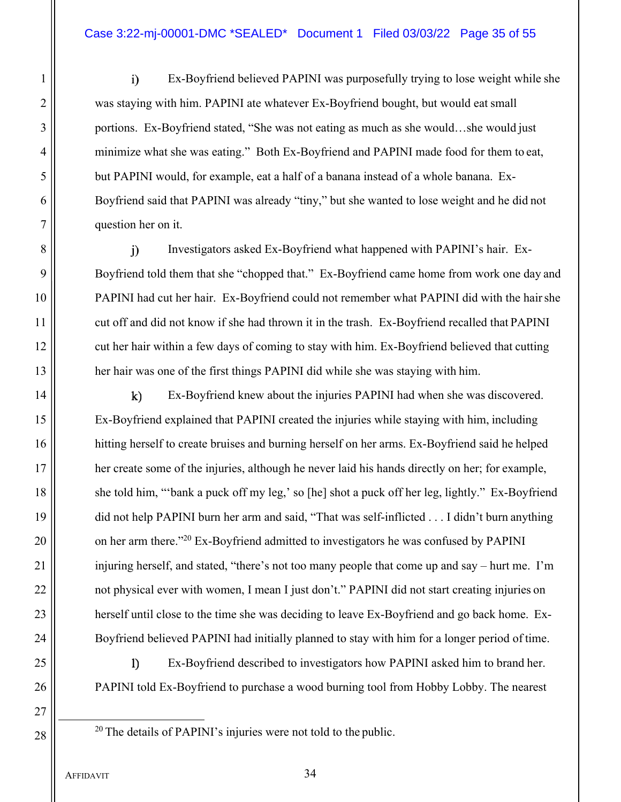# Case 3:22-mj-00001-DMC \*SEALED\* Document 1 Filed 03/03/22 Page 35 of 55

1 Ex-Boyfriend believed PAPINI was purposefully trying to lose weight while she 2 was staying with him. PAPINI ate whatever Ex-Boyfriend bought, but would eat small 3 || portions. Ex-Boyfriend stated, "She was not eating as much as she would...she would just 4 minimize what she was eating." Both Ex-Boyfriend and PAPINI made food for them to eat, 5 | but PAPINI would, for example, eat a half of a banana instead of a whole banana. Ex-6 Boyfriend said that PAPINI was already "tiny," but she wanted to lose weight and he did not 7 question her on it.

8 Investigators asked Ex-Boyfriend what happened with PAPINI's hair. Ex-9 | Boyfriend told them that she "chopped that." Ex-Boyfriend came home from work one day and 10 || PAPINI had cut her hair. Ex-Boyfriend could not remember what PAPINI did with the hair she 11 | cut off and did not know if she had thrown it in the trash. Ex-Boyfriend recalled that PAPINI 12 cut her hair within a few days of coming to stay with him. Ex-Boyfriend believed that cutting 13 her hair was one of the first things PAPINI did while she was staying with him.

14 || k) Ex-Boyfriend knew about the injuries PAPINI had when she was discovered. 15 Ex-Boyfriend explained that PAPINI created the injuries while staying with him, including 16 ||
hitting herself to create bruises and burning herself on her arms. Ex-Boyfriend said he helped 17 her create some of the injuries, although he never laid his hands directly on her; for example, 18 she told him, "'bank a puck off my leg,' so [he] shot a puck off her leg, lightly." Ex-Boyfriend 19 did not help PAPINI burn her arm and said, "That was self-inflicted . . . I didn't burn anything 20  $\parallel$  on her arm there."<sup>20</sup> Ex-Boyfriend admitted to investigators he was confused by PAPINI 21 | injuring herself, and stated, "there's not too many people that come up and say – hurt me. I'm 22 | not physical ever with women, I mean I just don't." PAPINI did not start creating injuries on 23 | herself until close to the time she was deciding to leave Ex-Boyfriend and go back home. Ex-24 | Boyfriend believed PAPINI had initially planned to stay with him for a longer period of time.

25 || Ex-Boyfriend described to investigators how PAPINI asked him to brand her. 26 PAPINI told Ex-Boyfriend to purchase a wood burning tool from Hobby Lobby. The nearest

- 27
- 

 $28 \parallel 20$  The details of PAPINI's injuries were not told to the public.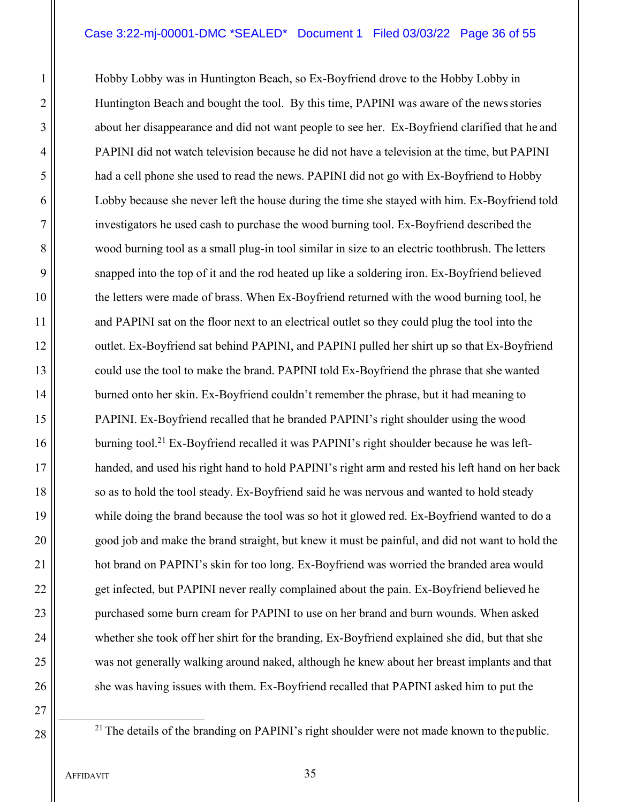# Case 3:22-mj-00001-DMC \*SEALED\* Document 1 Filed 03/03/22 Page 36 of 55

1 Hobby Lobby was in Huntington Beach, so Ex-Boyfriend drove to the Hobby Lobby in 2 | Huntington Beach and bought the tool. By this time, PAPINI was aware of the news stories 3 || about her disappearance and did not want people to see her. Ex-Boyfriend clarified that he and 4 PAPINI did not watch television because he did not have a television at the time, but PAPINI 5 had a cell phone she used to read the news. PAPINI did not go with Ex-Boyfriend to Hobby 6 Lobby because she never left the house during the time she stayed with him. Ex-Boyfriend told 7 investigators he used cash to purchase the wood burning tool. Ex-Boyfriend described the 8 wood burning tool as a small plug-in tool similar in size to an electric toothbrush. The letters 9 || snapped into the top of it and the rod heated up like a soldering iron. Ex-Boyfriend believed 10 the letters were made of brass. When Ex-Boyfriend returned with the wood burning tool, he 11 and PAPINI sat on the floor next to an electrical outlet so they could plug the tool into the 12 | outlet. Ex-Boyfriend sat behind PAPINI, and PAPINI pulled her shirt up so that Ex-Boyfriend 13 || could use the tool to make the brand. PAPINI told Ex-Boyfriend the phrase that she wanted 14 **burned onto her skin.** Ex-Boyfriend couldn't remember the phrase, but it had meaning to 15 PAPINI. Ex-Boyfriend recalled that he branded PAPINI's right shoulder using the wood 16  $\parallel$  burning tool.<sup>21</sup> Ex-Boyfriend recalled it was PAPINI's right shoulder because he was left-17 || handed, and used his right hand to hold PAPINI's right arm and rested his left hand on her back 18 || so as to hold the tool steady. Ex-Boyfriend said he was nervous and wanted to hold steady 19 while doing the brand because the tool was so hot it glowed red. Ex-Boyfriend wanted to do a 20 good job and make the brand straight, but knew it must be painful, and did not want to hold the 21 | hot brand on PAPINI's skin for too long. Ex-Boyfriend was worried the branded area would 22 get infected, but PAPINI never really complained about the pain. Ex-Boyfriend believed he 23 | purchased some burn cream for PAPINI to use on her brand and burn wounds. When asked 24 whether she took off her shirt for the branding, Ex-Boyfriend explained she did, but that she 25 was not generally walking around naked, although he knew about her breast implants and that 26 she was having issues with them. Ex-Boyfriend recalled that PAPINI asked him to put the

27

 $28 \parallel$ <sup>21</sup> The details of the branding on PAPINI's right shoulder were not made known to the public.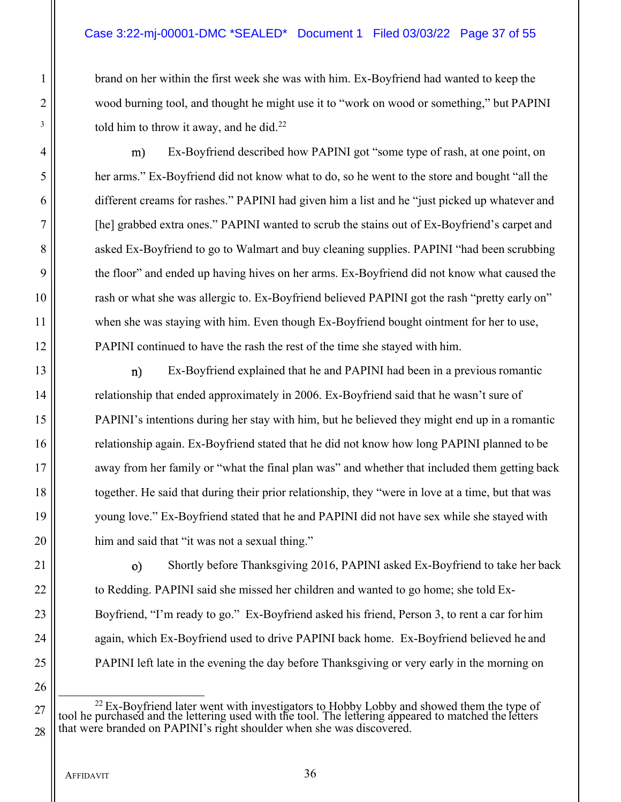# Case 3:22-mj-00001-DMC \*SEALED\* Document 1 Filed 03/03/22 Page 37 of 55

1 brand on her within the first week she was with him. Ex-Boyfriend had wanted to keep the 2 || wood burning tool, and thought he might use it to "work on wood or something," but PAPINI  $\left\vert \frac{3}{2} \right\vert$  told him to throw it away, and he did.<sup>22</sup>

4 | m) Ex-Boyfriend described how PAPINI got "some type of rash, at one point, on her arms." Ex-Boyfriend did not know what to do, so he went to the store and bought "all the different creams for rashes." PAPINI had given him a list and he "just picked up whatever and [he] grabbed extra ones." PAPINI wanted to scrub the stains out of Ex-Boyfriend's carpet and 8 asked Ex-Boyfriend to go to Walmart and buy cleaning supplies. PAPINI "had been scrubbing"  $\parallel$  the floor" and ended up having hives on her arms. Ex-Boyfriend did not know what caused the rash or what she was allergic to. Ex-Boyfriend believed PAPINI got the rash "pretty early on" 11 when she was staying with him. Even though Ex-Boyfriend bought ointment for her to use, PAPINI continued to have the rash the rest of the time she stayed with him.

13 || **n**) Ex-Boyfriend explained that he and PAPINI had been in a previous romantic 14 | relationship that ended approximately in 2006. Ex-Boyfriend said that he wasn't sure of PAPINI's intentions during her stay with him, but he believed they might end up in a romantic 16 || relationship again. Ex-Boyfriend stated that he did not know how long PAPINI planned to be away from her family or "what the final plan was" and whether that included them getting back together. He said that during their prior relationship, they "were in love at a time, but that was young love." Ex-Boyfriend stated that he and PAPINI did not have sex while she stayed with him and said that "it was not a sexual thing."

21 || o) Shortly before Thanksgiving 2016, PAPINI asked Ex-Boyfriend to take her back  $22$  || to Redding. PAPINI said she missed her children and wanted to go home; she told Ex-23 **Boyfriend, "I'm ready to go."** Ex-Boyfriend asked his friend, Person 3, to rent a car for him 24 || again, which Ex-Boyfriend used to drive PAPINI back home. Ex-Boyfriend believed he and 25 PAPINI left late in the evening the day before Thanksgiving or very early in the morning on

 $27 \parallel$  tool he purchased and the lettering used with the tool. The lettering appeared to matched the letters  $\parallel$  $28$  || that were branded on PAPINI's right shoulder when she was discovered.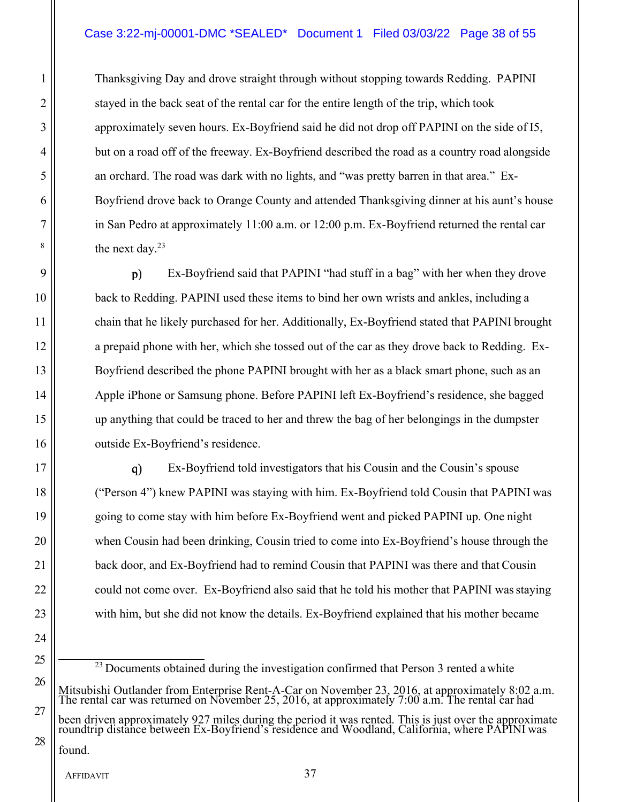# Case 3:22-mj-00001-DMC \*SEALED\* Document 1 Filed 03/03/22 Page 38 of 55

1 Thanksgiving Day and drove straight through without stopping towards Redding. PAPINI 2 || stayed in the back seat of the rental car for the entire length of the trip, which took 3 || approximately seven hours. Ex-Boyfriend said he did not drop off PAPINI on the side of I5, 4 | but on a road off of the freeway. Ex-Boyfriend described the road as a country road alongside 5 || an orchard. The road was dark with no lights, and "was pretty barren in that area." Ex-6 Boyfriend drove back to Orange County and attended Thanksgiving dinner at his aunt's house 7 in San Pedro at approximately 11:00 a.m. or 12:00 p.m. Ex-Boyfriend returned the rental car  $\parallel$  the next day.<sup>23</sup>

9 Ex-Boyfriend said that PAPINI "had stuff in a bag" with her when they drove back to Redding. PAPINI used these items to bind her own wrists and ankles, including a chain that he likely purchased for her. Additionally, Ex-Boyfriend stated that PAPINI brought 12 a prepaid phone with her, which she tossed out of the car as they drove back to Redding. Ex- Boyfriend described the phone PAPINI brought with her as a black smart phone, such as an 14 Apple iPhone or Samsung phone. Before PAPINI left Ex-Boyfriend's residence, she bagged up anything that could be traced to her and threw the bag of her belongings in the dumpster outside Ex-Boyfriend's residence.

17 || q) Ex-Boyfriend told investigators that his Cousin and the Cousin's spouse 18 ("Person 4") knew PAPINI was staying with him. Ex-Boyfriend told Cousin that PAPINI was 19 going to come stay with him before Ex-Boyfriend went and picked PAPINI up. One night 20 when Cousin had been drinking, Cousin tried to come into Ex-Boyfriend's house through the 21 | back door, and Ex-Boyfriend had to remind Cousin that PAPINI was there and that Cousin  $22$  || could not come over. Ex-Boyfriend also said that he told his mother that PAPINI was staying 23 with him, but she did not know the details. Ex-Boyfriend explained that his mother became

 $25$   $\frac{25}{23}$  Documents obtained during the investigation confirmed that Person 3 rented a white Mitsubishi Outlander from Enterprise Rent-A-Car on November 23, 2016, at approximately 8:02 a.m. The rental car was returned on November 25, 2016, at approximately 7:00 a.m. The rental car had

been driven approximately 927 miles during the period it was rented. This is just over the approximate roundtrip distance between Ex-Boyfriend's residence and Woodland, California, where PAPINI was

found.

24

26

27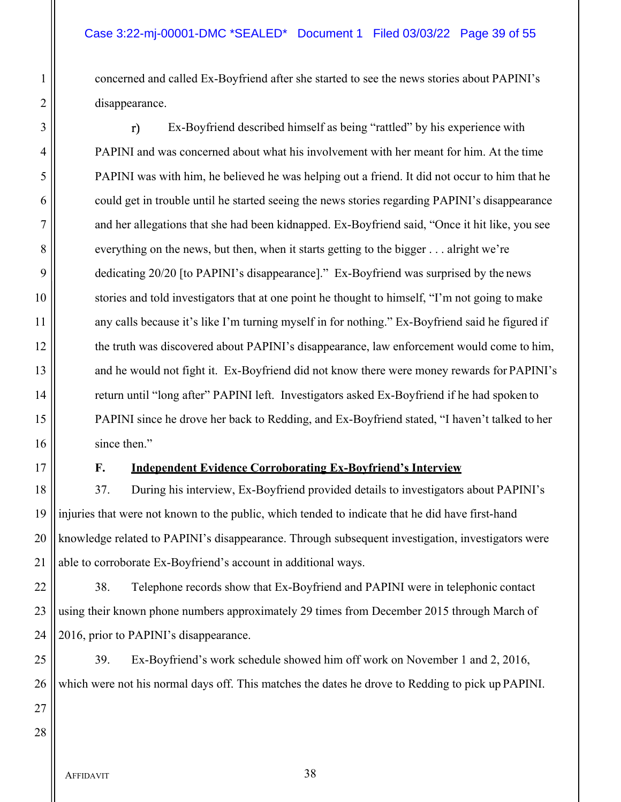1 concerned and called Ex-Boyfriend after she started to see the news stories about PAPINI's 2 disappearance.

3 || The Ex-Boyfriend described himself as being "rattled" by his experience with 4 PAPINI and was concerned about what his involvement with her meant for him. At the time 5 PAPINI was with him, he believed he was helping out a friend. It did not occur to him that he  $6 \parallel$  could get in trouble until he started seeing the news stories regarding PAPINI's disappearance 7 and her allegations that she had been kidnapped. Ex-Boyfriend said, "Once it hit like, you see 8 everything on the news, but then, when it starts getting to the bigger . . . alright we're 9 dedicating 20/20 [to PAPINI's disappearance]." Ex-Boyfriend was surprised by the news 10 stories and told investigators that at one point he thought to himself, "I'm not going to make 11 | any calls because it's like I'm turning myself in for nothing." Ex-Boyfriend said he figured if 12 the truth was discovered about PAPINI's disappearance, law enforcement would come to him, 13 || and he would not fight it. Ex-Boyfriend did not know there were money rewards for PAPINI's 14 | return until "long after" PAPINI left. Investigators asked Ex-Boyfriend if he had spoken to 15 PAPINI since he drove her back to Redding, and Ex-Boyfriend stated, "I haven't talked to her 16 since then."

# 17 **F. Independent Evidence Corroborating Ex-Boyfriend's Interview**

18 37. During his interview, Ex-Boyfriend provided details to investigators about PAPINI's 19 injuries that were not known to the public, which tended to indicate that he did have first-hand 20 || knowledge related to PAPINI's disappearance. Through subsequent investigation, investigators were 21  $\parallel$  able to corroborate Ex-Boyfriend's account in additional ways.

 $22$   $\parallel$  38. Telephone records show that Ex-Boyfriend and PAPINI were in telephonic contact 23 || using their known phone numbers approximately 29 times from December 2015 through March of 24  $\parallel$  2016, prior to PAPINI's disappearance.

25 39. Ex-Boyfriend's work schedule showed him off work on November 1 and 2, 2016, 26 Which were not his normal days off. This matches the dates he drove to Redding to pick up PAPINI.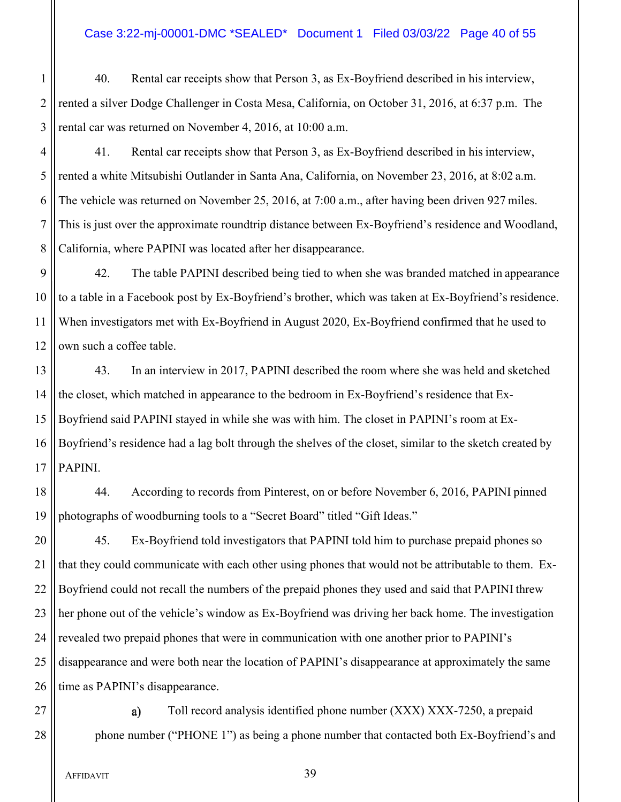# Case 3:22-mj-00001-DMC \*SEALED\* Document 1 Filed 03/03/22 Page 40 of 55

1 | 40. Rental car receipts show that Person 3, as Ex-Boyfriend described in his interview, 2 || rented a silver Dodge Challenger in Costa Mesa, California, on October 31, 2016, at 6:37 p.m. The 3 || rental car was returned on November 4, 2016, at 10:00 a.m.

4 | 41. Rental car receipts show that Person 3, as Ex-Boyfriend described in his interview, 5 rented a white Mitsubishi Outlander in Santa Ana, California, on November 23, 2016, at 8:02 a.m. 6 The vehicle was returned on November 25, 2016, at 7:00 a.m., after having been driven 927 miles. 7 This is just over the approximate roundtrip distance between Ex-Boyfriend's residence and Woodland, 8 California, where PAPINI was located after her disappearance.

9 || 42. The table PAPINI described being tied to when she was branded matched in appearance 10 || to a table in a Facebook post by Ex-Boyfriend's brother, which was taken at Ex-Boyfriend's residence. 11 When investigators met with Ex-Boyfriend in August 2020, Ex-Boyfriend confirmed that he used to  $12$  | own such a coffee table.

13 || 43. In an interview in 2017, PAPINI described the room where she was held and sketched 14  $\parallel$  the closet, which matched in appearance to the bedroom in Ex-Boyfriend's residence that Ex-15 Boyfriend said PAPINI stayed in while she was with him. The closet in PAPINI's room at Ex-16 Boyfriend's residence had a lag bolt through the shelves of the closet, similar to the sketch created by  $17$  | PAPINI.

18 || 44. According to records from Pinterest, on or before November 6, 2016, PAPINI pinned 19 photographs of woodburning tools to a "Secret Board" titled "Gift Ideas."

20 | 45. Ex-Boyfriend told investigators that PAPINI told him to purchase prepaid phones so  $\parallel$  that they could communicate with each other using phones that would not be attributable to them. Ex-22 Boyfriend could not recall the numbers of the prepaid phones they used and said that PAPINI threw || her phone out of the vehicle's window as Ex-Boyfriend was driving her back home. The investigation  $\parallel$  revealed two prepaid phones that were in communication with one another prior to PAPINI's disappearance and were both near the location of PAPINI's disappearance at approximately the same || time as PAPINI's disappearance.

 $27$  || a) Toll record analysis identified phone number (XXX) XXX-7250, a prepaid 28 phone number ("PHONE 1") as being a phone number that contacted both Ex-Boyfriend's and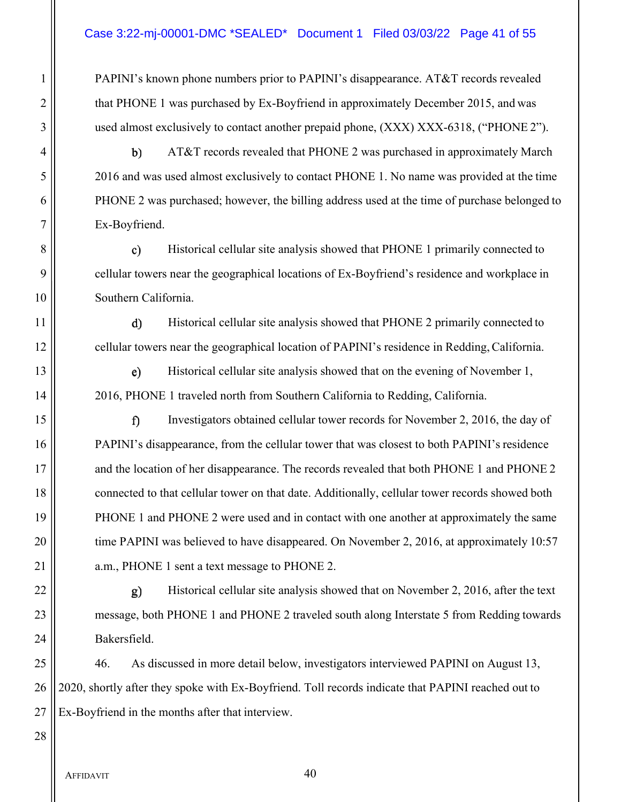# Case 3:22-mj-00001-DMC \*SEALED\* Document 1 Filed 03/03/22 Page 41 of 55

1 | PAPINI's known phone numbers prior to PAPINI's disappearance. AT&T records revealed 2 | that PHONE 1 was purchased by Ex-Boyfriend in approximately December 2015, and was 3 || used almost exclusively to contact another prepaid phone, (XXX) XXX-6318, ("PHONE 2").

4 || b) AT&T records revealed that PHONE 2 was purchased in approximately March 2016 and was used almost exclusively to contact PHONE 1. No name was provided at the time PHONE 2 was purchased; however, the billing address used at the time of purchase belonged to Ex-Boyfriend.

8 || c) Historical cellular site analysis showed that PHONE 1 primarily connected to 9 || cellular towers near the geographical locations of Ex-Boyfriend's residence and workplace in 10 | Southern California.

11 | d) Historical cellular site analysis showed that PHONE 2 primarily connected to 12 **cellular towers near the geographical location of PAPINI**'s residence in Redding, California.

13 || e) Historical cellular site analysis showed that on the evening of November 1, 14 | 2016, PHONE 1 traveled north from Southern California to Redding, California.

15 Investigators obtained cellular tower records for November 2, 2016, the day of 16 PAPINI's disappearance, from the cellular tower that was closest to both PAPINI's residence 17 || and the location of her disappearance. The records revealed that both PHONE 1 and PHONE 2 18 || connected to that cellular tower on that date. Additionally, cellular tower records showed both 19 **PHONE 1** and PHONE 2 were used and in contact with one another at approximately the same 20 | time PAPINI was believed to have disappeared. On November 2, 2016, at approximately 10:57 21 | a.m., PHONE 1 sent a text message to PHONE 2.

22 || g) Historical cellular site analysis showed that on November 2, 2016, after the text 23 | message, both PHONE 1 and PHONE 2 traveled south along Interstate 5 from Redding towards 24 || Bakersfield.

25 | 46. As discussed in more detail below, investigators interviewed PAPINI on August 13, 26 || 2020, shortly after they spoke with Ex-Boyfriend. Toll records indicate that PAPINI reached out to  $27$  || Ex-Boyfriend in the months after that interview.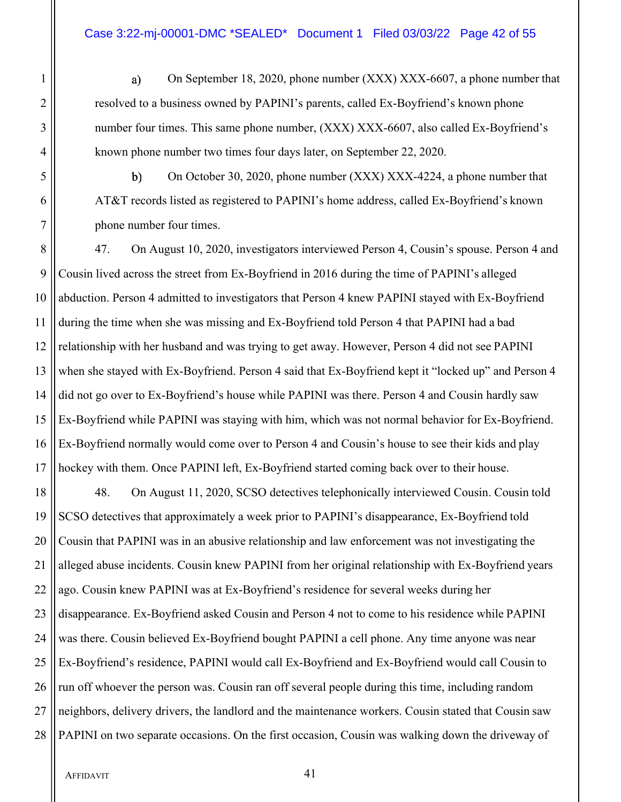1 **a** On September 18, 2020, phone number (XXX) XXX-6607, a phone number that 2 || resolved to a business owned by PAPINI's parents, called Ex-Boyfriend's known phone 3 || number four times. This same phone number, (XXX) XXX-6607, also called Ex-Boyfriend's 4 | known phone number two times four days later, on September 22, 2020.

 $5 \parallel$  b) On October 30, 2020, phone number (XXX) XXX-4224, a phone number that 6 AT&T records listed as registered to PAPINI's home address, called Ex-Boyfriend's known 7 || phone number four times.

8 | 47. On August 10, 2020, investigators interviewed Person 4, Cousin's spouse. Person 4 and Cousin lived across the street from Ex-Boyfriend in 2016 during the time of PAPINI's alleged 10 abduction. Person 4 admitted to investigators that Person 4 knew PAPINI stayed with Ex-Boyfriend during the time when she was missing and Ex-Boyfriend told Person 4 that PAPINI had a bad 12 || relationship with her husband and was trying to get away. However, Person 4 did not see PAPINI when she stayed with Ex-Boyfriend. Person 4 said that Ex-Boyfriend kept it "locked up" and Person 4 did not go over to Ex-Boyfriend's house while PAPINI was there. Person 4 and Cousin hardly saw Ex-Boyfriend while PAPINI was staying with him, which was not normal behavior for Ex-Boyfriend. Ex-Boyfriend normally would come over to Person 4 and Cousin's house to see their kids and play hockey with them. Once PAPINI left, Ex-Boyfriend started coming back over to their house.

18 || 48. On August 11, 2020, SCSO detectives telephonically interviewed Cousin. Cousin told 19 SCSO detectives that approximately a week prior to PAPINI's disappearance, Ex-Boyfriend told 20 Cousin that PAPINI was in an abusive relationship and law enforcement was not investigating the 21 || alleged abuse incidents. Cousin knew PAPINI from her original relationship with Ex-Boyfriend years  $22$  || ago. Cousin knew PAPINI was at Ex-Boyfriend's residence for several weeks during her 23 disappearance. Ex-Boyfriend asked Cousin and Person 4 not to come to his residence while PAPINI 24 was there. Cousin believed Ex-Boyfriend bought PAPINI a cell phone. Any time anyone was near 25 Ex-Boyfriend's residence, PAPINI would call Ex-Boyfriend and Ex-Boyfriend would call Cousin to  $26$  || run off whoever the person was. Cousin ran off several people during this time, including random 27 || neighbors, delivery drivers, the landlord and the maintenance workers. Cousin stated that Cousin saw 28 || PAPINI on two separate occasions. On the first occasion, Cousin was walking down the driveway of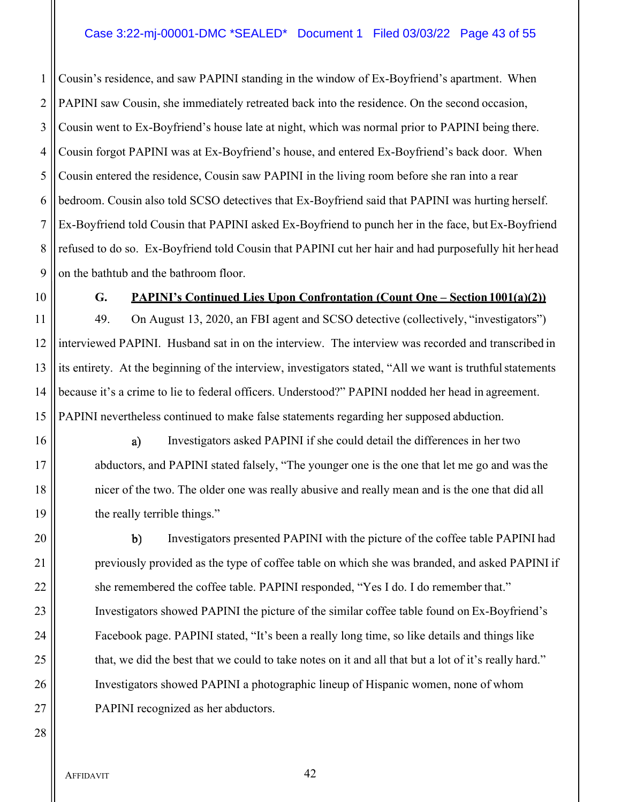# Case 3:22-mj-00001-DMC \*SEALED\* Document 1 Filed 03/03/22 Page 43 of 55

 Cousin's residence, and saw PAPINI standing in the window of Ex-Boyfriend's apartment. When PAPINI saw Cousin, she immediately retreated back into the residence. On the second occasion, 3 Cousin went to Ex-Boyfriend's house late at night, which was normal prior to PAPINI being there. Cousin forgot PAPINI was at Ex-Boyfriend's house, and entered Ex-Boyfriend's back door. When 5 Cousin entered the residence, Cousin saw PAPINI in the living room before she ran into a rear bedroom. Cousin also told SCSO detectives that Ex-Boyfriend said that PAPINI was hurting herself. Ex-Boyfriend told Cousin that PAPINI asked Ex-Boyfriend to punch her in the face, but Ex-Boyfriend 8 || refused to do so. Ex-Boyfriend told Cousin that PAPINI cut her hair and had purposefully hit her head | on the bathtub and the bathroom floor.

# 10 **G. PAPINI's Continued Lies Upon Confrontation (Count One – Section 1001(a)(2))**

11 | 49. On August 13, 2020, an FBI agent and SCSO detective (collectively, "investigators") interviewed PAPINI. Husband sat in on the interview. The interview was recorded and transcribed in its entirety. At the beginning of the interview, investigators stated, "All we want is truthful statements because it's a crime to lie to federal officers. Understood?" PAPINI nodded her head in agreement. PAPINI nevertheless continued to make false statements regarding her supposed abduction.

16 || a) Investigators asked PAPINI if she could detail the differences in her two 17 abductors, and PAPINI stated falsely, "The younger one is the one that let me go and was the 18 nicer of the two. The older one was really abusive and really mean and is the one that did all 19 || the really terrible things."

20 || b) Investigators presented PAPINI with the picture of the coffee table PAPINI had 21 | previously provided as the type of coffee table on which she was branded, and asked PAPINI if 22  $\parallel$  she remembered the coffee table. PAPINI responded, "Yes I do. I do remember that." 23 Investigators showed PAPINI the picture of the similar coffee table found on Ex-Boyfriend's 24 | Facebook page. PAPINI stated, "It's been a really long time, so like details and things like 25 that, we did the best that we could to take notes on it and all that but a lot of it's really hard." 26 Investigators showed PAPINI a photographic lineup of Hispanic women, none of whom 27 || PAPINI recognized as her abductors.

AFFIDAVIT 42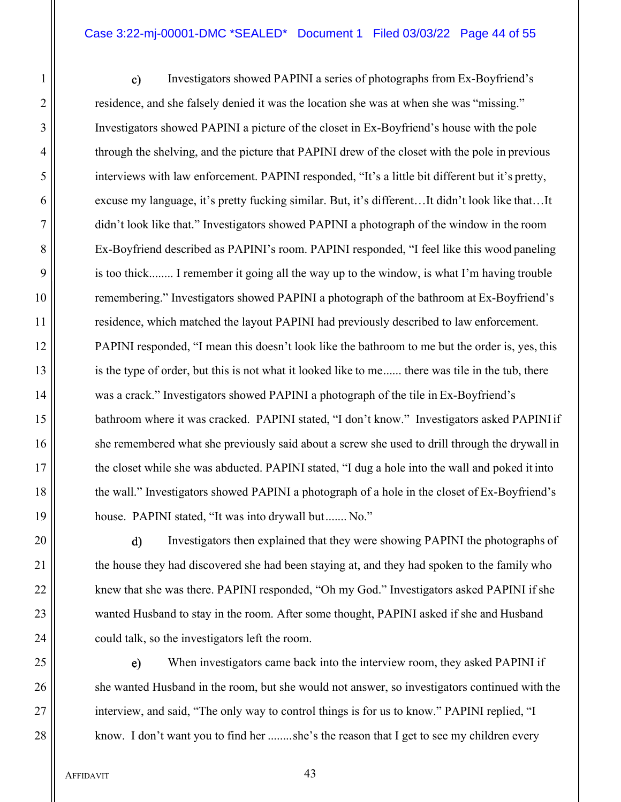#### Case 3:22-mj-00001-DMC \*SEALED\* Document 1 Filed 03/03/22 Page 44 of 55

1 || c) Investigators showed PAPINI a series of photographs from Ex-Boyfriend's 2 || residence, and she falsely denied it was the location she was at when she was "missing." 3 Investigators showed PAPINI a picture of the closet in Ex-Boyfriend's house with the pole 4 through the shelving, and the picture that PAPINI drew of the closet with the pole in previous 5 interviews with law enforcement. PAPINI responded, "It's a little bit different but it's pretty, 6 excuse my language, it's pretty fucking similar. But, it's different…It didn't look like that…It 7 didn't look like that." Investigators showed PAPINI a photograph of the window in the room 8 Ex-Boyfriend described as PAPINI's room. PAPINI responded, "I feel like this wood paneling 9 || is too thick........ I remember it going all the way up to the window, is what I'm having trouble 10 || remembering." Investigators showed PAPINI a photograph of the bathroom at Ex-Boyfriend's 11 | residence, which matched the layout PAPINI had previously described to law enforcement. 12 PAPINI responded, "I mean this doesn't look like the bathroom to me but the order is, yes, this 13 is the type of order, but this is not what it looked like to me...... there was tile in the tub, there 14 was a crack." Investigators showed PAPINI a photograph of the tile in Ex-Boyfriend's 15 | bathroom where it was cracked. PAPINI stated, "I don't know." Investigators asked PAPINI if 16 she remembered what she previously said about a screw she used to drill through the drywall in 17 the closet while she was abducted. PAPINI stated, "I dug a hole into the wall and poked it into 18 the wall." Investigators showed PAPINI a photograph of a hole in the closet of Ex-Boyfriend's 19 house. PAPINI stated, "It was into drywall but ....... No."

20 || d) Investigators then explained that they were showing PAPINI the photographs of 21 | the house they had discovered she had been staying at, and they had spoken to the family who 22 | knew that she was there. PAPINI responded, "Oh my God." Investigators asked PAPINI if she 23 wanted Husband to stay in the room. After some thought, PAPINI asked if she and Husband 24 || could talk, so the investigators left the room.

25 || e) When investigators came back into the interview room, they asked PAPINI if 26 she wanted Husband in the room, but she would not answer, so investigators continued with the 27 | interview, and said, "The only way to control things is for us to know." PAPINI replied, "I 28 | know. I don't want you to find her ........she's the reason that I get to see my children every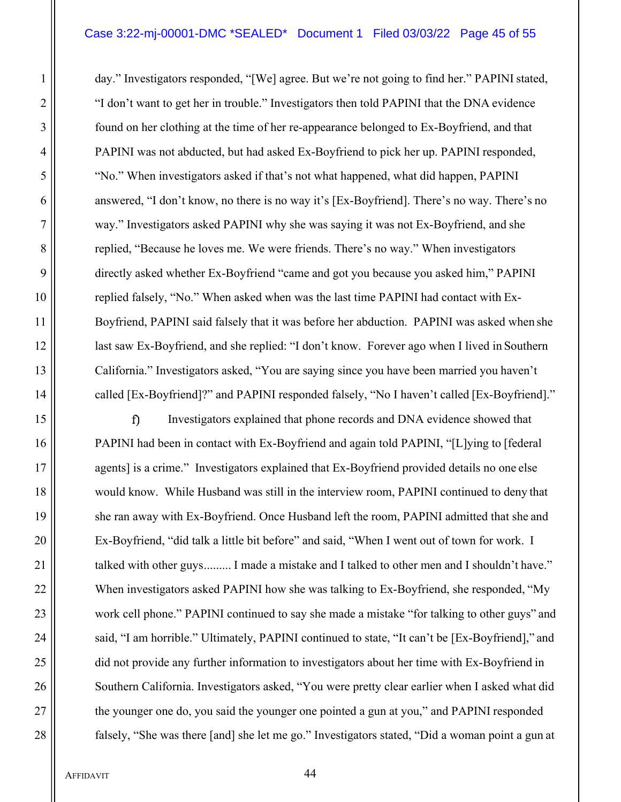#### Case 3:22-mj-00001-DMC \*SEALED\* Document 1 Filed 03/03/22 Page 45 of 55

1 day." Investigators responded, "[We] agree. But we're not going to find her." PAPINI stated, 2 ||<br>
"I don't want to get her in trouble." Investigators then told PAPINI that the DNA evidence 3 **f** sound on her clothing at the time of her re-appearance belonged to Ex-Boyfriend, and that 4 PAPINI was not abducted, but had asked Ex-Boyfriend to pick her up. PAPINI responded, 5 ||<br>
"No." When investigators asked if that's not what happened, what did happen, PAPINI 6 answered, "I don't know, no there is no way it's [Ex-Boyfriend]. There's no way. There's no 7 way." Investigators asked PAPINI why she was saying it was not Ex-Boyfriend, and she 8 || seplied, "Because he loves me. We were friends. There's no way." When investigators 9 directly asked whether Ex-Boyfriend "came and got you because you asked him," PAPINI 10 || replied falsely, "No." When asked when was the last time PAPINI had contact with Ex-11 Boyfriend, PAPINI said falsely that it was before her abduction. PAPINI was asked when she 12 | last saw Ex-Boyfriend, and she replied: "I don't know. Forever ago when I lived in Southern 13 California." Investigators asked, "You are saying since you have been married you haven't 14 called [Ex-Boyfriend]?" and PAPINI responded falsely, "No I haven't called [Ex-Boyfriend]."

15 || **15 ||** Investigators explained that phone records and DNA evidence showed that 16 | PAPINI had been in contact with Ex-Boyfriend and again told PAPINI, "[L]ying to [federal 17 agents is a crime." Investigators explained that Ex-Boyfriend provided details no one else 18 would know. While Husband was still in the interview room, PAPINI continued to deny that 19 || she ran away with Ex-Boyfriend. Once Husband left the room, PAPINI admitted that she and 20 | Ex-Boyfriend, "did talk a little bit before" and said, "When I went out of town for work. I 21 | talked with other guys ......... I made a mistake and I talked to other men and I shouldn't have." 22 When investigators asked PAPINI how she was talking to Ex-Boyfriend, she responded, "My 23 work cell phone." PAPINI continued to say she made a mistake "for talking to other guys" and 24 | said, "I am horrible." Ultimately, PAPINI continued to state, "It can't be [Ex-Boyfriend]," and 25 did not provide any further information to investigators about her time with Ex-Boyfriend in 26 Southern California. Investigators asked, "You were pretty clear earlier when I asked what did 27  $\parallel$  the younger one do, you said the younger one pointed a gun at you," and PAPINI responded 28 falsely, "She was there [and] she let me go." Investigators stated, "Did a woman point a gun at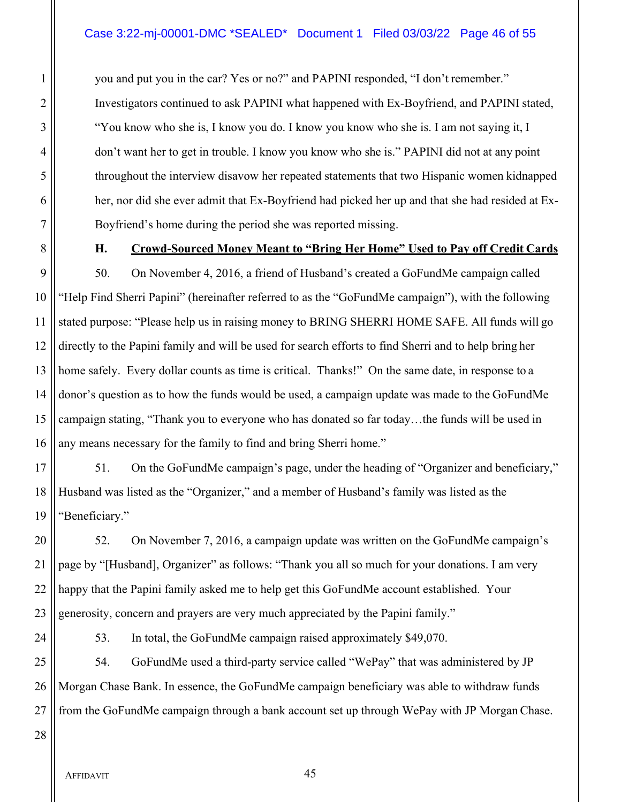1 you and put you in the car? Yes or no?" and PAPINI responded, "I don't remember." 2 ||<br>
Investigators continued to ask PAPINI what happened with Ex-Boyfriend, and PAPINI stated, 3 || "You know who she is, I know you do. I know you know who she is. I am not saying it, I 4 don't want her to get in trouble. I know you know who she is." PAPINI did not at any point 5 throughout the interview disavow her repeated statements that two Hispanic women kidnapped 6 | her, nor did she ever admit that Ex-Boyfriend had picked her up and that she had resided at Ex-7 | Boyfriend's home during the period she was reported missing.

# 8 **H. Crowd-Sourced Money Meant to "Bring Her Home" Used to Pay off Credit Cards**

 $\parallel$  50. On November 4, 2016, a friend of Husband's created a GoFundMe campaign called "Help Find Sherri Papini" (hereinafter referred to as the "GoFundMe campaign"), with the following 11 Stated purpose: "Please help us in raising money to BRING SHERRI HOME SAFE. All funds will go directly to the Papini family and will be used for search efforts to find Sherri and to help bring her home safely. Every dollar counts as time is critical. Thanks!" On the same date, in response to a donor's question as to how the funds would be used, a campaign update was made to the GoFundMe 15 campaign stating, "Thank you to everyone who has donated so far today...the funds will be used in 16 || any means necessary for the family to find and bring Sherri home."

17  $\parallel$  51. On the GoFundMe campaign's page, under the heading of "Organizer and beneficiary," 18 Husband was listed as the "Organizer," and a member of Husband's family was listed as the 19 || "Beneficiary."

20  $\parallel$  52. On November 7, 2016, a campaign update was written on the GoFundMe campaign's 21 page by "[Husband], Organizer" as follows: "Thank you all so much for your donations. I am very 22 || happy that the Papini family asked me to help get this GoFundMe account established. Your 23 generosity, concern and prayers are very much appreciated by the Papini family."

24  $\parallel$  53. In total, the GoFundMe campaign raised approximately \$49,070.

 $25$  |  $\blacksquare$  54. GoFundMe used a third-party service called "WePay" that was administered by JP 26 Morgan Chase Bank. In essence, the GoFundMe campaign beneficiary was able to withdraw funds  $27$  || from the GoFundMe campaign through a bank account set up through WePay with JP Morgan Chase.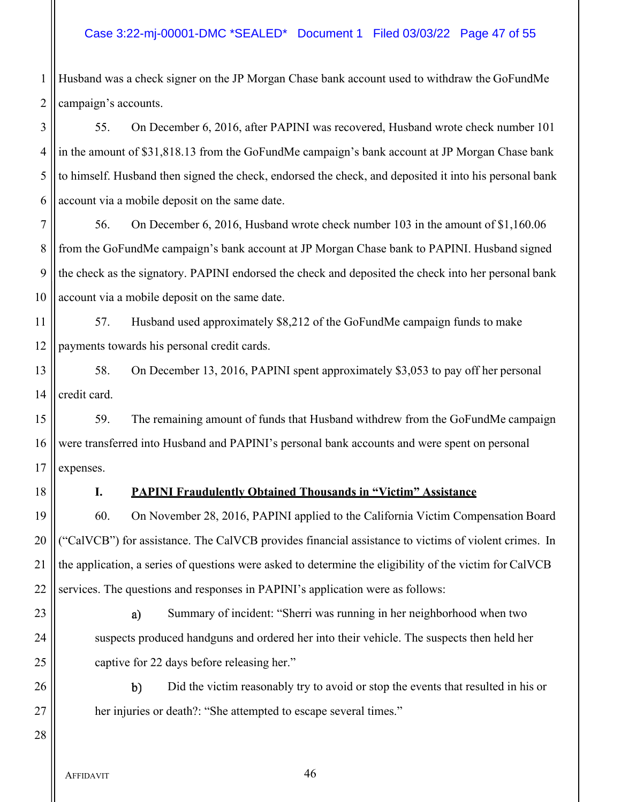# Case 3:22-mj-00001-DMC \*SEALED\* Document 1 Filed 03/03/22 Page 47 of 55

1 Husband was a check signer on the JP Morgan Chase bank account used to withdraw the GoFundMe  $2$  | campaign's accounts.

3 | 55. On December 6, 2016, after PAPINI was recovered, Husband wrote check number 101 4 in the amount of \$31,818.13 from the GoFundMe campaign's bank account at JP Morgan Chase bank 5 to himself. Husband then signed the check, endorsed the check, and deposited it into his personal bank  $6 \parallel$  account via a mobile deposit on the same date.

 56. On December 6, 2016, Husband wrote check number 103 in the amount of \$1,160.06 8 from the GoFundMe campaign's bank account at JP Morgan Chase bank to PAPINI. Husband signed the check as the signatory. PAPINI endorsed the check and deposited the check into her personal bank | account via a mobile deposit on the same date.

11 | 57. Husband used approximately \$8,212 of the GoFundMe campaign funds to make 12 || payments towards his personal credit cards.

13 | 58. On December 13, 2016, PAPINI spent approximately \$3,053 to pay off her personal  $14$  | credit card.

15  $\parallel$  59. The remaining amount of funds that Husband withdrew from the GoFundMe campaign 16 were transferred into Husband and PAPINI's personal bank accounts and were spent on personal  $17$  | expenses.

## 18 **I. PAPINI Fraudulently Obtained Thousands in "Victim" Assistance**

19 || 60. On November 28, 2016, PAPINI applied to the California Victim Compensation Board ("CalVCB") for assistance. The CalVCB provides financial assistance to victims of violent crimes. In  $\parallel$  the application, a series of questions were asked to determine the eligibility of the victim for CalVCB services. The questions and responses in PAPINI's application were as follows:

28

23 || a) Summary of incident: "Sherri was running in her neighborhood when two 24 | suspects produced handguns and ordered her into their vehicle. The suspects then held her 25 | captive for 22 days before releasing her."

26 **b** Did the victim reasonably try to avoid or stop the events that resulted in his or 27 | her injuries or death?: "She attempted to escape several times."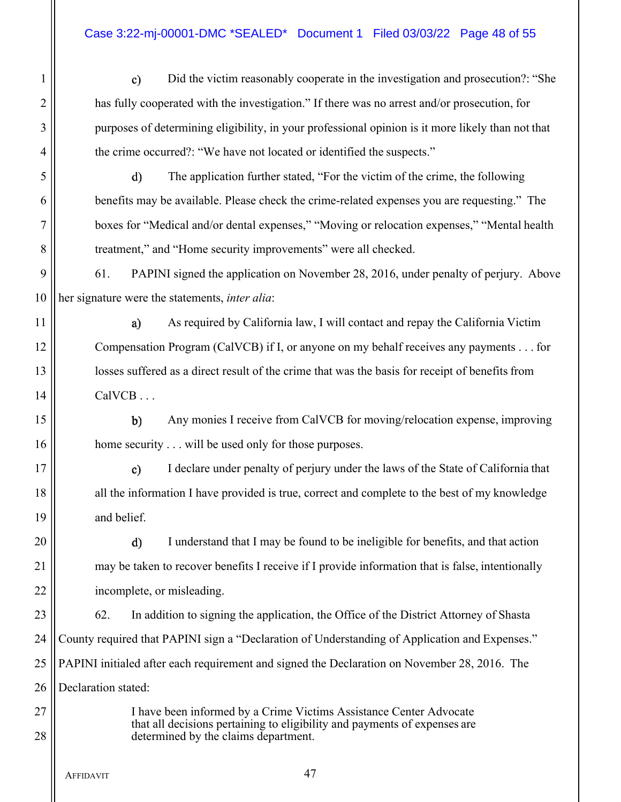# Case 3:22-mj-00001-DMC \*SEALED\* Document 1 Filed 03/03/22 Page 48 of 55

1 **Did the victim reasonably cooperate in the investigation and prosecution**? "She 2 || has fully cooperated with the investigation." If there was no arrest and/or prosecution, for 3 || purposes of determining eligibility, in your professional opinion is it more likely than not that 4 | the crime occurred?: "We have not located or identified the suspects."

5 The application further stated, "For the victim of the crime, the following 6 benefits may be available. Please check the crime-related expenses you are requesting." The 7 boxes for "Medical and/or dental expenses," "Moving or relocation expenses," "Mental health 8 | treatment," and "Home security improvements" were all checked.

9 61. PAPINI signed the application on November 28, 2016, under penalty of perjury. Above 10 her signature were the statements, *inter alia*:

11 || a) As required by California law, I will contact and repay the California Victim 12 Compensation Program (CalVCB) if I, or anyone on my behalf receives any payments . . . for 13 || losses suffered as a direct result of the crime that was the basis for receipt of benefits from  $14 \parallel$  CalVCB ...

15 Any monies I receive from CalVCB for moving/relocation expense, improving 16 || home security . . . will be used only for those purposes.

17 || c) I declare under penalty of perjury under the laws of the State of California that 18 || all the information I have provided is true, correct and complete to the best of my knowledge 19 and belief.

20 || d) I understand that I may be found to be ineligible for benefits, and that action 21 | may be taken to recover benefits I receive if I provide information that is false, intentionally 22 | incomplete, or misleading.

**62.** In addition to signing the application, the Office of the District Attorney of Shasta County required that PAPINI sign a "Declaration of Understanding of Application and Expenses." PAPINI initialed after each requirement and signed the Declaration on November 28, 2016. The 26 Declaration stated:

27 || I have been informed by a Crime Victims Assistance Center Advocate that all decisions pertaining to eligibility and payments of expenses are 28 determined by the claims department.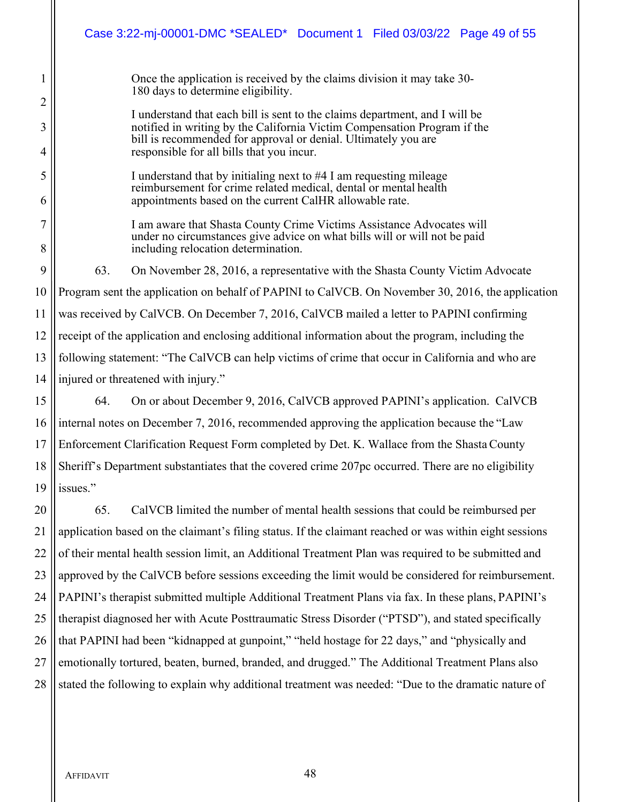|                     | Case 3:22-mj-00001-DMC *SEALED* Document 1 Filed 03/03/22 Page 49 of 55                                                                                                                           |  |  |  |  |
|---------------------|---------------------------------------------------------------------------------------------------------------------------------------------------------------------------------------------------|--|--|--|--|
| 1                   | Once the application is received by the claims division it may take 30-<br>180 days to determine eligibility.                                                                                     |  |  |  |  |
| $\overline{c}$      | I understand that each bill is sent to the claims department, and I will be                                                                                                                       |  |  |  |  |
| 3<br>4              | notified in writing by the California Victim Compensation Program if the<br>bill is recommended for approval or denial. Ultimately you are<br>responsible for all bills that you incur.           |  |  |  |  |
| 5<br>6              | I understand that by initialing next to #4 I am requesting mileage<br>reimbursement for crime related medical, dental or mental health<br>appointments based on the current CalHR allowable rate. |  |  |  |  |
| $\overline{7}$<br>8 | I am aware that Shasta County Crime Victims Assistance Advocates will<br>under no circumstances give advice on what bills will or will not be paid<br>including relocation determination.         |  |  |  |  |
| 9                   | 63.<br>On November 28, 2016, a representative with the Shasta County Victim Advocate                                                                                                              |  |  |  |  |
| 10                  | Program sent the application on behalf of PAPINI to CalVCB. On November 30, 2016, the application                                                                                                 |  |  |  |  |
| 11                  | was received by CalVCB. On December 7, 2016, CalVCB mailed a letter to PAPINI confirming                                                                                                          |  |  |  |  |
| 12                  | receipt of the application and enclosing additional information about the program, including the                                                                                                  |  |  |  |  |
| 13                  | following statement: "The CalVCB can help victims of crime that occur in California and who are                                                                                                   |  |  |  |  |
| 14                  | injured or threatened with injury."                                                                                                                                                               |  |  |  |  |
| 15                  | 64.<br>On or about December 9, 2016, CalVCB approved PAPINI's application. CalVCB                                                                                                                 |  |  |  |  |
| 16                  | internal notes on December 7, 2016, recommended approving the application because the "Law                                                                                                        |  |  |  |  |
| 17                  | Enforcement Clarification Request Form completed by Det. K. Wallace from the Shasta County                                                                                                        |  |  |  |  |
| 18                  | Sheriff's Department substantiates that the covered crime 207pc occurred. There are no eligibility                                                                                                |  |  |  |  |
| 19                  | issues."                                                                                                                                                                                          |  |  |  |  |
| 20                  | 65.<br>CalVCB limited the number of mental health sessions that could be reimbursed per                                                                                                           |  |  |  |  |
| 21                  | application based on the claimant's filing status. If the claimant reached or was within eight sessions                                                                                           |  |  |  |  |
| 22                  | of their mental health session limit, an Additional Treatment Plan was required to be submitted and                                                                                               |  |  |  |  |
| 23                  | approved by the CalVCB before sessions exceeding the limit would be considered for reimbursement.                                                                                                 |  |  |  |  |
| 24                  | PAPINI's therapist submitted multiple Additional Treatment Plans via fax. In these plans, PAPINI's                                                                                                |  |  |  |  |
| 25                  | therapist diagnosed her with Acute Posttraumatic Stress Disorder ("PTSD"), and stated specifically                                                                                                |  |  |  |  |
| 26                  | that PAPINI had been "kidnapped at gunpoint," "held hostage for 22 days," and "physically and                                                                                                     |  |  |  |  |
| 27                  | emotionally tortured, beaten, burned, branded, and drugged." The Additional Treatment Plans also                                                                                                  |  |  |  |  |
| 28                  | stated the following to explain why additional treatment was needed: "Due to the dramatic nature of                                                                                               |  |  |  |  |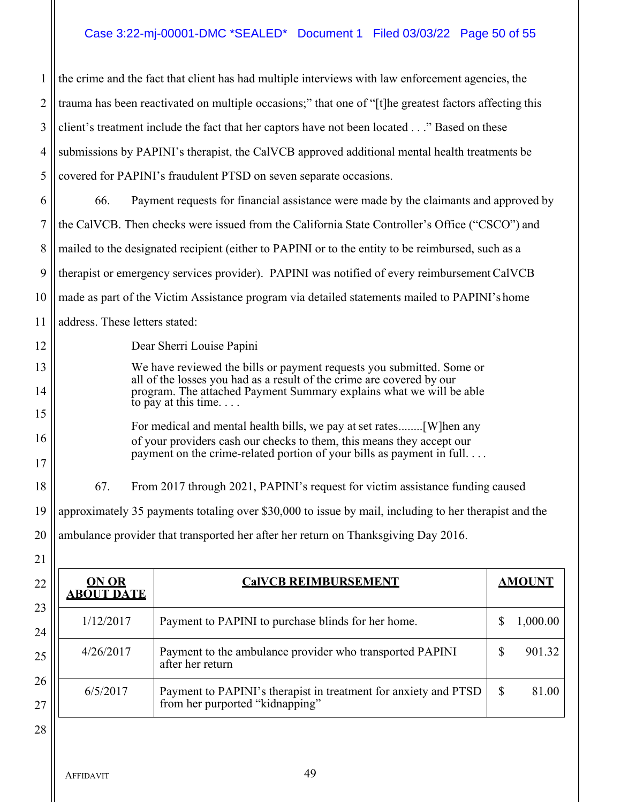# Case 3:22-mj-00001-DMC \*SEALED\* Document 1 Filed 03/03/22 Page 50 of 55

| 1              | the crime and the fact that client has had multiple interviews with law enforcement agencies, the                                              |                                                                                                    |    |               |
|----------------|------------------------------------------------------------------------------------------------------------------------------------------------|----------------------------------------------------------------------------------------------------|----|---------------|
| 2              | trauma has been reactivated on multiple occasions;" that one of "[t] he greatest factors affecting this                                        |                                                                                                    |    |               |
| 3              | client's treatment include the fact that her captors have not been located" Based on these                                                     |                                                                                                    |    |               |
| 4              | submissions by PAPINI's therapist, the CalVCB approved additional mental health treatments be                                                  |                                                                                                    |    |               |
| 5              | covered for PAPINI's fraudulent PTSD on seven separate occasions.                                                                              |                                                                                                    |    |               |
| 6              | Payment requests for financial assistance were made by the claimants and approved by<br>66.                                                    |                                                                                                    |    |               |
| $\overline{7}$ | the CalVCB. Then checks were issued from the California State Controller's Office ("CSCO") and                                                 |                                                                                                    |    |               |
| 8              |                                                                                                                                                | mailed to the designated recipient (either to PAPINI or to the entity to be reimbursed, such as a  |    |               |
| 9              | therapist or emergency services provider). PAPINI was notified of every reimbursement CalVCB                                                   |                                                                                                    |    |               |
| 10             | made as part of the Victim Assistance program via detailed statements mailed to PAPINI's home                                                  |                                                                                                    |    |               |
| 11             | address. These letters stated:                                                                                                                 |                                                                                                    |    |               |
| 12             | Dear Sherri Louise Papini                                                                                                                      |                                                                                                    |    |               |
| 13             | We have reviewed the bills or payment requests you submitted. Some or<br>all of the losses you had as a result of the crime are covered by our |                                                                                                    |    |               |
| 14             | program. The attached Payment Summary explains what we will be able<br>to pay at this time. $\ldots$                                           |                                                                                                    |    |               |
| 15             | of your providers cash our checks to them, this means they accept our<br>payment on the crime-related portion of your bills as payment in full |                                                                                                    |    |               |
| 16             |                                                                                                                                                |                                                                                                    |    |               |
| 17             |                                                                                                                                                |                                                                                                    |    |               |
| 18             | 67.<br>From 2017 through 2021, PAPINI's request for victim assistance funding caused                                                           |                                                                                                    |    |               |
| 19             | approximately 35 payments totaling over \$30,000 to issue by mail, including to her therapist and the                                          |                                                                                                    |    |               |
| 20             | ambulance provider that transported her after her return on Thanksgiving Day 2016.                                                             |                                                                                                    |    |               |
| 21             |                                                                                                                                                |                                                                                                    |    |               |
| 22             | <b>ON OR</b><br><b>ABOUT DATE</b>                                                                                                              | <b>CalVCB REIMBURSEMENT</b>                                                                        |    | <b>AMOUNT</b> |
| 23             | 1/12/2017                                                                                                                                      | Payment to PAPINI to purchase blinds for her home.                                                 | \$ | 1,000.00      |
| 24             |                                                                                                                                                |                                                                                                    |    |               |
| 25             | 4/26/2017                                                                                                                                      | Payment to the ambulance provider who transported PAPINI<br>after her return                       | \$ | 901.32        |
| 26<br>27       | 6/5/2017                                                                                                                                       | Payment to PAPINI's therapist in treatment for anxiety and PTSD<br>from her purported "kidnapping" | \$ | 81.00         |

AFFIDAVIT 49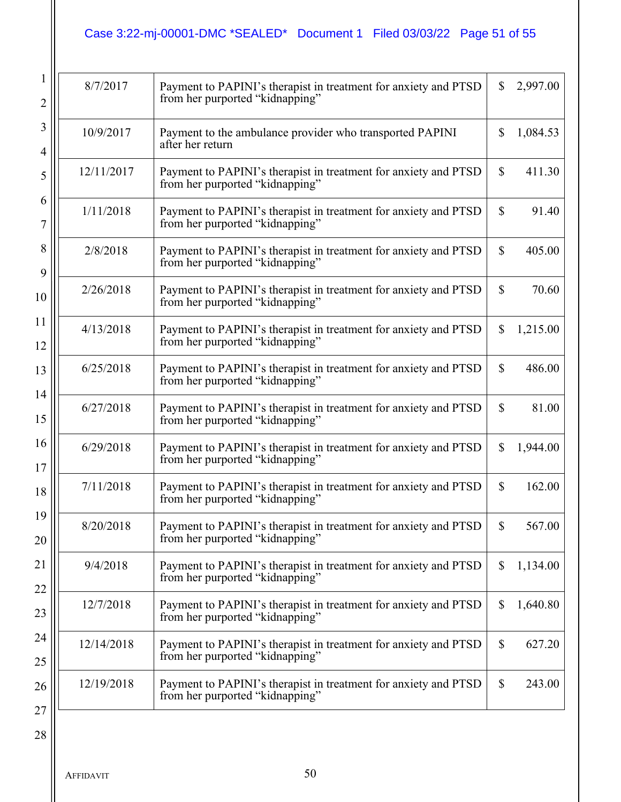# Case 3:22-mj-00001-DMC \*SEALED\* Document 1 Filed 03/03/22 Page 51 of 55

| 8/7/2017   | Payment to PAPINI's therapist in treatment for anxiety and PTSD<br>from her purported "kidnapping" | \$           | 2,997.00 |
|------------|----------------------------------------------------------------------------------------------------|--------------|----------|
| 10/9/2017  | Payment to the ambulance provider who transported PAPINI<br>after her return                       | \$           | 1,084.53 |
| 12/11/2017 | Payment to PAPINI's therapist in treatment for anxiety and PTSD<br>from her purported "kidnapping" | \$           | 411.30   |
| 1/11/2018  | Payment to PAPINI's therapist in treatment for anxiety and PTSD<br>from her purported "kidnapping" | \$           | 91.40    |
| 2/8/2018   | Payment to PAPINI's therapist in treatment for anxiety and PTSD<br>from her purported "kidnapping" | $\mathbb{S}$ | 405.00   |
| 2/26/2018  | Payment to PAPINI's therapist in treatment for anxiety and PTSD<br>from her purported "kidnapping" | \$           | 70.60    |
| 4/13/2018  | Payment to PAPINI's therapist in treatment for anxiety and PTSD<br>from her purported "kidnapping" | \$           | 1,215.00 |
| 6/25/2018  | Payment to PAPINI's therapist in treatment for anxiety and PTSD<br>from her purported "kidnapping" | \$           | 486.00   |
| 6/27/2018  | Payment to PAPINI's therapist in treatment for anxiety and PTSD<br>from her purported "kidnapping" | \$           | 81.00    |
| 6/29/2018  | Payment to PAPINI's therapist in treatment for anxiety and PTSD<br>from her purported "kidnapping" | \$           | 1,944.00 |
| 7/11/2018  | Payment to PAPINI's therapist in treatment for anxiety and PTSD<br>from her purported "kidnapping" | \$           | 162.00   |
| 8/20/2018  | Payment to PAPINI's therapist in treatment for anxiety and PTSD<br>from her purported "kidnapping" | \$           | 567.00   |
| 9/4/2018   | Payment to PAPINI's therapist in treatment for anxiety and PTSD<br>from her purported "kidnapping" | \$           | 1,134.00 |
| 12/7/2018  | Payment to PAPINI's therapist in treatment for anxiety and PTSD<br>from her purported "kidnapping" | \$           | 1,640.80 |
| 12/14/2018 | Payment to PAPINI's therapist in treatment for anxiety and PTSD<br>from her purported "kidnapping" | \$           | 627.20   |
| 12/19/2018 | Payment to PAPINI's therapist in treatment for anxiety and PTSD<br>from her purported "kidnapping" | \$           | 243.00   |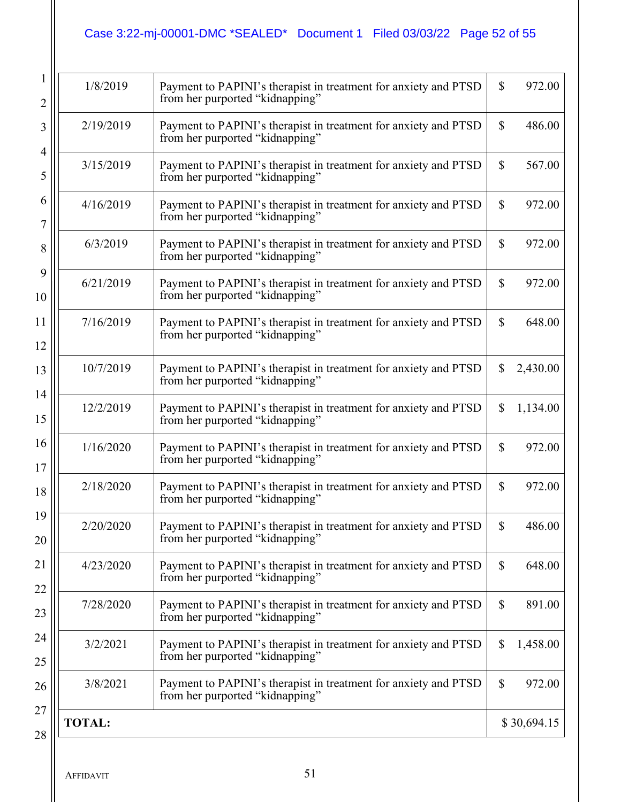# Case 3:22-mj-00001-DMC \*SEALED\* Document 1 Filed 03/03/22 Page 52 of 55

| $\overline{2}$        | 1/8/2019      | Payment to PAPINI's therapist in treatment for anxiety and PTSD<br>from her purported "kidnapping" | $\mathbb{S}$ | 972.00      |
|-----------------------|---------------|----------------------------------------------------------------------------------------------------|--------------|-------------|
| 3                     | 2/19/2019     | Payment to PAPINI's therapist in treatment for anxiety and PTSD<br>from her purported "kidnapping" | \$           | 486.00      |
| $\overline{4}$<br>5   | 3/15/2019     | Payment to PAPINI's therapist in treatment for anxiety and PTSD<br>from her purported "kidnapping" | \$           | 567.00      |
| 6<br>7                | 4/16/2019     | Payment to PAPINI's therapist in treatment for anxiety and PTSD<br>from her purported "kidnapping" | \$           | 972.00      |
| 8                     | 6/3/2019      | Payment to PAPINI's therapist in treatment for anxiety and PTSD<br>from her purported "kidnapping" | \$           | 972.00      |
| 9<br>10               | 6/21/2019     | Payment to PAPINI's therapist in treatment for anxiety and PTSD<br>from her purported "kidnapping" | \$           | 972.00      |
| 11<br>12              | 7/16/2019     | Payment to PAPINI's therapist in treatment for anxiety and PTSD<br>from her purported "kidnapping" | \$           | 648.00      |
| 13                    | 10/7/2019     | Payment to PAPINI's therapist in treatment for anxiety and PTSD<br>from her purported "kidnapping" | \$           | 2,430.00    |
| 14<br>15              | 12/2/2019     | Payment to PAPINI's therapist in treatment for anxiety and PTSD<br>from her purported "kidnapping" | \$           | 1,134.00    |
| 16<br>17              | 1/16/2020     | Payment to PAPINI's therapist in treatment for anxiety and PTSD<br>from her purported "kidnapping" | \$           | 972.00      |
| 18                    | 2/18/2020     | Payment to PAPINI's therapist in treatment for anxiety and PTSD<br>from her purported "kidnapping" | \$           | 972.00      |
| 19<br>20              | 2/20/2020     | Payment to PAPINI's therapist in treatment for anxiety and PTSD<br>from her purported "kidnapping" | \$           | 486.00      |
| $\overline{21}$<br>22 | 4/23/2020     | Payment to PAPINI's therapist in treatment for anxiety and PTSD<br>from her purported "kidnapping" | \$           | 648.00      |
| 23                    | 7/28/2020     | Payment to PAPINI's therapist in treatment for anxiety and PTSD<br>from her purported "kidnapping" | $\mathbb{S}$ | 891.00      |
| 24<br>25              | 3/2/2021      | Payment to PAPINI's therapist in treatment for anxiety and PTSD<br>from her purported "kidnapping" | \$           | 1,458.00    |
| 26                    | 3/8/2021      | Payment to PAPINI's therapist in treatment for anxiety and PTSD<br>from her purported "kidnapping" | $\mathbb{S}$ | 972.00      |
| 27<br>28              | <b>TOTAL:</b> |                                                                                                    |              | \$30,694.15 |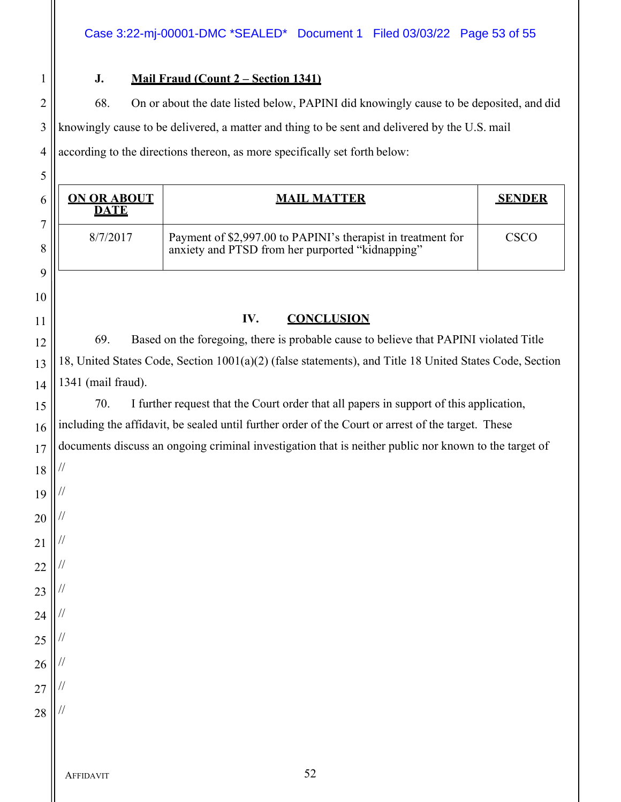# 1 **J. Mail Fraud (Count 2 – Section 1341)**

2 | 68. On or about the date listed below, PAPINI did knowingly cause to be deposited, and did 3 || knowingly cause to be delivered, a matter and thing to be sent and delivered by the U.S. mail  $4 \parallel$  according to the directions thereon, as more specifically set forth below:

| <b>ON OR ABOUT</b><br><b>DATE</b> | <b>MAIL MATTER</b>                                                                                               | <b>SENDER</b> |
|-----------------------------------|------------------------------------------------------------------------------------------------------------------|---------------|
| 8/7/2017                          | Payment of \$2,997.00 to PAPINI's therapist in treatment for<br>anxiety and PTSD from her purported "kidnapping" | <b>CSCO</b>   |
|                                   |                                                                                                                  |               |
|                                   | IV.<br><b>CONCLUSION</b>                                                                                         |               |
| 69.                               | Based on the foregoing, there is probable cause to believe that PAPINI violated Title                            |               |
|                                   | 18, United States Code, Section 1001(a)(2) (false statements), and Title 18 United States Code, Section          |               |
| 1341 (mail fraud).                |                                                                                                                  |               |
| 70.                               | I further request that the Court order that all papers in support of this application,                           |               |
|                                   | including the affidavit, be sealed until further order of the Court or arrest of the target. These               |               |
|                                   | documents discuss an ongoing criminal investigation that is neither public nor known to the target of            |               |
|                                   |                                                                                                                  |               |
|                                   |                                                                                                                  |               |
|                                   |                                                                                                                  |               |
|                                   |                                                                                                                  |               |
|                                   |                                                                                                                  |               |
|                                   |                                                                                                                  |               |
|                                   |                                                                                                                  |               |
|                                   |                                                                                                                  |               |
|                                   |                                                                                                                  |               |
|                                   |                                                                                                                  |               |
|                                   |                                                                                                                  |               |
|                                   |                                                                                                                  |               |
|                                   |                                                                                                                  |               |
| AFFIDAVIT                         | 52                                                                                                               |               |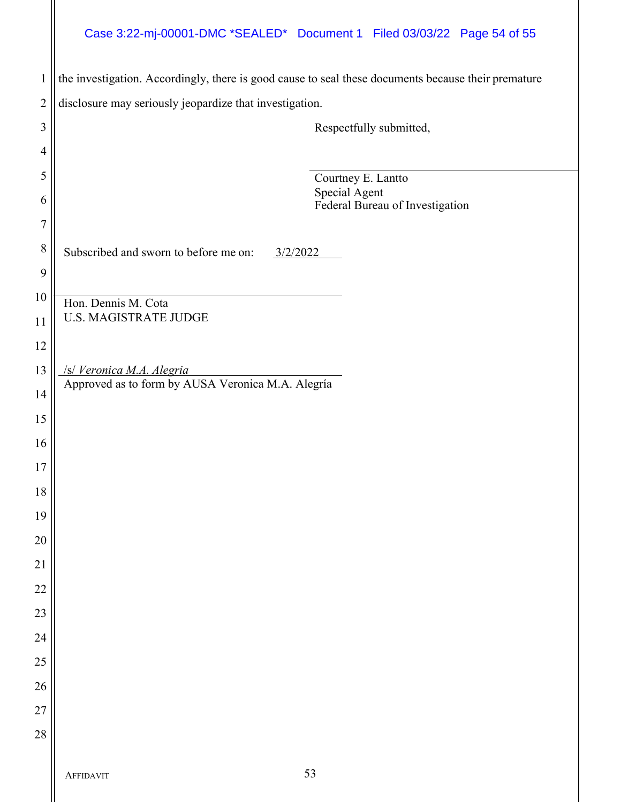# Case 3:22-mj-00001-DMC \*SEALED\* Document 1 Filed 03/03/22 Page 54 of 55

| $\mathbf{1}$   | the investigation. Accordingly, there is good cause to seal these documents because their premature |
|----------------|-----------------------------------------------------------------------------------------------------|
| $\overline{2}$ | disclosure may seriously jeopardize that investigation.                                             |
| 3              | Respectfully submitted,                                                                             |
| 4              |                                                                                                     |
| 5              | Courtney E. Lantto                                                                                  |
| 6              | Special Agent<br>Federal Bureau of Investigation                                                    |
| $\overline{7}$ |                                                                                                     |
| 8              | Subscribed and sworn to before me on:<br>3/2/2022                                                   |
| 9              |                                                                                                     |
| 10             | Hon. Dennis M. Cota                                                                                 |
| 11             | <b>U.S. MAGISTRATE JUDGE</b>                                                                        |
| 12             |                                                                                                     |
| 13             | /s/ Veronica M.A. Alegria<br>Approved as to form by AUSA Veronica M.A. Alegría                      |
| 14             |                                                                                                     |
| 15             |                                                                                                     |
| 16             |                                                                                                     |
| 17             |                                                                                                     |
| 18             |                                                                                                     |
| 19             |                                                                                                     |
| $20\,$         |                                                                                                     |
| $21\,$         |                                                                                                     |
| 22             |                                                                                                     |
| 23             |                                                                                                     |
| 24             |                                                                                                     |
| 25             |                                                                                                     |
| 26             |                                                                                                     |
| 27             |                                                                                                     |
| 28             |                                                                                                     |
|                | 53<br><b>AFFIDAVIT</b>                                                                              |